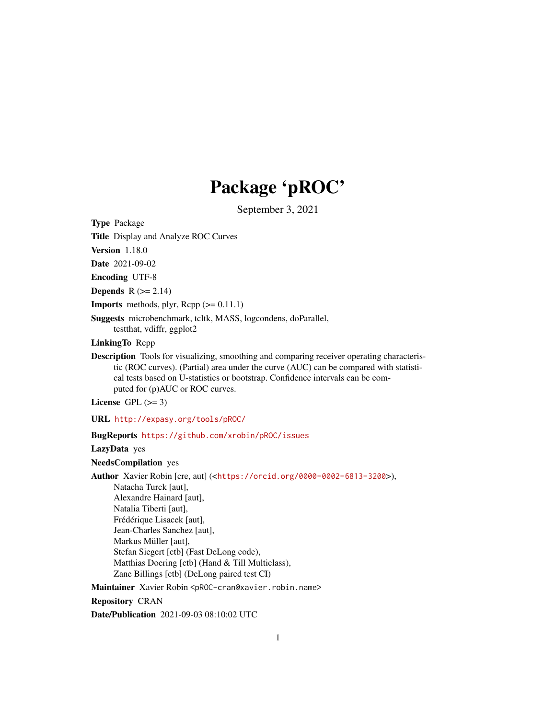# Package 'pROC'

September 3, 2021

<span id="page-0-0"></span>Type Package

Title Display and Analyze ROC Curves

Version 1.18.0

Date 2021-09-02

Encoding UTF-8

Depends  $R$  ( $>= 2.14$ )

**Imports** methods, plyr,  $\text{Rcpp} (> = 0.11.1)$ 

Suggests microbenchmark, tcltk, MASS, logcondens, doParallel, testthat, vdiffr, ggplot2

LinkingTo Rcpp

Description Tools for visualizing, smoothing and comparing receiver operating characteristic (ROC curves). (Partial) area under the curve (AUC) can be compared with statistical tests based on U-statistics or bootstrap. Confidence intervals can be computed for (p)AUC or ROC curves.

License GPL  $(>= 3)$ 

URL <http://expasy.org/tools/pROC/>

BugReports <https://github.com/xrobin/pROC/issues>

LazyData yes

NeedsCompilation yes

Author Xavier Robin [cre, aut] (<<https://orcid.org/0000-0002-6813-3200>>),

Natacha Turck [aut], Alexandre Hainard [aut], Natalia Tiberti [aut], Frédérique Lisacek [aut], Jean-Charles Sanchez [aut], Markus Müller [aut], Stefan Siegert [ctb] (Fast DeLong code), Matthias Doering [ctb] (Hand & Till Multiclass), Zane Billings [ctb] (DeLong paired test CI)

Maintainer Xavier Robin <pROC-cran@xavier.robin.name>

Repository CRAN

Date/Publication 2021-09-03 08:10:02 UTC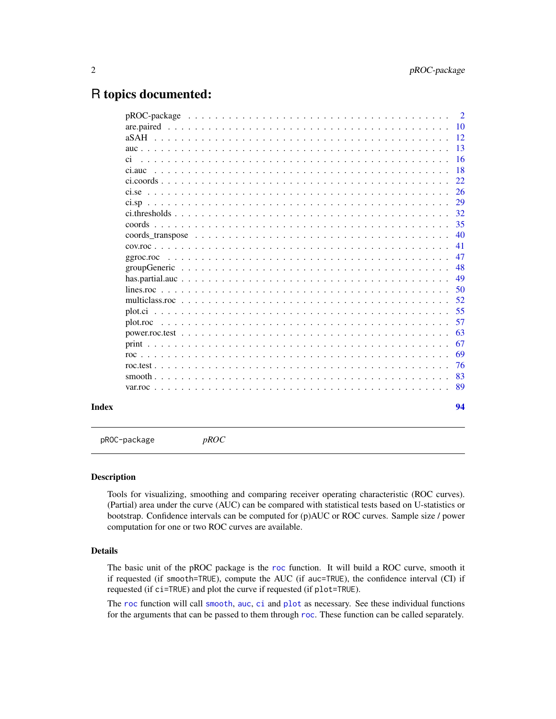# <span id="page-1-0"></span>R topics documented:

|       |         | $\overline{2}$ |
|-------|---------|----------------|
|       |         | -10            |
|       |         | 12             |
|       |         | 13             |
|       | ci      | 16             |
|       | ci auc- | 18             |
|       |         | 22             |
|       |         | 26             |
|       |         | 29             |
|       |         | 32             |
|       |         | 35             |
|       |         | 40             |
|       |         | 41             |
|       |         | 47             |
|       |         | 48             |
|       |         | 49             |
|       |         | 50             |
|       |         | 52             |
|       |         | 55             |
|       |         | 57             |
|       |         | 63             |
|       |         | 67             |
|       |         | 69             |
|       |         | 76             |
|       |         | 83             |
|       |         | 89             |
| Index |         | 94             |

<span id="page-1-1"></span>pROC-package *pROC*

#### Description

Tools for visualizing, smoothing and comparing receiver operating characteristic (ROC curves). (Partial) area under the curve (AUC) can be compared with statistical tests based on U-statistics or bootstrap. Confidence intervals can be computed for (p)AUC or ROC curves. Sample size / power computation for one or two ROC curves are available.

#### Details

The basic unit of the pROC package is the [roc](#page-68-1) function. It will build a ROC curve, smooth it if requested (if smooth=TRUE), compute the AUC (if auc=TRUE), the confidence interval (CI) if requested (if ci=TRUE) and plot the curve if requested (if plot=TRUE).

The [roc](#page-68-1) function will call [smooth](#page-82-1), [auc](#page-12-1), [ci](#page-15-1) and [plot](#page-56-1) as necessary. See these individual functions for the arguments that can be passed to them through [roc](#page-68-1). These function can be called separately.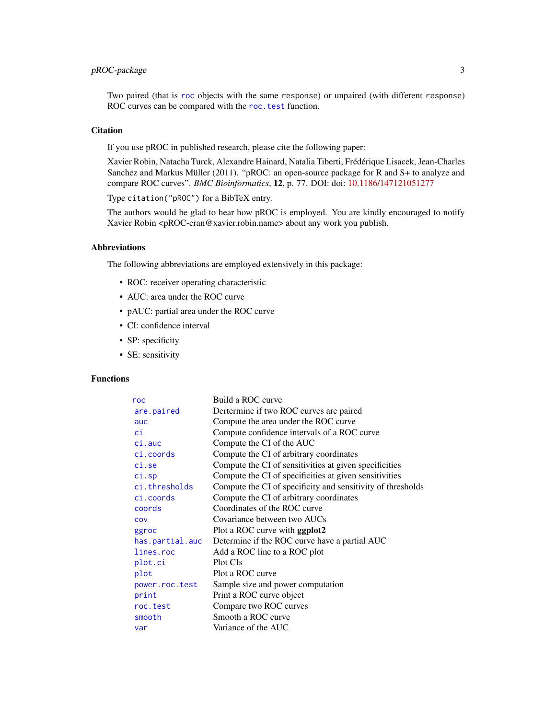# pROC-package 3

Two paired (that is [roc](#page-68-1) objects with the same response) or unpaired (with different response) ROC curves can be compared with the roc. test function.

# **Citation**

If you use pROC in published research, please cite the following paper:

Xavier Robin, Natacha Turck, Alexandre Hainard, Natalia Tiberti, Frédérique Lisacek, Jean-Charles Sanchez and Markus Müller (2011). "pROC: an open-source package for R and S+ to analyze and compare ROC curves". *BMC Bioinformatics*, 12, p. 77. DOI: doi: [10.1186/147121051277](https://doi.org/10.1186/1471-2105-12-77)

Type citation("pROC") for a BibTeX entry.

The authors would be glad to hear how pROC is employed. You are kindly encouraged to notify Xavier Robin <pROC-cran@xavier.robin.name> about any work you publish.

#### Abbreviations

The following abbreviations are employed extensively in this package:

- ROC: receiver operating characteristic
- AUC: area under the ROC curve
- pAUC: partial area under the ROC curve
- CI: confidence interval
- SP: specificity
- SE: sensitivity

# Functions

| roc             | Build a ROC curve                                           |
|-----------------|-------------------------------------------------------------|
| are.paired      | Dertermine if two ROC curves are paired                     |
| auc             | Compute the area under the ROC curve                        |
| ci              | Compute confidence intervals of a ROC curve                 |
| $ci$ . auc      | Compute the CI of the AUC                                   |
| ci.coords       | Compute the CI of arbitrary coordinates                     |
| ci.se           | Compute the CI of sensitivities at given specificities      |
| $ci$ .sp        | Compute the CI of specificities at given sensitivities      |
| ci.thresholds   | Compute the CI of specificity and sensitivity of thresholds |
| ci.coords       | Compute the CI of arbitrary coordinates                     |
| coords          | Coordinates of the ROC curve                                |
| COV             | Covariance between two AUCs                                 |
| ggroc           | Plot a ROC curve with <b>ggplot2</b>                        |
| has.partial.auc | Determine if the ROC curve have a partial AUC               |
| lines.roc       | Add a ROC line to a ROC plot                                |
| plot.ci         | Plot CIs                                                    |
| plot            | Plot a ROC curve                                            |
| power.roc.test  | Sample size and power computation                           |
| print           | Print a ROC curve object                                    |
| roc.test        | Compare two ROC curves                                      |
| smooth          | Smooth a ROC curve                                          |
| var             | Variance of the AUC                                         |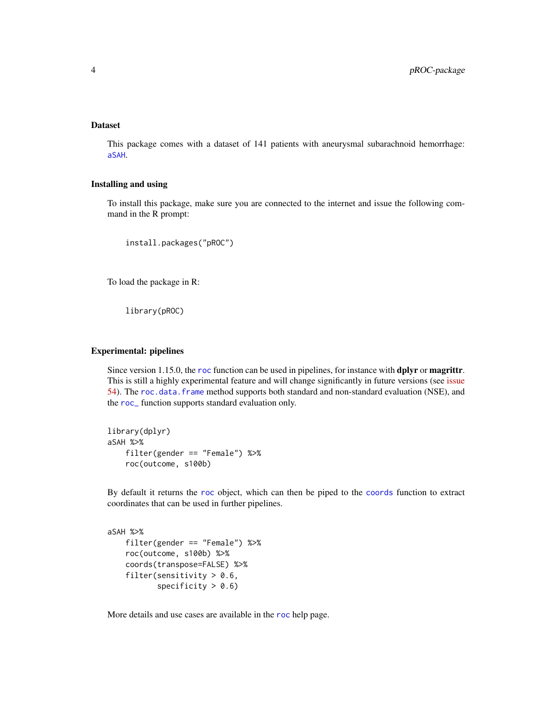# Dataset

This package comes with a dataset of 141 patients with aneurysmal subarachnoid hemorrhage: [aSAH](#page-11-1).

# Installing and using

To install this package, make sure you are connected to the internet and issue the following command in the R prompt:

install.packages("pROC")

To load the package in R:

library(pROC)

#### Experimental: pipelines

Since version 1.15.0, the [roc](#page-68-1) function can be used in pipelines, for instance with dplyr or magrittr. This is still a highly experimental feature and will change significantly in future versions (see [issue](https://github.com/xrobin/pROC/issues/54) [54\)](https://github.com/xrobin/pROC/issues/54). The [roc.data.frame](#page-68-2) method supports both standard and non-standard evaluation (NSE), and the [roc\\_](#page-68-2) function supports standard evaluation only.

```
library(dplyr)
aSAH %>%
    filter(gender == "Female") %>%
    roc(outcome, s100b)
```
By default it returns the [roc](#page-68-1) object, which can then be piped to the [coords](#page-34-1) function to extract coordinates that can be used in further pipelines.

```
aSAH %>%
   filter(gender == "Female") %>%
   roc(outcome, s100b) %>%
   coords(transpose=FALSE) %>%
    filter(sensitivity > 0.6,
           specificity > 0.6)
```
More details and use cases are available in the [roc](#page-68-1) help page.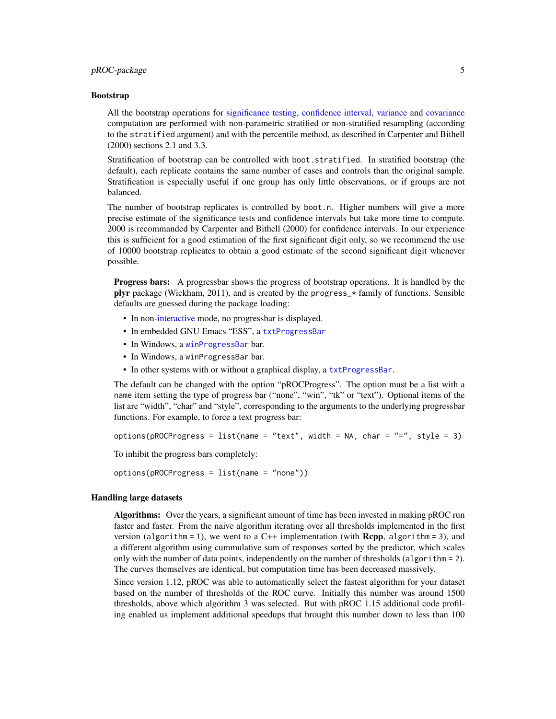# pROC-package 5

#### Bootstrap

All the bootstrap operations for [significance testing,](#page-75-1) [confidence interval,](#page-15-1) [variance](#page-88-2) and [covariance](#page-40-2) computation are performed with non-parametric stratified or non-stratified resampling (according to the stratified argument) and with the percentile method, as described in Carpenter and Bithell (2000) sections 2.1 and 3.3.

Stratification of bootstrap can be controlled with boot.stratified. In stratified bootstrap (the default), each replicate contains the same number of cases and controls than the original sample. Stratification is especially useful if one group has only little observations, or if groups are not balanced.

The number of bootstrap replicates is controlled by boot.n. Higher numbers will give a more precise estimate of the significance tests and confidence intervals but take more time to compute. 2000 is recommanded by Carpenter and Bithell (2000) for confidence intervals. In our experience this is sufficient for a good estimation of the first significant digit only, so we recommend the use of 10000 bootstrap replicates to obtain a good estimate of the second significant digit whenever possible.

Progress bars: A progressbar shows the progress of bootstrap operations. It is handled by the plyr package (Wickham, 2011), and is created by the progress\_ $*$  family of functions. Sensible defaults are guessed during the package loading:

- In non[-interactive](#page-0-0) mode, no progressbar is displayed.
- In embedded GNU Emacs "ESS", a [txtProgressBar](#page-0-0)
- In Windows, a [winProgressBar](#page-0-0) bar.
- In Windows, a winProgressBar bar.
- In other systems with or without a graphical display, a [txtProgressBar](#page-0-0).

The default can be changed with the option "pROCProgress". The option must be a list with a name item setting the type of progress bar ("none", "win", "tk" or "text"). Optional items of the list are "width", "char" and "style", corresponding to the arguments to the underlying progressbar functions. For example, to force a text progress bar:

options(pROCProgress = list(name = "text", width = NA, char = "=", style = 3)

To inhibit the progress bars completely:

options(pROCProgress = list(name = "none"))

#### Handling large datasets

Algorithms: Over the years, a significant amount of time has been invested in making pROC run faster and faster. From the naive algorithm iterating over all thresholds implemented in the first version (algorithm = 1), we went to a  $C++$  implementation (with **Rcpp**, algorithm = 3), and a different algorithm using cummulative sum of responses sorted by the predictor, which scales only with the number of data points, independently on the number of thresholds (algorithm = 2). The curves themselves are identical, but computation time has been decreased massively.

Since version 1.12, pROC was able to automatically select the fastest algorithm for your dataset based on the number of thresholds of the ROC curve. Initially this number was around 1500 thresholds, above which algorithm 3 was selected. But with pROC 1.15 additional code profiling enabled us implement additional speedups that brought this number down to less than 100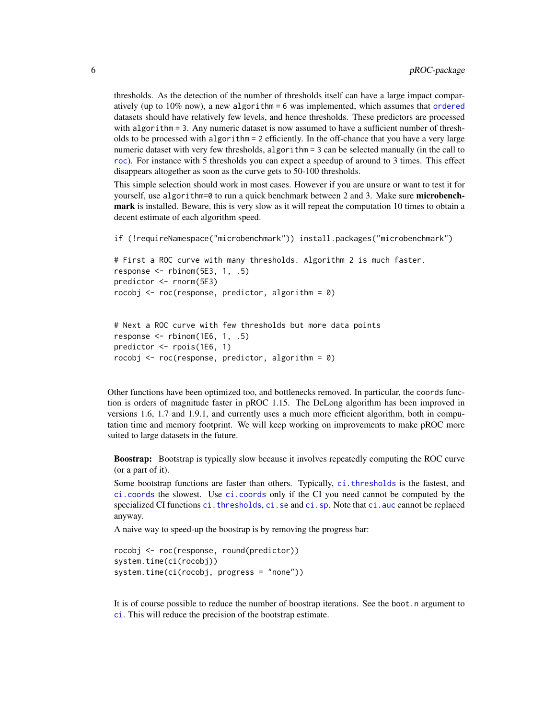thresholds. As the detection of the number of thresholds itself can have a large impact comparatively (up to 10% now), a new algorithm = 6 was implemented, which assumes that [ordered](#page-0-0) datasets should have relatively few levels, and hence thresholds. These predictors are processed with algorithm = 3. Any numeric dataset is now assumed to have a sufficient number of thresholds to be processed with algorithm = 2 efficiently. In the off-chance that you have a very large numeric dataset with very few thresholds, algorithm = 3 can be selected manually (in the call to [roc](#page-68-1)). For instance with 5 thresholds you can expect a speedup of around to 3 times. This effect disappears altogether as soon as the curve gets to 50-100 thresholds.

This simple selection should work in most cases. However if you are unsure or want to test it for yourself, use algorithm=0 to run a quick benchmark between 2 and 3. Make sure microbenchmark is installed. Beware, this is very slow as it will repeat the computation 10 times to obtain a decent estimate of each algorithm speed.

if (!requireNamespace("microbenchmark")) install.packages("microbenchmark")

```
# First a ROC curve with many thresholds. Algorithm 2 is much faster.
response \le- rbinom(5E3, 1, .5)
predictor <- rnorm(5E3)
rocobj \leq roc(response, predictor, algorithm = 0)
```

```
# Next a ROC curve with few thresholds but more data points
response \le- rbinom(1E6, 1, .5)
predictor <- rpois(1E6, 1)
rocobj \leq roc(response, predictor, algorithm = 0)
```
Other functions have been optimized too, and bottlenecks removed. In particular, the coords function is orders of magnitude faster in pROC 1.15. The DeLong algorithm has been improved in versions 1.6, 1.7 and 1.9.1, and currently uses a much more efficient algorithm, both in computation time and memory footprint. We will keep working on improvements to make pROC more suited to large datasets in the future.

Boostrap: Bootstrap is typically slow because it involves repeatedly computing the ROC curve (or a part of it).

Some bootstrap functions are faster than others. Typically, [ci.thresholds](#page-31-1) is the fastest, and [ci.coords](#page-21-1) the slowest. Use [ci.coords](#page-21-1) only if the CI you need cannot be computed by the specialized CI functions ci. thresholds, [ci.se](#page-25-1) and [ci.sp](#page-28-1). Note that [ci.auc](#page-17-1) cannot be replaced anyway.

A naive way to speed-up the boostrap is by removing the progress bar:

```
rocobj <- roc(response, round(predictor))
system.time(ci(rocobj))
system.time(ci(rocobj, progress = "none"))
```
It is of course possible to reduce the number of boostrap iterations. See the boot.n argument to [ci](#page-15-1). This will reduce the precision of the bootstrap estimate.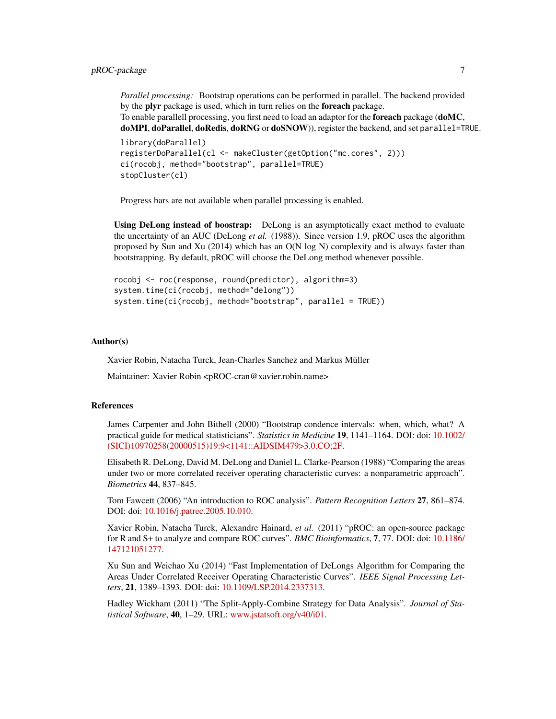*Parallel processing:* Bootstrap operations can be performed in parallel. The backend provided by the **plyr** package is used, which in turn relies on the **foreach** package. To enable parallell processing, you first need to load an adaptor for the **foreach** package (**doMC**, doMPI, doParallel, doRedis, doRNG or doSNOW)), register the backend, and set parallel=TRUE.

```
library(doParallel)
registerDoParallel(cl <- makeCluster(getOption("mc.cores", 2)))
ci(rocobj, method="bootstrap", parallel=TRUE)
stopCluster(cl)
```
Progress bars are not available when parallel processing is enabled.

Using DeLong instead of boostrap: DeLong is an asymptotically exact method to evaluate the uncertainty of an AUC (DeLong *et al.* (1988)). Since version 1.9, pROC uses the algorithm proposed by Sun and Xu (2014) which has an O(N log N) complexity and is always faster than bootstrapping. By default, pROC will choose the DeLong method whenever possible.

```
rocobj <- roc(response, round(predictor), algorithm=3)
system.time(ci(rocobj, method="delong"))
system.time(ci(rocobj, method="bootstrap", parallel = TRUE))
```
### Author(s)

Xavier Robin, Natacha Turck, Jean-Charles Sanchez and Markus Müller

Maintainer: Xavier Robin <pROC-cran@xavier.robin.name>

#### References

James Carpenter and John Bithell (2000) "Bootstrap condence intervals: when, which, what? A practical guide for medical statisticians". *Statistics in Medicine* 19, 1141–1164. DOI: doi: [10.1002/](https://doi.org/10.1002/(SICI)1097-0258(20000515)19:9<1141::AID-SIM479>3.0.CO;2-F) [\(SICI\)10970258\(20000515\)19:9<1141::AIDSIM479>3.0.CO;2F.](https://doi.org/10.1002/(SICI)1097-0258(20000515)19:9<1141::AID-SIM479>3.0.CO;2-F)

Elisabeth R. DeLong, David M. DeLong and Daniel L. Clarke-Pearson (1988) "Comparing the areas under two or more correlated receiver operating characteristic curves: a nonparametric approach". *Biometrics* 44, 837–845.

Tom Fawcett (2006) "An introduction to ROC analysis". *Pattern Recognition Letters* 27, 861–874. DOI: doi: [10.1016/j.patrec.2005.10.010.](https://doi.org/10.1016/j.patrec.2005.10.010)

Xavier Robin, Natacha Turck, Alexandre Hainard, *et al.* (2011) "pROC: an open-source package for R and S+ to analyze and compare ROC curves". *BMC Bioinformatics*, 7, 77. DOI: doi: [10.1186/](https://doi.org/10.1186/1471-2105-12-77) [147121051277.](https://doi.org/10.1186/1471-2105-12-77)

Xu Sun and Weichao Xu (2014) "Fast Implementation of DeLongs Algorithm for Comparing the Areas Under Correlated Receiver Operating Characteristic Curves". *IEEE Signal Processing Letters*, 21, 1389–1393. DOI: doi: [10.1109/LSP.2014.2337313.](https://doi.org/10.1109/LSP.2014.2337313)

Hadley Wickham (2011) "The Split-Apply-Combine Strategy for Data Analysis". *Journal of Statistical Software*, 40, 1–29. URL: [www.jstatsoft.org/v40/i01.](https://www.jstatsoft.org/v40/i01)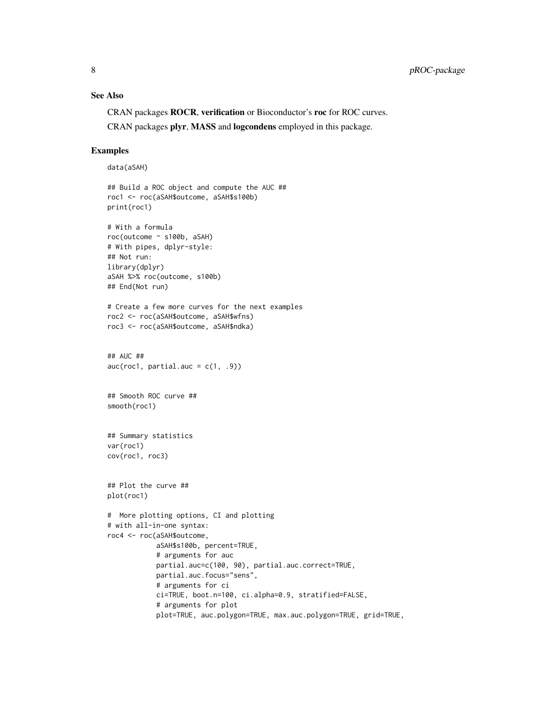# See Also

CRAN packages ROCR, verification or Bioconductor's roc for ROC curves.

CRAN packages plyr, MASS and logcondens employed in this package.

#### Examples

```
data(aSAH)
```

```
## Build a ROC object and compute the AUC ##
roc1 <- roc(aSAH$outcome, aSAH$s100b)
print(roc1)
# With a formula
roc(outcome ~ s100b, aSAH)
# With pipes, dplyr-style:
## Not run:
library(dplyr)
aSAH %>% roc(outcome, s100b)
## End(Not run)
# Create a few more curves for the next examples
roc2 <- roc(aSAH$outcome, aSAH$wfns)
roc3 <- roc(aSAH$outcome, aSAH$ndka)
## AUC ##
auc(roc1, partial.auc = c(1, .9))
## Smooth ROC curve ##
smooth(roc1)
## Summary statistics
var(roc1)
cov(roc1, roc3)
## Plot the curve ##
plot(roc1)
# More plotting options, CI and plotting
# with all-in-one syntax:
roc4 <- roc(aSAH$outcome,
            aSAH$s100b, percent=TRUE,
            # arguments for auc
            partial.auc=c(100, 90), partial.auc.correct=TRUE,
            partial.auc.focus="sens",
            # arguments for ci
            ci=TRUE, boot.n=100, ci.alpha=0.9, stratified=FALSE,
            # arguments for plot
            plot=TRUE, auc.polygon=TRUE, max.auc.polygon=TRUE, grid=TRUE,
```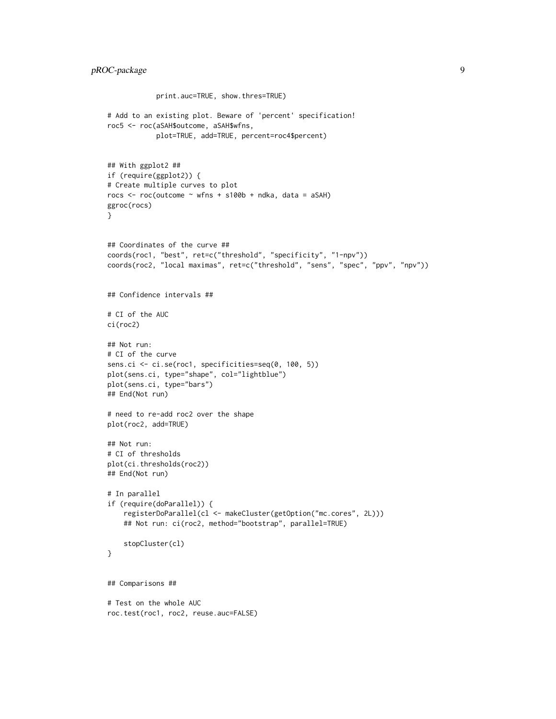```
print.auc=TRUE, show.thres=TRUE)
# Add to an existing plot. Beware of 'percent' specification!
roc5 <- roc(aSAH$outcome, aSAH$wfns,
            plot=TRUE, add=TRUE, percent=roc4$percent)
## With ggplot2 ##
if (require(ggplot2)) {
# Create multiple curves to plot
rocs \le roc(outcome \sim wfns + s100b + ndka, data = aSAH)
ggroc(rocs)
}
## Coordinates of the curve ##
coords(roc1, "best", ret=c("threshold", "specificity", "1-npv"))
coords(roc2, "local maximas", ret=c("threshold", "sens", "spec", "ppv", "npv"))
## Confidence intervals ##
# CI of the AUC
ci(roc2)
## Not run:
# CI of the curve
sens.ci <- ci.se(roc1, specificities=seq(0, 100, 5))
plot(sens.ci, type="shape", col="lightblue")
plot(sens.ci, type="bars")
## End(Not run)
# need to re-add roc2 over the shape
plot(roc2, add=TRUE)
## Not run:
# CI of thresholds
plot(ci.thresholds(roc2))
## End(Not run)
# In parallel
if (require(doParallel)) {
    registerDoParallel(cl <- makeCluster(getOption("mc.cores", 2L)))
    ## Not run: ci(roc2, method="bootstrap", parallel=TRUE)
    stopCluster(cl)
}
## Comparisons ##
# Test on the whole AUC
roc.test(roc1, roc2, reuse.auc=FALSE)
```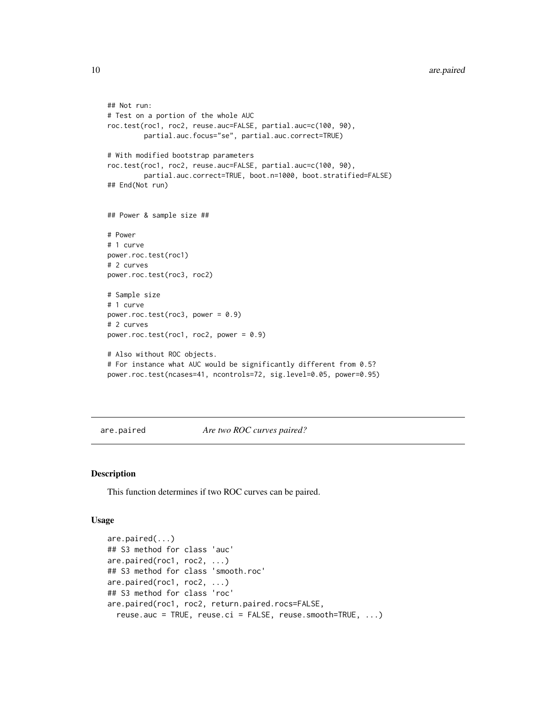```
## Not run:
# Test on a portion of the whole AUC
roc.test(roc1, roc2, reuse.auc=FALSE, partial.auc=c(100, 90),
         partial.auc.focus="se", partial.auc.correct=TRUE)
# With modified bootstrap parameters
roc.test(roc1, roc2, reuse.auc=FALSE, partial.auc=c(100, 90),
         partial.auc.correct=TRUE, boot.n=1000, boot.stratified=FALSE)
## End(Not run)
## Power & sample size ##
# Power
# 1 curve
power.roc.test(roc1)
# 2 curves
power.roc.test(roc3, roc2)
# Sample size
# 1 curve
power.roc.test(roc3, power = 0.9)
# 2 curves
power.roc.test(roc1, roc2, power = 0.9)
# Also without ROC objects.
# For instance what AUC would be significantly different from 0.5?
power.roc.test(ncases=41, ncontrols=72, sig.level=0.05, power=0.95)
```

```
are.paired Are two ROC curves paired?
```
### Description

This function determines if two ROC curves can be paired.

# Usage

```
are.paired(...)
## S3 method for class 'auc'
are.paired(roc1, roc2, ...)
## S3 method for class 'smooth.roc'
are.paired(roc1, roc2, ...)
## S3 method for class 'roc'
are.paired(roc1, roc2, return.paired.rocs=FALSE,
  reuse.auc = TRUE, reuse.ci = FALSE, reuse.smooth=TRUE, ...)
```
<span id="page-9-0"></span>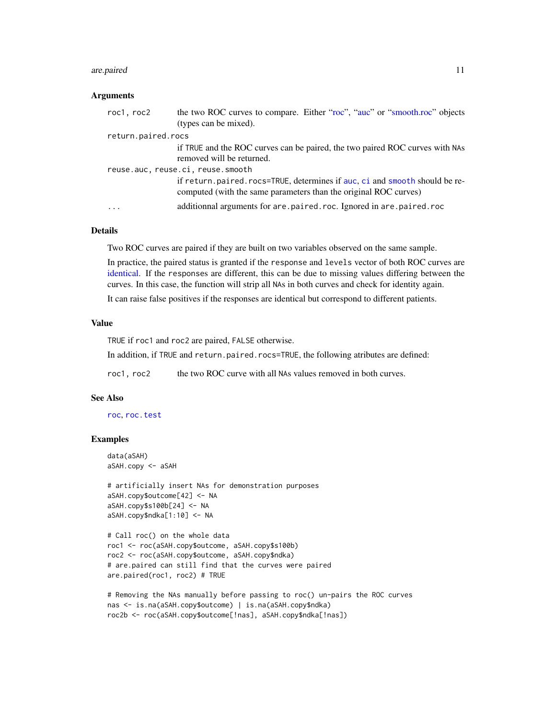#### are.paired 11

#### Arguments

| roc1, roc2         | the two ROC curves to compare. Either "roc", "auc" or "smooth.roc" objects<br>(types can be mixed).                                              |
|--------------------|--------------------------------------------------------------------------------------------------------------------------------------------------|
| return.paired.rocs |                                                                                                                                                  |
|                    | if TRUE and the ROC curves can be paired, the two paired ROC curves with NAs<br>removed will be returned.                                        |
|                    | reuse.auc, reuse.ci, reuse.smooth                                                                                                                |
|                    | if return, paired, rocs=TRUE, determines if auc, ci and smooth should be re-<br>computed (with the same parameters than the original ROC curves) |
| .                  | additionnal arguments for are paired roc. Ignored in are paired roc                                                                              |

# Details

Two ROC curves are paired if they are built on two variables observed on the same sample.

In practice, the paired status is granted if the response and levels vector of both ROC curves are [identical.](#page-0-0) If the responses are different, this can be due to missing values differing between the curves. In this case, the function will strip all NAs in both curves and check for identity again.

It can raise false positives if the responses are identical but correspond to different patients.

#### Value

TRUE if roc1 and roc2 are paired, FALSE otherwise.

In addition, if TRUE and return.paired.rocs=TRUE, the following atributes are defined:

roc1, roc2 the two ROC curve with all NAs values removed in both curves.

#### See Also

[roc](#page-68-1), [roc.test](#page-75-1)

# Examples

```
data(aSAH)
aSAH.copy <- aSAH
```

```
# artificially insert NAs for demonstration purposes
aSAH.copy$outcome[42] <- NA
aSAH.copy$s100b[24] <- NA
aSAH.copy$ndka[1:10] <- NA
```

```
# Call roc() on the whole data
roc1 <- roc(aSAH.copy$outcome, aSAH.copy$s100b)
roc2 <- roc(aSAH.copy$outcome, aSAH.copy$ndka)
# are.paired can still find that the curves were paired
are.paired(roc1, roc2) # TRUE
```

```
# Removing the NAs manually before passing to roc() un-pairs the ROC curves
nas <- is.na(aSAH.copy$outcome) | is.na(aSAH.copy$ndka)
roc2b <- roc(aSAH.copy$outcome[!nas], aSAH.copy$ndka[!nas])
```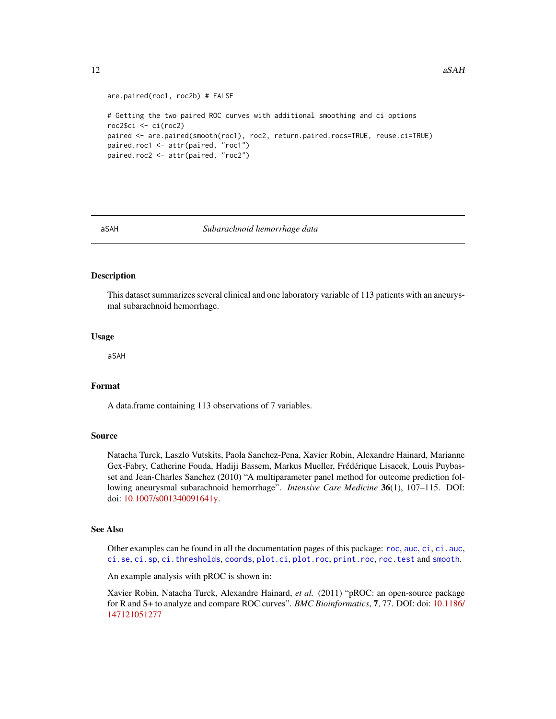```
are.paired(roc1, roc2b) # FALSE
# Getting the two paired ROC curves with additional smoothing and ci options
roc2$ci <- ci(roc2)
paired <- are.paired(smooth(roc1), roc2, return.paired.rocs=TRUE, reuse.ci=TRUE)
paired.roc1 <- attr(paired, "roc1")
paired.roc2 <- attr(paired, "roc2")
```
<span id="page-11-1"></span>

#### aSAH *Subarachnoid hemorrhage data*

#### Description

This dataset summarizes several clinical and one laboratory variable of 113 patients with an aneurysmal subarachnoid hemorrhage.

#### Usage

aSAH

# Format

A data.frame containing 113 observations of 7 variables.

#### Source

Natacha Turck, Laszlo Vutskits, Paola Sanchez-Pena, Xavier Robin, Alexandre Hainard, Marianne Gex-Fabry, Catherine Fouda, Hadiji Bassem, Markus Mueller, Frédérique Lisacek, Louis Puybasset and Jean-Charles Sanchez (2010) "A multiparameter panel method for outcome prediction following aneurysmal subarachnoid hemorrhage". *Intensive Care Medicine* 36(1), 107–115. DOI: doi: [10.1007/s001340091641y.](https://doi.org/10.1007/s00134-009-1641-y)

#### See Also

Other examples can be found in all the documentation pages of this package: [roc](#page-68-1), [auc](#page-12-1), [ci](#page-15-1), ci, auc, [ci.se](#page-25-1), [ci.sp](#page-28-1), [ci.thresholds](#page-31-1), [coords](#page-34-1), [plot.ci](#page-54-1), [plot.roc](#page-56-2), [print.roc](#page-66-1), [roc.test](#page-75-1) and [smooth](#page-82-2).

An example analysis with pROC is shown in:

Xavier Robin, Natacha Turck, Alexandre Hainard, *et al.* (2011) "pROC: an open-source package for R and S+ to analyze and compare ROC curves". *BMC Bioinformatics*, 7, 77. DOI: doi: [10.1186/](https://doi.org/10.1186/1471-2105-12-77) [147121051277](https://doi.org/10.1186/1471-2105-12-77)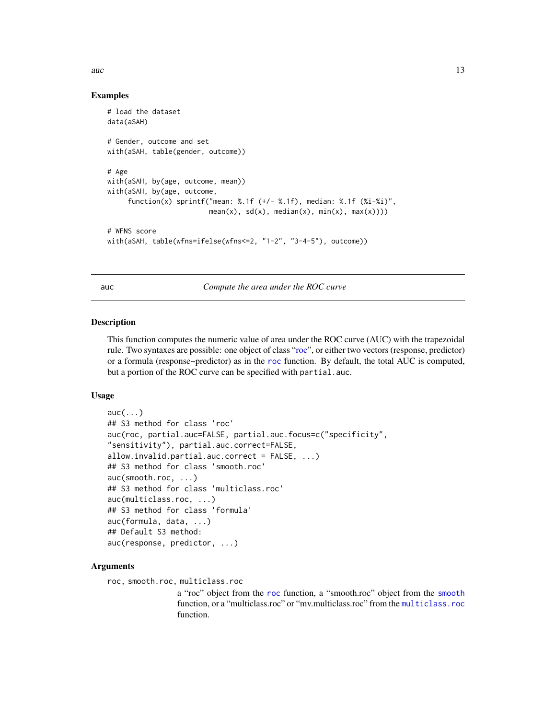<span id="page-12-0"></span>auch  $\sim$  13

### Examples

```
# load the dataset
data(aSAH)
# Gender, outcome and set
with(aSAH, table(gender, outcome))
# Age
with(aSAH, by(age, outcome, mean))
with(aSAH, by(age, outcome,
     function(x) sprintf("mean: %.1f (+/- %.1f), median: %.1f (%i-%i)",
                         mean(x), sd(x), median(x), min(x), max(x))))# WFNS score
with(aSAH, table(wfns=ifelse(wfns<=2, "1-2", "3-4-5"), outcome))
```
<span id="page-12-1"></span>auc *Compute the area under the ROC curve*

#### Description

This function computes the numeric value of area under the ROC curve (AUC) with the trapezoidal rule. Two syntaxes are possible: one object of class ["roc"](#page-68-1), or either two vectors (response, predictor) or a formula (response~predictor) as in the [roc](#page-68-1) function. By default, the total AUC is computed, but a portion of the ROC curve can be specified with partial.auc.

#### Usage

```
auc(...)## S3 method for class 'roc'
auc(roc, partial.auc=FALSE, partial.auc.focus=c("specificity",
"sensitivity"), partial.auc.correct=FALSE,
allow.invalid.partial.auc.correct = FALSE, ...)
## S3 method for class 'smooth.roc'
auc(smooth.roc, ...)
## S3 method for class 'multiclass.roc'
auc(multiclass.roc, ...)
## S3 method for class 'formula'
auc(formula, data, ...)
## Default S3 method:
auc(response, predictor, ...)
```
#### Arguments

```
roc, smooth.roc, multiclass.roc
```
a "roc" object from the [roc](#page-68-1) function, a "smooth.roc" object from the [smooth](#page-82-1) function, or a "multiclass.roc" or "mv.multiclass.roc" from the [multiclass.roc](#page-51-1) function.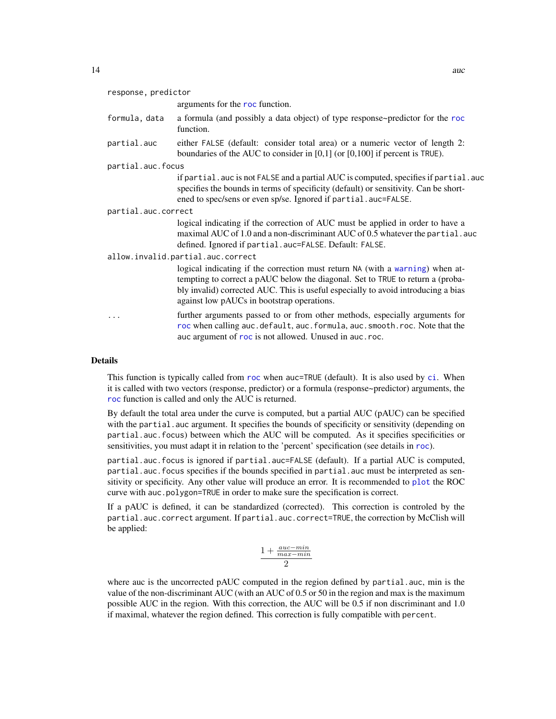response, predictor

|  | and a series of the state of the state of the state of the state of the state of the state of the state of the |
|--|----------------------------------------------------------------------------------------------------------------|

|                     | arguments for the roc function.                                                                                                                                                                                                                                                                    |  |
|---------------------|----------------------------------------------------------------------------------------------------------------------------------------------------------------------------------------------------------------------------------------------------------------------------------------------------|--|
| formula, data       | a formula (and possibly a data object) of type response~predictor for the roc<br>function.                                                                                                                                                                                                         |  |
| partial.auc         | either FALSE (default: consider total area) or a numeric vector of length 2:<br>boundaries of the AUC to consider in $[0,1]$ (or $[0,100]$ if percent is TRUE).                                                                                                                                    |  |
| partial.auc.focus   |                                                                                                                                                                                                                                                                                                    |  |
|                     | if partial.auc is not FALSE and a partial AUC is computed, specifies if partial.auc<br>specifies the bounds in terms of specificity (default) or sensitivity. Can be short-<br>ened to spec/sens or even sp/se. Ignored if partial.auc=FALSE.                                                      |  |
| partial.auc.correct |                                                                                                                                                                                                                                                                                                    |  |
|                     | logical indicating if the correction of AUC must be applied in order to have a<br>maximal AUC of 1.0 and a non-discriminant AUC of 0.5 whatever the partial. auc<br>defined. Ignored if partial.auc=FALSE. Default: FALSE.                                                                         |  |
|                     | allow.invalid.partial.auc.correct                                                                                                                                                                                                                                                                  |  |
|                     | logical indicating if the correction must return NA (with a warning) when at-<br>tempting to correct a pAUC below the diagonal. Set to TRUE to return a (proba-<br>bly invalid) corrected AUC. This is useful especially to avoid introducing a bias<br>against low pAUCs in bootstrap operations. |  |
| .                   | further arguments passed to or from other methods, especially arguments for<br>roc when calling auc.default, auc.formula, auc.smooth.roc. Note that the<br>auc argument of roc is not allowed. Unused in auc.roc.                                                                                  |  |

# Details

This function is typically called from [roc](#page-68-1) when auc=TRUE (default). It is also used by [ci](#page-15-1). When it is called with two vectors (response, predictor) or a formula (response~predictor) arguments, the [roc](#page-68-1) function is called and only the AUC is returned.

By default the total area under the curve is computed, but a partial AUC (pAUC) can be specified with the partial.auc argument. It specifies the bounds of specificity or sensitivity (depending on partial.auc.focus) between which the AUC will be computed. As it specifies specificities or sensitivities, you must adapt it in relation to the 'percent' specification (see details in [roc](#page-68-1)).

partial.auc.focus is ignored if partial.auc=FALSE (default). If a partial AUC is computed, partial.auc.focus specifies if the bounds specified in partial.auc must be interpreted as sensitivity or specificity. Any other value will produce an error. It is recommended to [plot](#page-56-2) the ROC curve with auc.polygon=TRUE in order to make sure the specification is correct.

If a pAUC is defined, it can be standardized (corrected). This correction is controled by the partial.auc.correct argument. If partial.auc.correct=TRUE, the correction by McClish will be applied:

$$
\frac{1+\frac{auc-min}{max-min}}{2}
$$

where auc is the uncorrected pAUC computed in the region defined by partial.auc, min is the value of the non-discriminant AUC (with an AUC of 0.5 or 50 in the region and max is the maximum possible AUC in the region. With this correction, the AUC will be 0.5 if non discriminant and 1.0 if maximal, whatever the region defined. This correction is fully compatible with percent.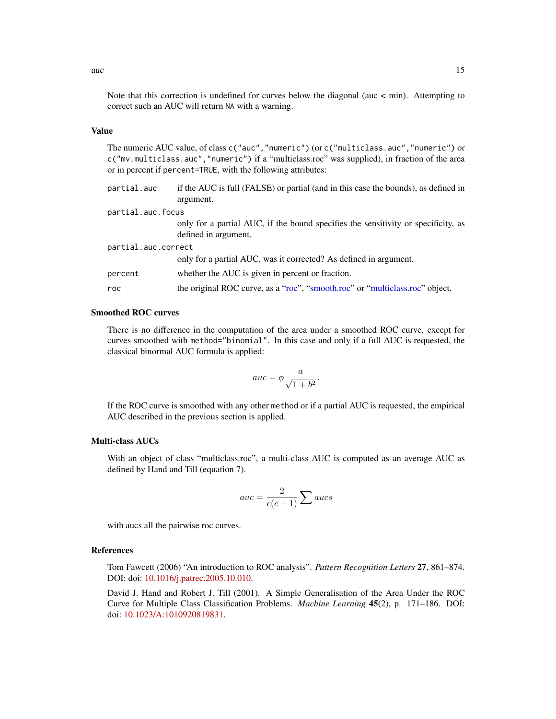# Value

The numeric AUC value, of class c("auc","numeric") (or c("multiclass.auc","numeric") or c("mv.multiclass.auc","numeric") if a "multiclass.roc" was supplied), in fraction of the area or in percent if percent=TRUE, with the following attributes:

| partial.auc         | if the AUC is full (FALSE) or partial (and in this case the bounds), as defined in<br>argument.           |
|---------------------|-----------------------------------------------------------------------------------------------------------|
| partial.auc.focus   |                                                                                                           |
|                     | only for a partial AUC, if the bound specifies the sensitivity or specificity, as<br>defined in argument. |
| partial.auc.correct |                                                                                                           |
|                     | only for a partial AUC, was it corrected? As defined in argument.                                         |
| percent             | whether the AUC is given in percent or fraction.                                                          |
| roc                 | the original ROC curve, as a "roc", "smooth.roc" or "multiclass.roc" object.                              |

# Smoothed ROC curves

There is no difference in the computation of the area under a smoothed ROC curve, except for curves smoothed with method="binomial". In this case and only if a full AUC is requested, the classical binormal AUC formula is applied:

$$
auc = \phi \frac{a}{\sqrt{1+b^2}}.
$$

If the ROC curve is smoothed with any other method or if a partial AUC is requested, the empirical AUC described in the previous section is applied.

# Multi-class AUCs

With an object of class "multiclass.roc", a multi-class AUC is computed as an average AUC as defined by Hand and Till (equation 7).

$$
auc = \frac{2}{c(c-1)} \sum aucs
$$

with aucs all the pairwise roc curves.

#### References

Tom Fawcett (2006) "An introduction to ROC analysis". *Pattern Recognition Letters* 27, 861–874. DOI: doi: [10.1016/j.patrec.2005.10.010.](https://doi.org/10.1016/j.patrec.2005.10.010)

David J. Hand and Robert J. Till (2001). A Simple Generalisation of the Area Under the ROC Curve for Multiple Class Classification Problems. *Machine Learning* 45(2), p. 171–186. DOI: doi: [10.1023/A:1010920819831.](https://doi.org/10.1023/A:1010920819831)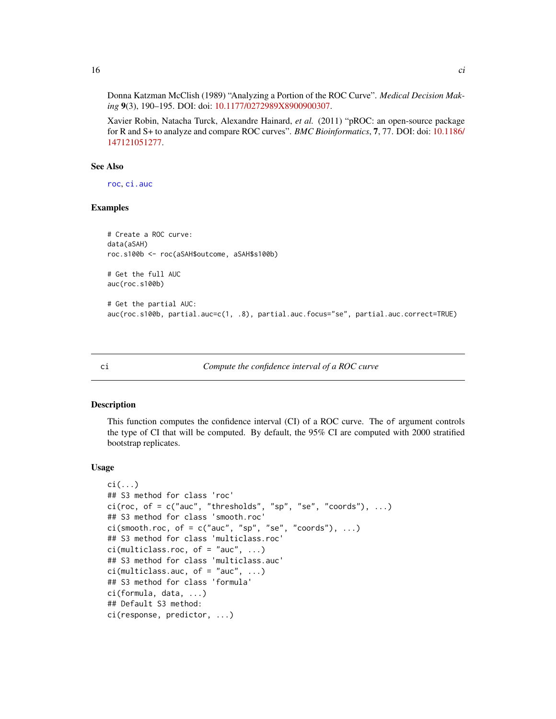Donna Katzman McClish (1989) "Analyzing a Portion of the ROC Curve". *Medical Decision Mak-*

*ing* 9(3), 190–195. DOI: doi: [10.1177/0272989X8900900307.](https://doi.org/10.1177/0272989X8900900307)

Xavier Robin, Natacha Turck, Alexandre Hainard, *et al.* (2011) "pROC: an open-source package for R and S+ to analyze and compare ROC curves". *BMC Bioinformatics*, 7, 77. DOI: doi: [10.1186/](https://doi.org/10.1186/1471-2105-12-77) [147121051277.](https://doi.org/10.1186/1471-2105-12-77)

# See Also

[roc](#page-68-1), [ci.auc](#page-17-1)

# Examples

```
# Create a ROC curve:
data(aSAH)
roc.s100b <- roc(aSAH$outcome, aSAH$s100b)
# Get the full AUC
auc(roc.s100b)
# Get the partial AUC:
auc(roc.s100b, partial.auc=c(1, .8), partial.auc.focus="se", partial.auc.correct=TRUE)
```
<span id="page-15-1"></span>

ci *Compute the confidence interval of a ROC curve*

### Description

This function computes the confidence interval (CI) of a ROC curve. The of argument controls the type of CI that will be computed. By default, the 95% CI are computed with 2000 stratified bootstrap replicates.

# Usage

```
\text{ci}(\ldots)## S3 method for class 'roc'
ci(roc, of = c("auc", "thresholds", "sp", "se", "coords"), ...)## S3 method for class 'smooth.roc'
ci(s mooth.roc, of = c("auc", "sp", "se", "coords"), ...)
## S3 method for class 'multiclass.roc'
ci(multiclass.roc, of = "auc", ...)## S3 method for class 'multiclass.auc'
ci(multiclass.auc, of = "auc", ...)## S3 method for class 'formula'
ci(formula, data, ...)
## Default S3 method:
ci(response, predictor, ...)
```
<span id="page-15-0"></span> $16$  ci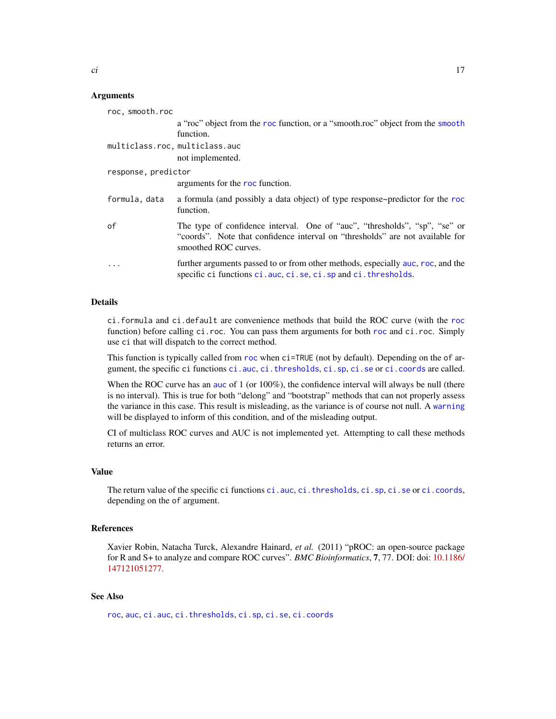#### Arguments

| roc, smooth.roc                |                                                                                                                                                                                     |
|--------------------------------|-------------------------------------------------------------------------------------------------------------------------------------------------------------------------------------|
|                                | a "roc" object from the roc function, or a "smooth.roc" object from the smooth                                                                                                      |
|                                | function.                                                                                                                                                                           |
| multiclass.roc, multiclass.auc |                                                                                                                                                                                     |
|                                | not implemented.                                                                                                                                                                    |
| response, predictor            |                                                                                                                                                                                     |
|                                | arguments for the roc function.                                                                                                                                                     |
| formula, data                  | a formula (and possibly a data object) of type response~predictor for the roc<br>function.                                                                                          |
| of                             | The type of confidence interval. One of "auc", "thresholds", "sp", "se" or<br>"coords". Note that confidence interval on "thresholds" are not available for<br>smoothed ROC curves. |
| .                              | further arguments passed to or from other methods, especially auc, roc, and the<br>specific ci functions ci.auc, ci.se, ci.sp and ci.thresholds.                                    |

#### Details

ci.formula and ci.default are convenience methods that build the ROC curve (with the [roc](#page-68-1) function) before calling ci.[roc](#page-68-1). You can pass them arguments for both roc and ci.roc. Simply use ci that will dispatch to the correct method.

This function is typically called from [roc](#page-68-1) when ci=TRUE (not by default). Depending on the of argument, the specific ci functions [ci.auc](#page-17-1), [ci.thresholds](#page-31-1), [ci.sp](#page-28-1), [ci.se](#page-25-1) or [ci.coords](#page-21-1) are called.

When the ROC curve has an [auc](#page-12-1) of 1 (or 100%), the confidence interval will always be null (there is no interval). This is true for both "delong" and "bootstrap" methods that can not properly assess the variance in this case. This result is misleading, as the variance is of course not null. A [warning](#page-0-0) will be displayed to inform of this condition, and of the misleading output.

CI of multiclass ROC curves and AUC is not implemented yet. Attempting to call these methods returns an error.

#### Value

The return value of the specific ci functions [ci.auc](#page-17-1), [ci.thresholds](#page-31-1), [ci.sp](#page-28-1), [ci.se](#page-25-1) or [ci.coords](#page-21-1), depending on the of argument.

# References

Xavier Robin, Natacha Turck, Alexandre Hainard, *et al.* (2011) "pROC: an open-source package for R and S+ to analyze and compare ROC curves". *BMC Bioinformatics*, 7, 77. DOI: doi: [10.1186/](https://doi.org/10.1186/1471-2105-12-77) [147121051277.](https://doi.org/10.1186/1471-2105-12-77)

# See Also

[roc](#page-68-1), [auc](#page-12-1), [ci.auc](#page-17-1), [ci.thresholds](#page-31-1), [ci.sp](#page-28-1), [ci.se](#page-25-1), [ci.coords](#page-21-1)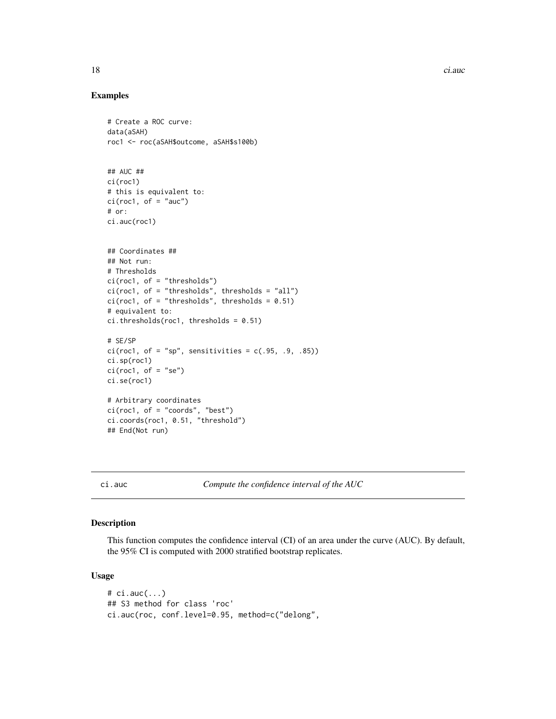18 ci.auch 2013 and 2014 and 2014 and 2014 and 2014 and 2014 and 2014 and 2014 and 2014 and 2014 and 2014 and 2014 and 2014 and 2014 and 2014 and 2014 and 2014 and 2014 and 2014 and 2014 and 2014 and 2014 and 2014 and 2014

# Examples

```
# Create a ROC curve:
data(aSAH)
roc1 <- roc(aSAH$outcome, aSAH$s100b)
## AUC ##
ci(roc1)
# this is equivalent to:
ci(root, of = "auc")# or:
ci.auc(roc1)
## Coordinates ##
## Not run:
# Thresholds
ci(roc1, of = "thresholds")
ci(roc1, of = "thresholds", thresholds = "all")
ci(root, of = "thresholds", thresholds = 0.51)# equivalent to:
ci. thresholds(roc1, thresholds = 0.51)
# SE/SP
ci(root, of = "sp", sensitivities = c(.95, .9, .85))ci.sp(roc1)
ci(root, of = "se")ci.se(roc1)
# Arbitrary coordinates
ci(roc1, of = "coords", "best")
ci.coords(roc1, 0.51, "threshold")
## End(Not run)
```
<span id="page-17-1"></span>ci.auc *Compute the confidence interval of the AUC*

# Description

This function computes the confidence interval (CI) of an area under the curve (AUC). By default, the 95% CI is computed with 2000 stratified bootstrap replicates.

#### Usage

# ci.auc(...) ## S3 method for class 'roc' ci.auc(roc, conf.level=0.95, method=c("delong",

<span id="page-17-0"></span>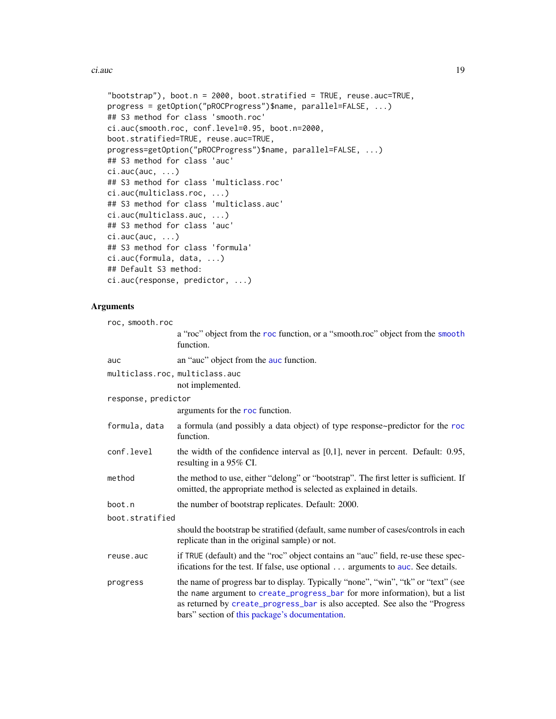ci.auc 200 and 200 and 200 and 200 and 200 and 200 and 200 and 200 and 200 and 200 and 200 and 200 and 200 and 200 and 200 and 200 and 200 and 200 and 200 and 200 and 200 and 200 and 200 and 200 and 200 and 200 and 200 and

```
"bootstrap"), boot.n = 2000, boot.stratified = TRUE, reuse.auc=TRUE,
progress = getOption("pROCProgress")$name, parallel=FALSE, ...)
## S3 method for class 'smooth.roc'
ci.auc(smooth.roc, conf.level=0.95, boot.n=2000,
boot.stratified=TRUE, reuse.auc=TRUE,
progress=getOption("pROCProgress")$name, parallel=FALSE, ...)
## S3 method for class 'auc'
ci.auc(auc, ...)## S3 method for class 'multiclass.roc'
ci.auc(multiclass.roc, ...)
## S3 method for class 'multiclass.auc'
ci.auc(multiclass.auc, ...)
## S3 method for class 'auc'
ci.auc(auc, ...)## S3 method for class 'formula'
ci.auc(formula, data, ...)
## Default S3 method:
ci.auc(response, predictor, ...)
```
#### Arguments

| roc, smooth.roc                |                                                                                                                                                                                                                                                                                                   |
|--------------------------------|---------------------------------------------------------------------------------------------------------------------------------------------------------------------------------------------------------------------------------------------------------------------------------------------------|
|                                | a "roc" object from the roc function, or a "smooth.roc" object from the smooth<br>function.                                                                                                                                                                                                       |
| auc                            | an "auc" object from the auc function.                                                                                                                                                                                                                                                            |
| multiclass.roc, multiclass.auc | not implemented.                                                                                                                                                                                                                                                                                  |
| response, predictor            |                                                                                                                                                                                                                                                                                                   |
|                                | arguments for the roc function.                                                                                                                                                                                                                                                                   |
| formula, data                  | a formula (and possibly a data object) of type response~predictor for the roc<br>function.                                                                                                                                                                                                        |
| conf.level                     | the width of the confidence interval as $[0,1]$ , never in percent. Default: 0.95,<br>resulting in a 95% CI.                                                                                                                                                                                      |
| method                         | the method to use, either "delong" or "bootstrap". The first letter is sufficient. If<br>omitted, the appropriate method is selected as explained in details.                                                                                                                                     |
| boot.n                         | the number of bootstrap replicates. Default: 2000.                                                                                                                                                                                                                                                |
| boot.stratified                |                                                                                                                                                                                                                                                                                                   |
|                                | should the bootstrap be stratified (default, same number of cases/controls in each<br>replicate than in the original sample) or not.                                                                                                                                                              |
| reuse.auc                      | if TRUE (default) and the "roc" object contains an "auc" field, re-use these spec-<br>ifications for the test. If false, use optional arguments to auc. See details.                                                                                                                              |
| progress                       | the name of progress bar to display. Typically "none", "win", "tk" or "text" (see<br>the name argument to create_progress_bar for more information), but a list<br>as returned by create_progress_bar is also accepted. See also the "Progress"<br>bars" section of this package's documentation. |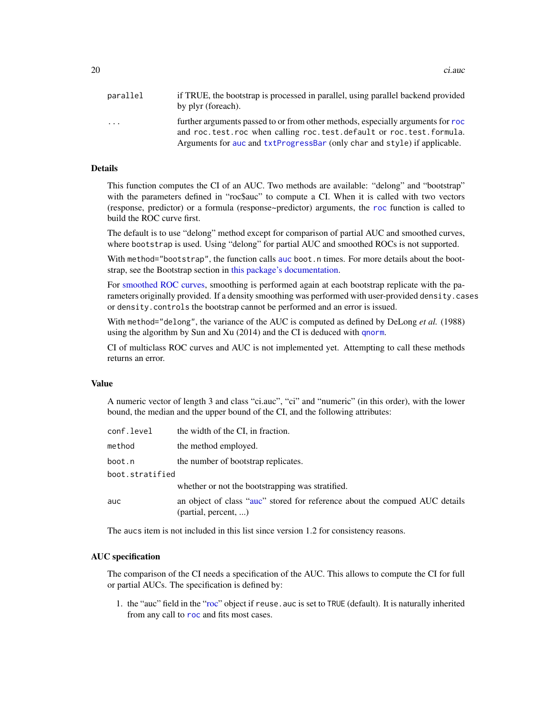20 ci.auch 20 ci.auch 20 ci.auch 20 ci.auch 20 ci.auch 20 ci.auch 20 ci.auch 20 ci.auch 20 ci.auch 20 ci.auch

| parallel | if TRUE, the bootstrap is processed in parallel, using parallel backend provided<br>by plyr (foreach).                                                                                                                              |
|----------|-------------------------------------------------------------------------------------------------------------------------------------------------------------------------------------------------------------------------------------|
| .        | further arguments passed to or from other methods, especially arguments for roc<br>and roc.test.roc when calling roc.test.default or roc.test.formula.<br>Arguments for auc and txtProgressBar (only char and style) if applicable. |

#### Details

This function computes the CI of an AUC. Two methods are available: "delong" and "bootstrap" with the parameters defined in "roc\$auc" to compute a CI. When it is called with two vectors (response, predictor) or a formula (response~predictor) arguments, the [roc](#page-68-1) function is called to build the ROC curve first.

The default is to use "delong" method except for comparison of partial AUC and smoothed curves, where bootstrap is used. Using "delong" for partial AUC and smoothed ROCs is not supported.

With method="bootstrap", the function calls [auc](#page-12-1) boot.n times. For more details about the bootstrap, see the Bootstrap section in [this package's documentation.](#page-1-1)

For [smoothed ROC curves,](#page-82-1) smoothing is performed again at each bootstrap replicate with the parameters originally provided. If a density smoothing was performed with user-provided density.cases or density.controls the bootstrap cannot be performed and an error is issued.

With method="delong", the variance of the AUC is computed as defined by DeLong *et al.* (1988) using the algorithm by Sun and Xu (2014) and the CI is deduced with [qnorm](#page-0-0).

CI of multiclass ROC curves and AUC is not implemented yet. Attempting to call these methods returns an error.

# Value

A numeric vector of length 3 and class "ci.auc", "ci" and "numeric" (in this order), with the lower bound, the median and the upper bound of the CI, and the following attributes:

| conf.level      | the width of the CI, in fraction.                                                                   |
|-----------------|-----------------------------------------------------------------------------------------------------|
| method          | the method employed.                                                                                |
| boot.n          | the number of bootstrap replicates.                                                                 |
| boot.stratified |                                                                                                     |
|                 | whether or not the bootstrapping was stratified.                                                    |
| auc             | an object of class "auc" stored for reference about the compued AUC details<br>(partial, percent, ) |

The aucs item is not included in this list since version 1.2 for consistency reasons.

### AUC specification

The comparison of the CI needs a specification of the AUC. This allows to compute the CI for full or partial AUCs. The specification is defined by:

1. the "auc" field in the ["roc"](#page-68-1) object if reuse.auc is set to TRUE (default). It is naturally inherited from any call to [roc](#page-68-1) and fits most cases.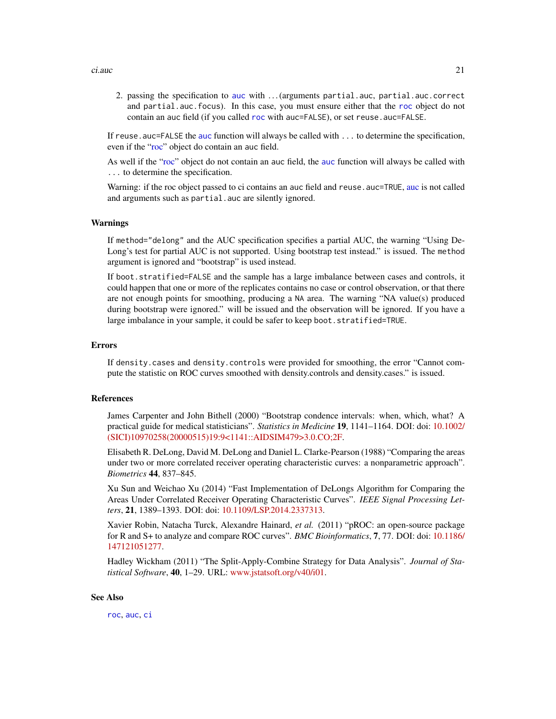2. passing the specification to [auc](#page-12-1) with . . . (arguments partial.auc, partial.auc.correct and partial.auc.focus). In this case, you must ensure either that the [roc](#page-68-1) object do not contain an auc field (if you called [roc](#page-68-1) with auc=FALSE), or set reuse.auc=FALSE.

If reuse . [auc](#page-12-1)=FALSE the auc function will always be called with . . . to determine the specification, even if the ["roc"](#page-68-1) object do contain an auc field.

As well if the ["roc"](#page-68-1) object do not contain an auc field, the [auc](#page-12-1) function will always be called with ... to determine the specification.

Warning: if the roc object passed to ci contains an [auc](#page-12-1) field and reuse. auc=TRUE, auc is not called and arguments such as partial.auc are silently ignored.

#### Warnings

If method="delong" and the AUC specification specifies a partial AUC, the warning "Using De-Long's test for partial AUC is not supported. Using bootstrap test instead." is issued. The method argument is ignored and "bootstrap" is used instead.

If boot.stratified=FALSE and the sample has a large imbalance between cases and controls, it could happen that one or more of the replicates contains no case or control observation, or that there are not enough points for smoothing, producing a NA area. The warning "NA value(s) produced during bootstrap were ignored." will be issued and the observation will be ignored. If you have a large imbalance in your sample, it could be safer to keep boot.stratified=TRUE.

#### Errors

If density.cases and density.controls were provided for smoothing, the error "Cannot compute the statistic on ROC curves smoothed with density.controls and density.cases." is issued.

#### References

James Carpenter and John Bithell (2000) "Bootstrap condence intervals: when, which, what? A practical guide for medical statisticians". *Statistics in Medicine* 19, 1141–1164. DOI: doi: [10.1002/](https://doi.org/10.1002/(SICI)1097-0258(20000515)19:9<1141::AID-SIM479>3.0.CO;2-F) [\(SICI\)10970258\(20000515\)19:9<1141::AIDSIM479>3.0.CO;2F.](https://doi.org/10.1002/(SICI)1097-0258(20000515)19:9<1141::AID-SIM479>3.0.CO;2-F)

Elisabeth R. DeLong, David M. DeLong and Daniel L. Clarke-Pearson (1988) "Comparing the areas under two or more correlated receiver operating characteristic curves: a nonparametric approach". *Biometrics* 44, 837–845.

Xu Sun and Weichao Xu (2014) "Fast Implementation of DeLongs Algorithm for Comparing the Areas Under Correlated Receiver Operating Characteristic Curves". *IEEE Signal Processing Letters*, 21, 1389–1393. DOI: doi: [10.1109/LSP.2014.2337313.](https://doi.org/10.1109/LSP.2014.2337313)

Xavier Robin, Natacha Turck, Alexandre Hainard, *et al.* (2011) "pROC: an open-source package for R and S+ to analyze and compare ROC curves". *BMC Bioinformatics*, 7, 77. DOI: doi: [10.1186/](https://doi.org/10.1186/1471-2105-12-77) [147121051277.](https://doi.org/10.1186/1471-2105-12-77)

Hadley Wickham (2011) "The Split-Apply-Combine Strategy for Data Analysis". *Journal of Statistical Software*, 40, 1–29. URL: [www.jstatsoft.org/v40/i01.](https://www.jstatsoft.org/v40/i01)

#### See Also

[roc](#page-68-1), [auc](#page-12-1), [ci](#page-15-1)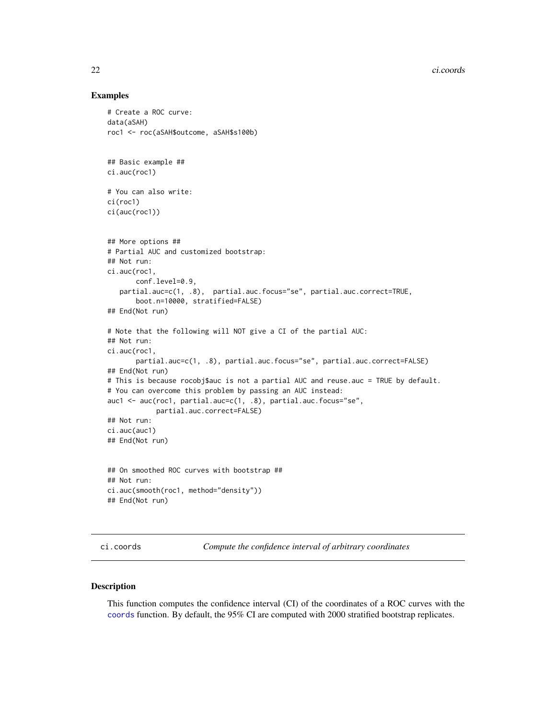# Examples

```
# Create a ROC curve:
data(aSAH)
roc1 <- roc(aSAH$outcome, aSAH$s100b)
## Basic example ##
ci.auc(roc1)
# You can also write:
ci(roc1)
ci(auc(roc1))
## More options ##
# Partial AUC and customized bootstrap:
## Not run:
ci.auc(roc1,
       conf.level=0.9,
   partial.auc=c(1, .8), partial.auc.focus="se", partial.auc.correct=TRUE,
       boot.n=10000, stratified=FALSE)
## End(Not run)
# Note that the following will NOT give a CI of the partial AUC:
## Not run:
ci.auc(roc1,
       partial.auc=c(1, .8), partial.auc.focus="se", partial.auc.correct=FALSE)
## End(Not run)
# This is because rocobj$auc is not a partial AUC and reuse.auc = TRUE by default.
# You can overcome this problem by passing an AUC instead:
auc1 <- auc(roc1, partial.auc=c(1, .8), partial.auc.focus="se",
            partial.auc.correct=FALSE)
## Not run:
ci.auc(auc1)
## End(Not run)
## On smoothed ROC curves with bootstrap ##
## Not run:
ci.auc(smooth(roc1, method="density"))
## End(Not run)
```
<span id="page-21-1"></span>ci.coords *Compute the confidence interval of arbitrary coordinates*

#### Description

This function computes the confidence interval (CI) of the coordinates of a ROC curves with the [coords](#page-34-1) function. By default, the 95% CI are computed with 2000 stratified bootstrap replicates.

<span id="page-21-0"></span>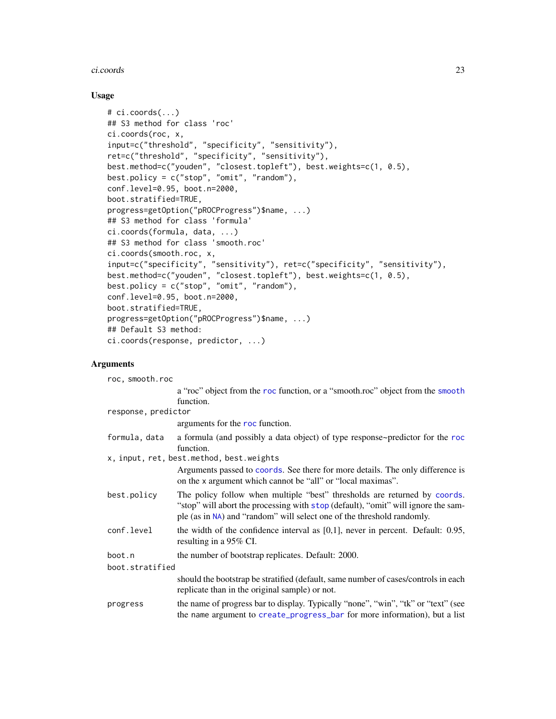#### ci.coords 23

# Usage

```
# ci.coords(...)
## S3 method for class 'roc'
ci.coords(roc, x,
input=c("threshold", "specificity", "sensitivity"),
ret=c("threshold", "specificity", "sensitivity"),
best.method=c("youden", "closest.topleft"), best.weights=c(1, 0.5),
best.policy = c("stop", "omit", "random"),
conf.level=0.95, boot.n=2000,
boot.stratified=TRUE,
progress=getOption("pROCProgress")$name, ...)
## S3 method for class 'formula'
ci.coords(formula, data, ...)
## S3 method for class 'smooth.roc'
ci.coords(smooth.roc, x,
input=c("specificity", "sensitivity"), ret=c("specificity", "sensitivity"),
best.method=c("youden", "closest.topleft"), best.weights=c(1, 0.5),
best.policy = c("stop", "omit", "random"),
conf.level=0.95, boot.n=2000,
boot.stratified=TRUE,
progress=getOption("pROCProgress")$name, ...)
## Default S3 method:
ci.coords(response, predictor, ...)
```
# Arguments

| roc, smooth.roc     |                                                                                                                                                                                                                                          |  |
|---------------------|------------------------------------------------------------------------------------------------------------------------------------------------------------------------------------------------------------------------------------------|--|
|                     | a "roc" object from the roc function, or a "smooth.roc" object from the smooth                                                                                                                                                           |  |
|                     | function.                                                                                                                                                                                                                                |  |
| response, predictor |                                                                                                                                                                                                                                          |  |
|                     | arguments for the roc function.                                                                                                                                                                                                          |  |
| formula, data       | a formula (and possibly a data object) of type response~predictor for the roc<br>function.                                                                                                                                               |  |
|                     | x, input, ret, best.method, best.weights                                                                                                                                                                                                 |  |
|                     | Arguments passed to coords. See there for more details. The only difference is<br>on the x argument which cannot be "all" or "local maximas".                                                                                            |  |
| best.policy         | The policy follow when multiple "best" thresholds are returned by coords.<br>"stop" will abort the processing with stop (default), "omit" will ignore the sam-<br>ple (as in NA) and "random" will select one of the threshold randomly. |  |
| conf.level          | the width of the confidence interval as $[0,1]$ , never in percent. Default: 0.95,<br>resulting in a 95% CI.                                                                                                                             |  |
| boot.n              | the number of bootstrap replicates. Default: 2000.                                                                                                                                                                                       |  |
| boot.stratified     |                                                                                                                                                                                                                                          |  |
|                     | should the bootstrap be stratified (default, same number of cases/controls in each<br>replicate than in the original sample) or not.                                                                                                     |  |
| progress            | the name of progress bar to display. Typically "none", "win", "tk" or "text" (see<br>the name argument to create_progress_bar for more information), but a list                                                                          |  |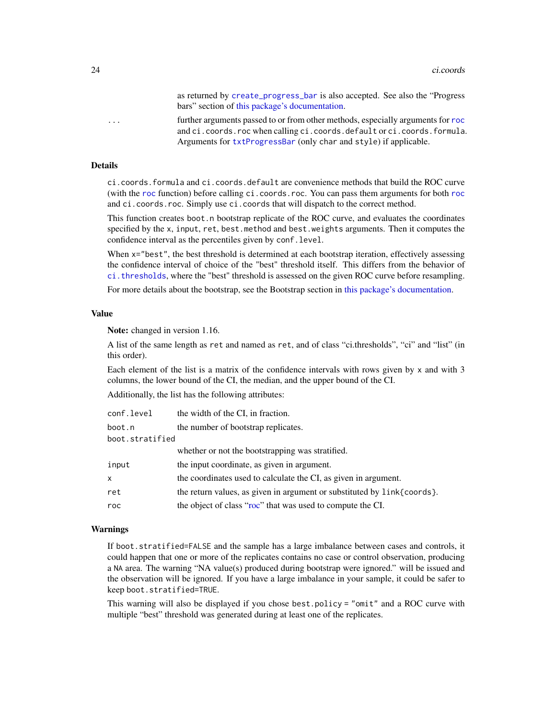as returned by [create\\_progress\\_bar](#page-0-0) is also accepted. See also the "Progress bars" section of [this package's documentation.](#page-1-1)

... further arguments passed to or from other methods, especially arguments for [roc](#page-68-1) and ci.coords.roc when calling ci.coords.default or ci.coords.formula. Arguments for [txtProgressBar](#page-0-0) (only char and style) if applicable.

#### Details

ci.coords.formula and ci.coords.default are convenience methods that build the ROC curve (with the [roc](#page-68-1) function) before calling ci.coords.roc. You can pass them arguments for both [roc](#page-68-1) and ci.coords.roc. Simply use ci.coords that will dispatch to the correct method.

This function creates boot.n bootstrap replicate of the ROC curve, and evaluates the coordinates specified by the x, input, ret, best.method and best.weights arguments. Then it computes the confidence interval as the percentiles given by conf.level.

When  $x=$ "best", the best threshold is determined at each bootstrap iteration, effectively assessing the confidence interval of choice of the "best" threshold itself. This differs from the behavior of [ci.thresholds](#page-31-1), where the "best" threshold is assessed on the given ROC curve before resampling.

For more details about the bootstrap, see the Bootstrap section in [this package's documentation.](#page-1-1)

#### Value

Note: changed in version 1.16.

A list of the same length as ret and named as ret, and of class "ci.thresholds", "ci" and "list" (in this order).

Each element of the list is a matrix of the confidence intervals with rows given by x and with 3 columns, the lower bound of the CI, the median, and the upper bound of the CI.

Additionally, the list has the following attributes:

| conf.level      | the width of the CI, in fraction.                                       |
|-----------------|-------------------------------------------------------------------------|
| boot.n          | the number of bootstrap replicates.                                     |
| boot.stratified |                                                                         |
|                 | whether or not the bootstrapping was stratified.                        |
| input           | the input coordinate, as given in argument.                             |
| x               | the coordinates used to calculate the CI, as given in argument.         |
| ret             | the return values, as given in argument or substituted by link{coords}. |
| roc             | the object of class "roc" that was used to compute the CI.              |

#### Warnings

If boot.stratified=FALSE and the sample has a large imbalance between cases and controls, it could happen that one or more of the replicates contains no case or control observation, producing a NA area. The warning "NA value(s) produced during bootstrap were ignored." will be issued and the observation will be ignored. If you have a large imbalance in your sample, it could be safer to keep boot.stratified=TRUE.

This warning will also be displayed if you chose best.policy = "omit" and a ROC curve with multiple "best" threshold was generated during at least one of the replicates.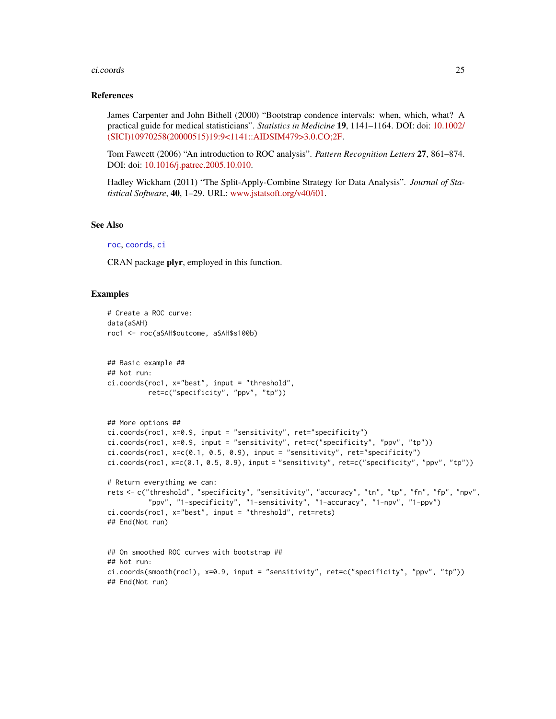#### ci.coords 25

#### References

James Carpenter and John Bithell (2000) "Bootstrap condence intervals: when, which, what? A practical guide for medical statisticians". *Statistics in Medicine* 19, 1141–1164. DOI: doi: [10.1002/](https://doi.org/10.1002/(SICI)1097-0258(20000515)19:9<1141::AID-SIM479>3.0.CO;2-F) [\(SICI\)10970258\(20000515\)19:9<1141::AIDSIM479>3.0.CO;2F.](https://doi.org/10.1002/(SICI)1097-0258(20000515)19:9<1141::AID-SIM479>3.0.CO;2-F)

Tom Fawcett (2006) "An introduction to ROC analysis". *Pattern Recognition Letters* 27, 861–874. DOI: doi: [10.1016/j.patrec.2005.10.010.](https://doi.org/10.1016/j.patrec.2005.10.010)

Hadley Wickham (2011) "The Split-Apply-Combine Strategy for Data Analysis". *Journal of Statistical Software*, 40, 1–29. URL: [www.jstatsoft.org/v40/i01.](https://www.jstatsoft.org/v40/i01)

### See Also

# [roc](#page-68-1), [coords](#page-34-1), [ci](#page-15-1)

CRAN package plyr, employed in this function.

# Examples

```
# Create a ROC curve:
data(aSAH)
roc1 <- roc(aSAH$outcome, aSAH$s100b)
## Basic example ##
## Not run:
ci.coords(roc1, x="best", input = "threshold",
          ret=c("specificity", "ppv", "tp"))
## More options ##
ci.coords(roc1, x=0.9, input = "sensitivity", ret="specificity")
ci.coords(roc1, x=0.9, input = "sensitivity", ret=c("specificity", "ppv", "tp"))
ci.coords(roc1, x=c(0.1, 0.5, 0.9), input = "sensitivity", ret="specificity")
ci.coords(roc1, x=c(0.1, 0.5, 0.9), input = "sensitivity", ret=c("specificity", "ppv", "tp"))
# Return everything we can:
rets <- c("threshold", "specificity", "sensitivity", "accuracy", "tn", "tp", "fn", "fp", "npv",
          "ppv", "1-specificity", "1-sensitivity", "1-accuracy", "1-npv", "1-ppv")
ci.coords(roc1, x="best", input = "threshold", ret=rets)
## End(Not run)
## On smoothed ROC curves with bootstrap ##
## Not run:
ci.coords(smooth(roc1), x=0.9, input = "sensitivity", ret=c("specificity", "ppv", "tp"))
## End(Not run)
```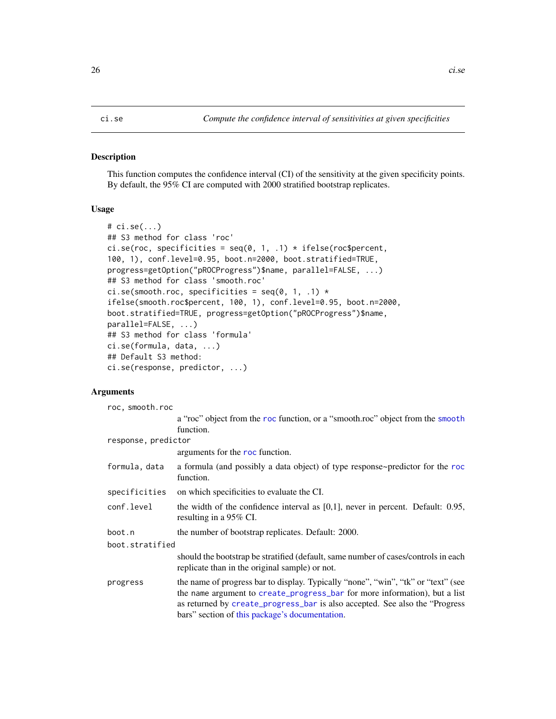#### <span id="page-25-1"></span><span id="page-25-0"></span>Description

This function computes the confidence interval (CI) of the sensitivity at the given specificity points. By default, the 95% CI are computed with 2000 stratified bootstrap replicates.

# Usage

```
# ci.se(...)
## S3 method for class 'roc'
ci.se(roc, specificities = seq(0, 1, .1) * if else(roc$percent,100, 1), conf.level=0.95, boot.n=2000, boot.stratified=TRUE,
progress=getOption("pROCProgress")$name, parallel=FALSE, ...)
## S3 method for class 'smooth.roc'
ci.se(smooth.roc, specificities = seq(0, 1, .1) *
ifelse(smooth.roc$percent, 100, 1), conf.level=0.95, boot.n=2000,
boot.stratified=TRUE, progress=getOption("pROCProgress")$name,
parallel=FALSE, ...)
## S3 method for class 'formula'
ci.se(formula, data, ...)
## Default S3 method:
ci.se(response, predictor, ...)
```
#### Arguments

| roc, smooth.roc     |                                                                                                                                                                                                                                                                                                   |  |
|---------------------|---------------------------------------------------------------------------------------------------------------------------------------------------------------------------------------------------------------------------------------------------------------------------------------------------|--|
|                     | a "roc" object from the roc function, or a "smooth.roc" object from the smooth                                                                                                                                                                                                                    |  |
|                     | function.                                                                                                                                                                                                                                                                                         |  |
| response, predictor |                                                                                                                                                                                                                                                                                                   |  |
|                     | arguments for the roc function.                                                                                                                                                                                                                                                                   |  |
| formula, data       | a formula (and possibly a data object) of type response~predictor for the roc<br>function.                                                                                                                                                                                                        |  |
| specificities       | on which specificities to evaluate the CI.                                                                                                                                                                                                                                                        |  |
| conf.level          | the width of the confidence interval as $[0,1]$ , never in percent. Default: 0.95,<br>resulting in a 95% CI.                                                                                                                                                                                      |  |
| boot.n              | the number of bootstrap replicates. Default: 2000.                                                                                                                                                                                                                                                |  |
| boot.stratified     |                                                                                                                                                                                                                                                                                                   |  |
|                     | should the bootstrap be stratified (default, same number of cases/controls in each<br>replicate than in the original sample) or not.                                                                                                                                                              |  |
| progress            | the name of progress bar to display. Typically "none", "win", "tk" or "text" (see<br>the name argument to create_progress_bar for more information), but a list<br>as returned by create_progress_bar is also accepted. See also the "Progress"<br>bars" section of this package's documentation. |  |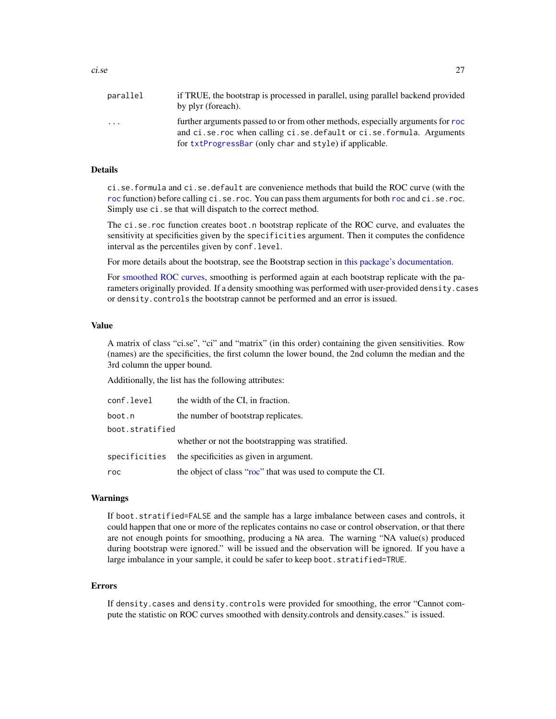| parallel | if TRUE, the bootstrap is processed in parallel, using parallel backend provided<br>by plyr (foreach). |
|----------|--------------------------------------------------------------------------------------------------------|
| .        | further arguments passed to or from other methods, especially arguments for roc                        |
|          | and ci.se.roc when calling ci.se.default or ci.se.formula. Arguments                                   |
|          | for txtProgressBar (only char and style) if applicable.                                                |

#### Details

ci.se.formula and ci.se.default are convenience methods that build the ROC curve (with the [roc](#page-68-1) function) before calling ci.se.roc. You can pass them arguments for both roc and ci.se.roc. Simply use ci.se that will dispatch to the correct method.

The ci.se.roc function creates boot.n bootstrap replicate of the ROC curve, and evaluates the sensitivity at specificities given by the specificities argument. Then it computes the confidence interval as the percentiles given by conf.level.

For more details about the bootstrap, see the Bootstrap section in [this package's documentation.](#page-1-1)

For [smoothed ROC curves,](#page-82-1) smoothing is performed again at each bootstrap replicate with the parameters originally provided. If a density smoothing was performed with user-provided density.cases or density.controls the bootstrap cannot be performed and an error is issued.

# Value

A matrix of class "ci.se", "ci" and "matrix" (in this order) containing the given sensitivities. Row (names) are the specificities, the first column the lower bound, the 2nd column the median and the 3rd column the upper bound.

Additionally, the list has the following attributes:

| conf.level      | the width of the CI, in fraction.                          |
|-----------------|------------------------------------------------------------|
| boot.n          | the number of bootstrap replicates.                        |
| boot.stratified |                                                            |
|                 | whether or not the bootstrapping was stratified.           |
| specificities   | the specificities as given in argument.                    |
| roc             | the object of class "roc" that was used to compute the CI. |

#### Warnings

If boot.stratified=FALSE and the sample has a large imbalance between cases and controls, it could happen that one or more of the replicates contains no case or control observation, or that there are not enough points for smoothing, producing a NA area. The warning "NA value(s) produced during bootstrap were ignored." will be issued and the observation will be ignored. If you have a large imbalance in your sample, it could be safer to keep boot.stratified=TRUE.

#### Errors

If density.cases and density.controls were provided for smoothing, the error "Cannot compute the statistic on ROC curves smoothed with density.controls and density.cases." is issued.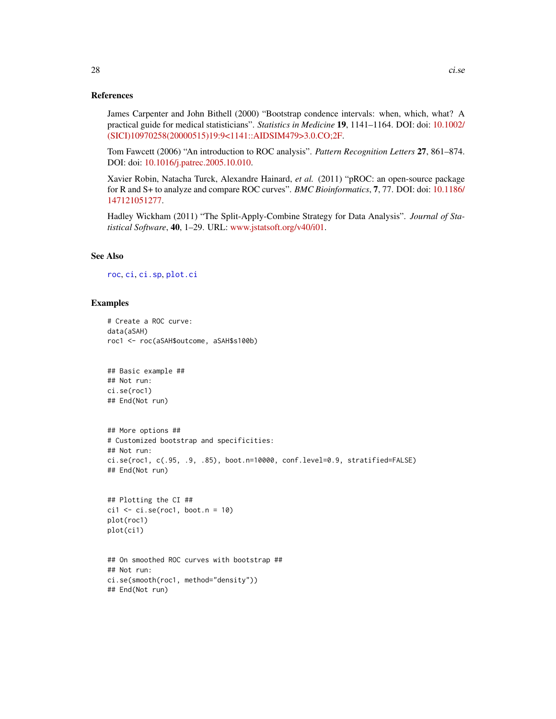#### References

James Carpenter and John Bithell (2000) "Bootstrap condence intervals: when, which, what? A practical guide for medical statisticians". *Statistics in Medicine* 19, 1141–1164. DOI: doi: [10.1002/](https://doi.org/10.1002/(SICI)1097-0258(20000515)19:9<1141::AID-SIM479>3.0.CO;2-F) [\(SICI\)10970258\(20000515\)19:9<1141::AIDSIM479>3.0.CO;2F.](https://doi.org/10.1002/(SICI)1097-0258(20000515)19:9<1141::AID-SIM479>3.0.CO;2-F)

Tom Fawcett (2006) "An introduction to ROC analysis". *Pattern Recognition Letters* 27, 861–874. DOI: doi: [10.1016/j.patrec.2005.10.010.](https://doi.org/10.1016/j.patrec.2005.10.010)

Xavier Robin, Natacha Turck, Alexandre Hainard, *et al.* (2011) "pROC: an open-source package for R and S+ to analyze and compare ROC curves". *BMC Bioinformatics*, 7, 77. DOI: doi: [10.1186/](https://doi.org/10.1186/1471-2105-12-77) [147121051277.](https://doi.org/10.1186/1471-2105-12-77)

Hadley Wickham (2011) "The Split-Apply-Combine Strategy for Data Analysis". *Journal of Statistical Software*, 40, 1–29. URL: [www.jstatsoft.org/v40/i01.](https://www.jstatsoft.org/v40/i01)

# See Also

[roc](#page-68-1), [ci](#page-15-1), [ci.sp](#page-28-1), [plot.ci](#page-54-1)

#### Examples

```
# Create a ROC curve:
data(aSAH)
roc1 <- roc(aSAH$outcome, aSAH$s100b)
## Basic example ##
## Not run:
ci.se(roc1)
## End(Not run)
## More options ##
# Customized bootstrap and specificities:
## Not run:
ci.se(roc1, c(.95, .9, .85), boot.n=10000, conf.level=0.9, stratified=FALSE)
## End(Not run)
## Plotting the CI ##
ci1 \leftarrow ci.se(root, boot.n = 10)plot(roc1)
plot(ci1)
## On smoothed ROC curves with bootstrap ##
```
## Not run: ci.se(smooth(roc1, method="density")) ## End(Not run)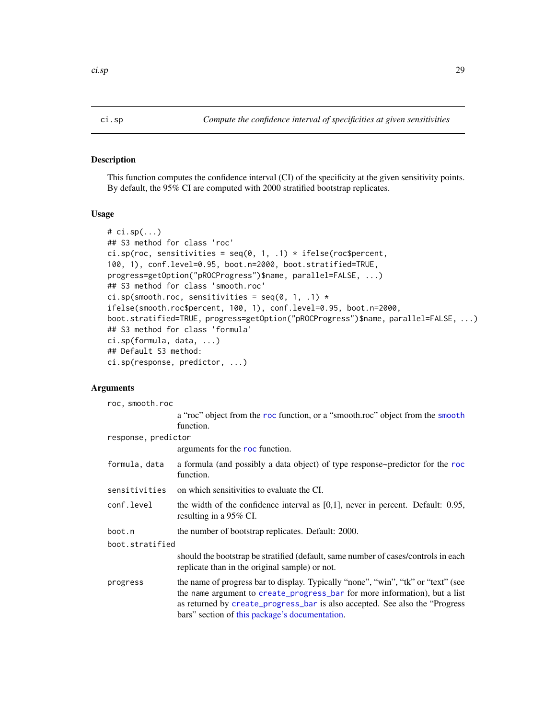# <span id="page-28-1"></span><span id="page-28-0"></span>Description

This function computes the confidence interval (CI) of the specificity at the given sensitivity points. By default, the 95% CI are computed with 2000 stratified bootstrap replicates.

# Usage

```
# ci.sp(...)
## S3 method for class 'roc'
ci.sp(roc, sensitivities = seq(0, 1, .1) * if else(roc$percent,100, 1), conf.level=0.95, boot.n=2000, boot.stratified=TRUE,
progress=getOption("pROCProgress")$name, parallel=FALSE, ...)
## S3 method for class 'smooth.roc'
ci.sp(smooth.roc, sensitivities = seq(0, 1, .1) *
ifelse(smooth.roc$percent, 100, 1), conf.level=0.95, boot.n=2000,
boot.stratified=TRUE, progress=getOption("pROCProgress")$name, parallel=FALSE, ...)
## S3 method for class 'formula'
ci.sp(formula, data, ...)
## Default S3 method:
ci.sp(response, predictor, ...)
```
#### Arguments

| roc, smooth.roc     |                                                                                                                                                                                                                                                                                                   |  |
|---------------------|---------------------------------------------------------------------------------------------------------------------------------------------------------------------------------------------------------------------------------------------------------------------------------------------------|--|
|                     | a "roc" object from the roc function, or a "smooth.roc" object from the smooth                                                                                                                                                                                                                    |  |
|                     | function.                                                                                                                                                                                                                                                                                         |  |
| response, predictor |                                                                                                                                                                                                                                                                                                   |  |
|                     | arguments for the roc function.                                                                                                                                                                                                                                                                   |  |
| formula, data       | a formula (and possibly a data object) of type response~predictor for the roc<br>function.                                                                                                                                                                                                        |  |
| sensitivities       | on which sensitivities to evaluate the CI.                                                                                                                                                                                                                                                        |  |
| conf.level          | the width of the confidence interval as $[0,1]$ , never in percent. Default: 0.95,<br>resulting in a 95% CI.                                                                                                                                                                                      |  |
| boot.n              | the number of bootstrap replicates. Default: 2000.                                                                                                                                                                                                                                                |  |
| boot.stratified     |                                                                                                                                                                                                                                                                                                   |  |
|                     | should the bootstrap be stratified (default, same number of cases/controls in each<br>replicate than in the original sample) or not.                                                                                                                                                              |  |
| progress            | the name of progress bar to display. Typically "none", "win", "tk" or "text" (see<br>the name argument to create_progress_bar for more information), but a list<br>as returned by create_progress_bar is also accepted. See also the "Progress"<br>bars" section of this package's documentation. |  |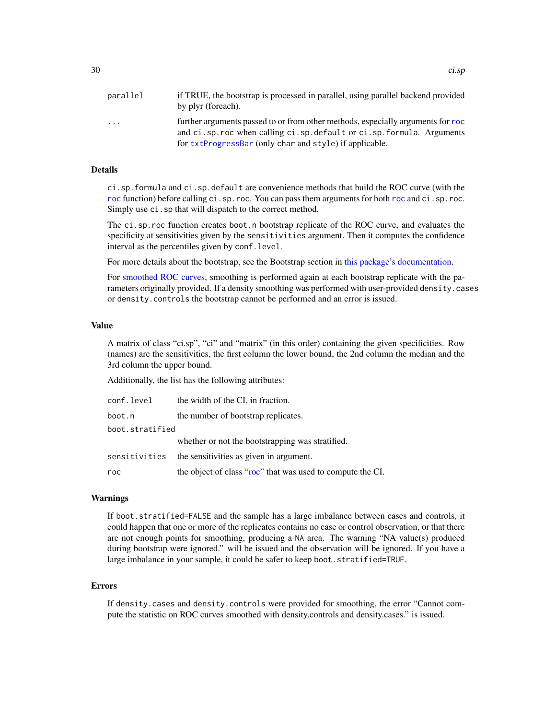| parallel | if TRUE, the bootstrap is processed in parallel, using parallel backend provided<br>by plyr (foreach).                                                     |
|----------|------------------------------------------------------------------------------------------------------------------------------------------------------------|
| .        | further arguments passed to or from other methods, especially arguments for roc<br>and ci.sp. roc when calling ci.sp. default or ci.sp. formula. Arguments |
|          | for txtProgressBar (only char and style) if applicable.                                                                                                    |

#### Details

ci.sp.formula and ci.sp.default are convenience methods that build the ROC curve (with the [roc](#page-68-1) function) before calling ci.sp.roc. You can pass them arguments for both roc and ci.sp.roc. Simply use  $ci$ . sp that will dispatch to the correct method.

The ci.sp.roc function creates boot.n bootstrap replicate of the ROC curve, and evaluates the specificity at sensitivities given by the sensitivities argument. Then it computes the confidence interval as the percentiles given by conf.level.

For more details about the bootstrap, see the Bootstrap section in [this package's documentation.](#page-1-1)

For [smoothed ROC curves,](#page-82-1) smoothing is performed again at each bootstrap replicate with the parameters originally provided. If a density smoothing was performed with user-provided density.cases or density.controls the bootstrap cannot be performed and an error is issued.

# Value

A matrix of class "ci.sp", "ci" and "matrix" (in this order) containing the given specificities. Row (names) are the sensitivities, the first column the lower bound, the 2nd column the median and the 3rd column the upper bound.

Additionally, the list has the following attributes:

| conf.level      | the width of the CI, in fraction.                          |
|-----------------|------------------------------------------------------------|
| boot.n          | the number of bootstrap replicates.                        |
| boot.stratified |                                                            |
|                 | whether or not the bootstrapping was stratified.           |
| sensitivities   | the sensitivities as given in argument.                    |
| roc             | the object of class "roc" that was used to compute the CI. |

#### Warnings

If boot.stratified=FALSE and the sample has a large imbalance between cases and controls, it could happen that one or more of the replicates contains no case or control observation, or that there are not enough points for smoothing, producing a NA area. The warning "NA value(s) produced during bootstrap were ignored." will be issued and the observation will be ignored. If you have a large imbalance in your sample, it could be safer to keep boot.stratified=TRUE.

#### Errors

If density.cases and density.controls were provided for smoothing, the error "Cannot compute the statistic on ROC curves smoothed with density.controls and density.cases." is issued.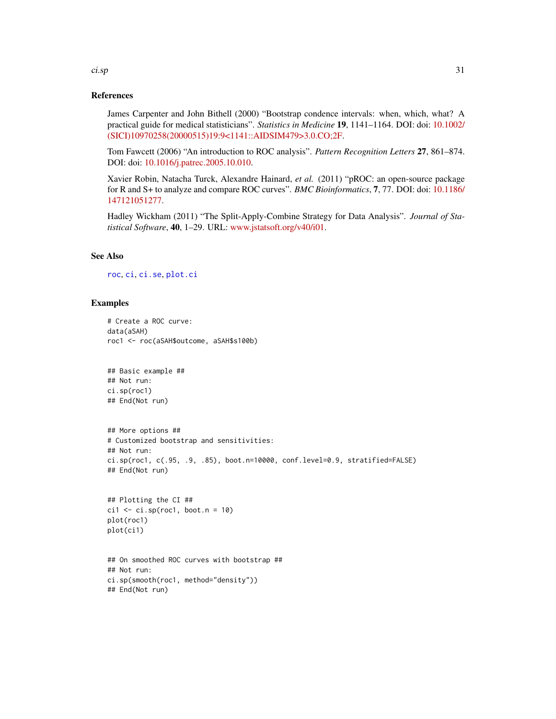#### References

James Carpenter and John Bithell (2000) "Bootstrap condence intervals: when, which, what? A practical guide for medical statisticians". *Statistics in Medicine* 19, 1141–1164. DOI: doi: [10.1002/](https://doi.org/10.1002/(SICI)1097-0258(20000515)19:9<1141::AID-SIM479>3.0.CO;2-F) [\(SICI\)10970258\(20000515\)19:9<1141::AIDSIM479>3.0.CO;2F.](https://doi.org/10.1002/(SICI)1097-0258(20000515)19:9<1141::AID-SIM479>3.0.CO;2-F)

Tom Fawcett (2006) "An introduction to ROC analysis". *Pattern Recognition Letters* 27, 861–874. DOI: doi: [10.1016/j.patrec.2005.10.010.](https://doi.org/10.1016/j.patrec.2005.10.010)

Xavier Robin, Natacha Turck, Alexandre Hainard, *et al.* (2011) "pROC: an open-source package for R and S+ to analyze and compare ROC curves". *BMC Bioinformatics*, 7, 77. DOI: doi: [10.1186/](https://doi.org/10.1186/1471-2105-12-77) [147121051277.](https://doi.org/10.1186/1471-2105-12-77)

Hadley Wickham (2011) "The Split-Apply-Combine Strategy for Data Analysis". *Journal of Statistical Software*, 40, 1–29. URL: [www.jstatsoft.org/v40/i01.](https://www.jstatsoft.org/v40/i01)

# See Also

[roc](#page-68-1), [ci](#page-15-1), [ci.se](#page-25-1), [plot.ci](#page-54-1)

#### Examples

```
# Create a ROC curve:
data(aSAH)
roc1 <- roc(aSAH$outcome, aSAH$s100b)
## Basic example ##
## Not run:
ci.sp(roc1)
## End(Not run)
## More options ##
# Customized bootstrap and sensitivities:
## Not run:
ci.sp(roc1, c(.95, .9, .85), boot.n=10000, conf.level=0.9, stratified=FALSE)
## End(Not run)
## Plotting the CI ##
ci1 \leftarrow ci.sp(root, boot.n = 10)plot(roc1)
plot(ci1)
```

```
## On smoothed ROC curves with bootstrap ##
## Not run:
ci.sp(smooth(roc1, method="density"))
## End(Not run)
```
ci.sp 31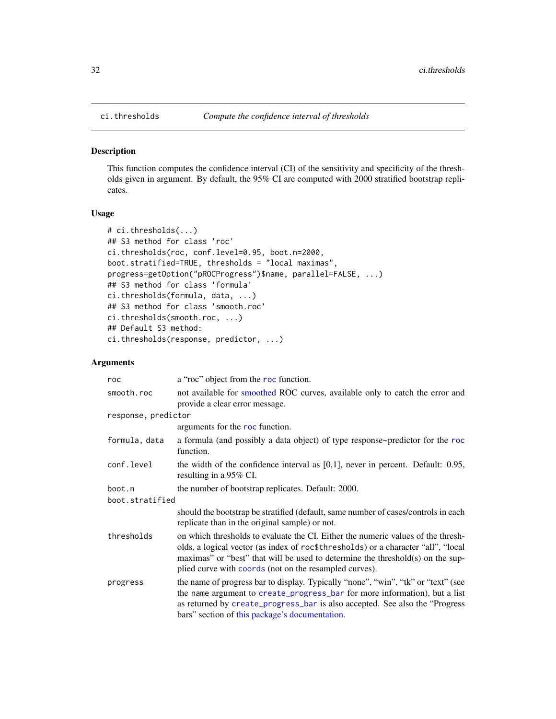<span id="page-31-1"></span><span id="page-31-0"></span>

#### Description

This function computes the confidence interval (CI) of the sensitivity and specificity of the thresholds given in argument. By default, the 95% CI are computed with 2000 stratified bootstrap replicates.

### Usage

```
# ci.thresholds(...)
## S3 method for class 'roc'
ci.thresholds(roc, conf.level=0.95, boot.n=2000,
boot.stratified=TRUE, thresholds = "local maximas",
progress=getOption("pROCProgress")$name, parallel=FALSE, ...)
## S3 method for class 'formula'
ci.thresholds(formula, data, ...)
## S3 method for class 'smooth.roc'
ci.thresholds(smooth.roc, ...)
## Default S3 method:
ci.thresholds(response, predictor, ...)
```
# Arguments

| roc                 | a "roc" object from the roc function.                                                                                                                                                                                                                                                                             |  |
|---------------------|-------------------------------------------------------------------------------------------------------------------------------------------------------------------------------------------------------------------------------------------------------------------------------------------------------------------|--|
| smooth.roc          | not available for smoothed ROC curves, available only to catch the error and<br>provide a clear error message.                                                                                                                                                                                                    |  |
| response, predictor |                                                                                                                                                                                                                                                                                                                   |  |
|                     | arguments for the roc function.                                                                                                                                                                                                                                                                                   |  |
| formula, data       | a formula (and possibly a data object) of type response~predictor for the roc<br>function.                                                                                                                                                                                                                        |  |
| conf.level          | the width of the confidence interval as $[0,1]$ , never in percent. Default: 0.95,<br>resulting in a 95% CI.                                                                                                                                                                                                      |  |
| boot.n              | the number of bootstrap replicates. Default: 2000.                                                                                                                                                                                                                                                                |  |
| boot.stratified     |                                                                                                                                                                                                                                                                                                                   |  |
|                     | should the bootstrap be stratified (default, same number of cases/controls in each<br>replicate than in the original sample) or not.                                                                                                                                                                              |  |
| thresholds          | on which thresholds to evaluate the CI. Either the numeric values of the thresh-<br>olds, a logical vector (as index of roc\$thresholds) or a character "all", "local<br>maximas" or "best" that will be used to determine the threshold(s) on the sup-<br>plied curve with coords (not on the resampled curves). |  |
| progress            | the name of progress bar to display. Typically "none", "win", "tk" or "text" (see<br>the name argument to create_progress_bar for more information), but a list<br>as returned by create_progress_bar is also accepted. See also the "Progress"<br>bars" section of this package's documentation.                 |  |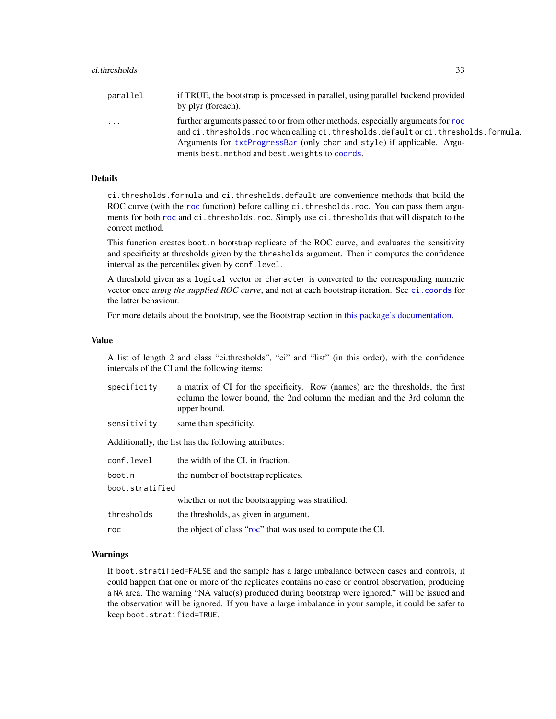| parallel | if TRUE, the bootstrap is processed in parallel, using parallel backend provided<br>by plyr (foreach).                                                                |
|----------|-----------------------------------------------------------------------------------------------------------------------------------------------------------------------|
| $\cdots$ | further arguments passed to or from other methods, especially arguments for roc<br>and ci.thresholds.roc when calling ci.thresholds.default or ci.thresholds.formula. |
|          | Arguments for txtProgressBar (only char and style) if applicable. Argu-                                                                                               |
|          | ments best. method and best. weights to coords.                                                                                                                       |

# **Details**

ci.thresholds.formula and ci.thresholds.default are convenience methods that build the ROC curve (with the [roc](#page-68-1) function) before calling ci. thresholds. roc. You can pass them arguments for both [roc](#page-68-1) and ci.thresholds.roc. Simply use ci.thresholds that will dispatch to the correct method.

This function creates boot.n bootstrap replicate of the ROC curve, and evaluates the sensitivity and specificity at thresholds given by the thresholds argument. Then it computes the confidence interval as the percentiles given by conf.level.

A threshold given as a logical vector or character is converted to the corresponding numeric vector once *using the supplied ROC curve*, and not at each bootstrap iteration. See [ci.coords](#page-21-1) for the latter behaviour.

For more details about the bootstrap, see the Bootstrap section in [this package's documentation.](#page-1-1)

#### Value

A list of length 2 and class "ci.thresholds", "ci" and "list" (in this order), with the confidence intervals of the CI and the following items:

| specificity     | a matrix of CI for the specificity. Row (names) are the thresholds, the first<br>column the lower bound, the 2nd column the median and the 3rd column the<br>upper bound. |  |
|-----------------|---------------------------------------------------------------------------------------------------------------------------------------------------------------------------|--|
| sensitivity     | same than specificity.                                                                                                                                                    |  |
|                 | Additionally, the list has the following attributes:                                                                                                                      |  |
| conf.level      | the width of the CI, in fraction.                                                                                                                                         |  |
| boot.n          | the number of bootstrap replicates.                                                                                                                                       |  |
| boot.stratified |                                                                                                                                                                           |  |
|                 | whether or not the bootstrapping was stratified.                                                                                                                          |  |
| thresholds      | the thresholds, as given in argument.                                                                                                                                     |  |
| roc             | the object of class "roc" that was used to compute the CI.                                                                                                                |  |

#### Warnings

If boot.stratified=FALSE and the sample has a large imbalance between cases and controls, it could happen that one or more of the replicates contains no case or control observation, producing a NA area. The warning "NA value(s) produced during bootstrap were ignored." will be issued and the observation will be ignored. If you have a large imbalance in your sample, it could be safer to keep boot.stratified=TRUE.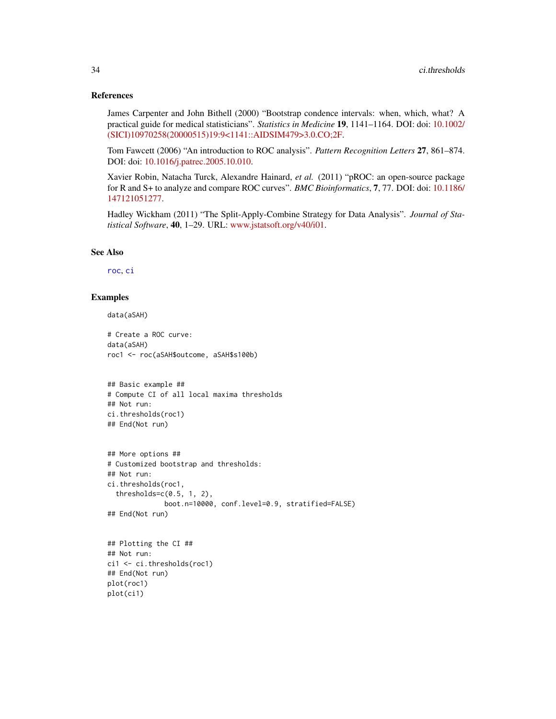#### References

James Carpenter and John Bithell (2000) "Bootstrap condence intervals: when, which, what? A practical guide for medical statisticians". *Statistics in Medicine* 19, 1141–1164. DOI: doi: [10.1002/](https://doi.org/10.1002/(SICI)1097-0258(20000515)19:9<1141::AID-SIM479>3.0.CO;2-F) [\(SICI\)10970258\(20000515\)19:9<1141::AIDSIM479>3.0.CO;2F.](https://doi.org/10.1002/(SICI)1097-0258(20000515)19:9<1141::AID-SIM479>3.0.CO;2-F)

Tom Fawcett (2006) "An introduction to ROC analysis". *Pattern Recognition Letters* 27, 861–874. DOI: doi: [10.1016/j.patrec.2005.10.010.](https://doi.org/10.1016/j.patrec.2005.10.010)

Xavier Robin, Natacha Turck, Alexandre Hainard, *et al.* (2011) "pROC: an open-source package for R and S+ to analyze and compare ROC curves". *BMC Bioinformatics*, 7, 77. DOI: doi: [10.1186/](https://doi.org/10.1186/1471-2105-12-77) [147121051277.](https://doi.org/10.1186/1471-2105-12-77)

Hadley Wickham (2011) "The Split-Apply-Combine Strategy for Data Analysis". *Journal of Statistical Software*, 40, 1–29. URL: [www.jstatsoft.org/v40/i01.](https://www.jstatsoft.org/v40/i01)

#### See Also

[roc](#page-68-1), [ci](#page-15-1)

# Examples

```
data(aSAH)
```
# Create a ROC curve: data(aSAH) roc1 <- roc(aSAH\$outcome, aSAH\$s100b)

```
## Basic example ##
# Compute CI of all local maxima thresholds
## Not run:
ci.thresholds(roc1)
## End(Not run)
```

```
## More options ##
# Customized bootstrap and thresholds:
## Not run:
ci.thresholds(roc1,
 thresholds=c(0.5, 1, 2),
              boot.n=10000, conf.level=0.9, stratified=FALSE)
## End(Not run)
```

```
## Plotting the CI ##
## Not run:
ci1 <- ci.thresholds(roc1)
## End(Not run)
plot(roc1)
plot(ci1)
```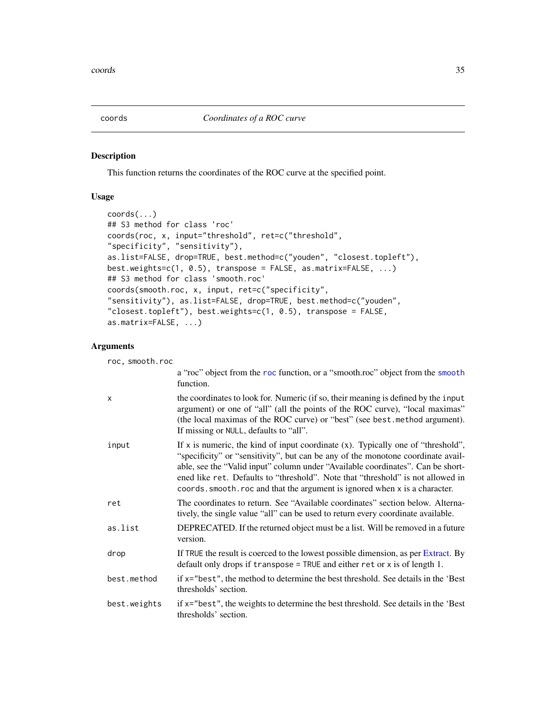<span id="page-34-1"></span><span id="page-34-0"></span>

#### Description

This function returns the coordinates of the ROC curve at the specified point.

# Usage

```
coords(...)
## S3 method for class 'roc'
coords(roc, x, input="threshold", ret=c("threshold",
"specificity", "sensitivity"),
as.list=FALSE, drop=TRUE, best.method=c("youden", "closest.topleft"),
best.weights=c(1, 0.5), transpose = FALSE, as.matrix=FALSE, ...)
## S3 method for class 'smooth.roc'
coords(smooth.roc, x, input, ret=c("specificity",
"sensitivity"), as.list=FALSE, drop=TRUE, best.method=c("youden",
"closest.topleft"), best.weights=c(1, 0.5), transpose = FALSE,
as.matrix=FALSE, ...)
```
# Arguments

roc, smooth.roc

|              | a "roc" object from the roc function, or a "smooth.roc" object from the smooth<br>function.                                                                                                                                                                                                                                                                                                                                  |
|--------------|------------------------------------------------------------------------------------------------------------------------------------------------------------------------------------------------------------------------------------------------------------------------------------------------------------------------------------------------------------------------------------------------------------------------------|
| x            | the coordinates to look for. Numeric (if so, their meaning is defined by the input<br>argument) or one of "all" (all the points of the ROC curve), "local maximas"<br>(the local maximas of the ROC curve) or "best" (see best.method argument).<br>If missing or NULL, defaults to "all".                                                                                                                                   |
| input        | If x is numeric, the kind of input coordinate $(x)$ . Typically one of "threshold",<br>"specificity" or "sensitivity", but can be any of the monotone coordinate avail-<br>able, see the "Valid input" column under "Available coordinates". Can be short-<br>ened like ret. Defaults to "threshold". Note that "threshold" is not allowed in<br>coords. smooth. roc and that the argument is ignored when x is a character. |
| ret          | The coordinates to return. See "Available coordinates" section below. Alterna-<br>tively, the single value "all" can be used to return every coordinate available.                                                                                                                                                                                                                                                           |
| as.list      | DEPRECATED. If the returned object must be a list. Will be removed in a future<br>version.                                                                                                                                                                                                                                                                                                                                   |
| drop         | If TRUE the result is coerced to the lowest possible dimension, as per Extract. By<br>default only drops if $transpose = TRUE$ and either ret or x is of length 1.                                                                                                                                                                                                                                                           |
| best.method  | if x="best", the method to determine the best threshold. See details in the 'Best<br>thresholds' section.                                                                                                                                                                                                                                                                                                                    |
| best.weights | if x="best", the weights to determine the best threshold. See details in the 'Best<br>thresholds' section.                                                                                                                                                                                                                                                                                                                   |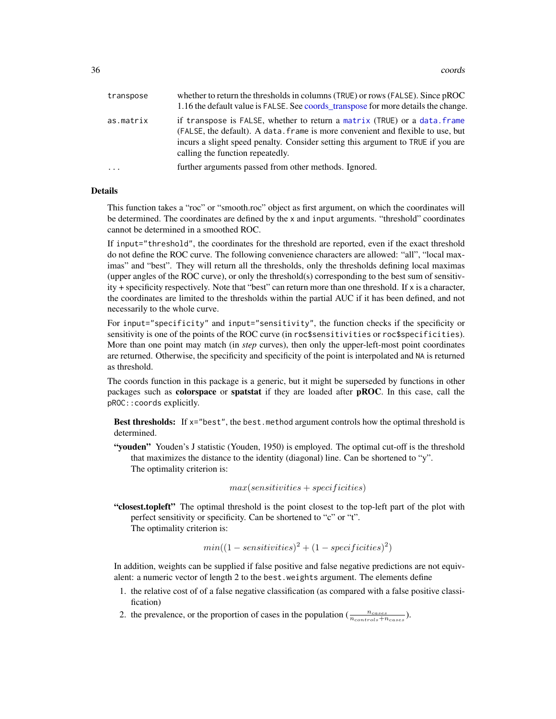| transpose | whether to return the thresholds in columns (TRUE) or rows (FALSE). Since pROC<br>1.16 the default value is FALSE. See coords transpose for more details the change.                                                                                                                 |
|-----------|--------------------------------------------------------------------------------------------------------------------------------------------------------------------------------------------------------------------------------------------------------------------------------------|
| as.matrix | if transpose is FALSE, whether to return a matrix (TRUE) or a data. frame<br>(FALSE, the default). A data. frame is more convenient and flexible to use, but<br>incurs a slight speed penalty. Consider setting this argument to TRUE if you are<br>calling the function repeatedly. |
| $\ddotsc$ | further arguments passed from other methods. Ignored.                                                                                                                                                                                                                                |

#### Details

This function takes a "roc" or "smooth.roc" object as first argument, on which the coordinates will be determined. The coordinates are defined by the x and input arguments. "threshold" coordinates cannot be determined in a smoothed ROC.

If input="threshold", the coordinates for the threshold are reported, even if the exact threshold do not define the ROC curve. The following convenience characters are allowed: "all", "local maximas" and "best". They will return all the thresholds, only the thresholds defining local maximas (upper angles of the ROC curve), or only the threshold(s) corresponding to the best sum of sensitivity + specificity respectively. Note that "best" can return more than one threshold. If x is a character, the coordinates are limited to the thresholds within the partial AUC if it has been defined, and not necessarily to the whole curve.

For input="specificity" and input="sensitivity", the function checks if the specificity or sensitivity is one of the points of the ROC curve (in roc\$sensitivities or roc\$specificities). More than one point may match (in *step* curves), then only the upper-left-most point coordinates are returned. Otherwise, the specificity and specificity of the point is interpolated and NA is returned as threshold.

The coords function in this package is a generic, but it might be superseded by functions in other packages such as colorspace or spatstat if they are loaded after pROC. In this case, call the pROC::coords explicitly.

Best thresholds: If  $x = "best",$  the best.method argument controls how the optimal threshold is determined.

"youden" Youden's J statistic (Youden, 1950) is employed. The optimal cut-off is the threshold that maximizes the distance to the identity (diagonal) line. Can be shortened to "y". The optimality criterion is:

$$
max(sensitivityies+specificities)\\
$$

"closest.topleft" The optimal threshold is the point closest to the top-left part of the plot with perfect sensitivity or specificity. Can be shortened to "c" or "t". The optimality criterion is:

$$
min((1 - sensitivities)^2 + (1 - specificities)^2)
$$

In addition, weights can be supplied if false positive and false negative predictions are not equivalent: a numeric vector of length 2 to the best.weights argument. The elements define

- 1. the relative cost of of a false negative classification (as compared with a false positive classification)
- 2. the prevalence, or the proportion of cases in the population  $(\frac{n_{cases}}{n_{controls}+n_{cases}})$ .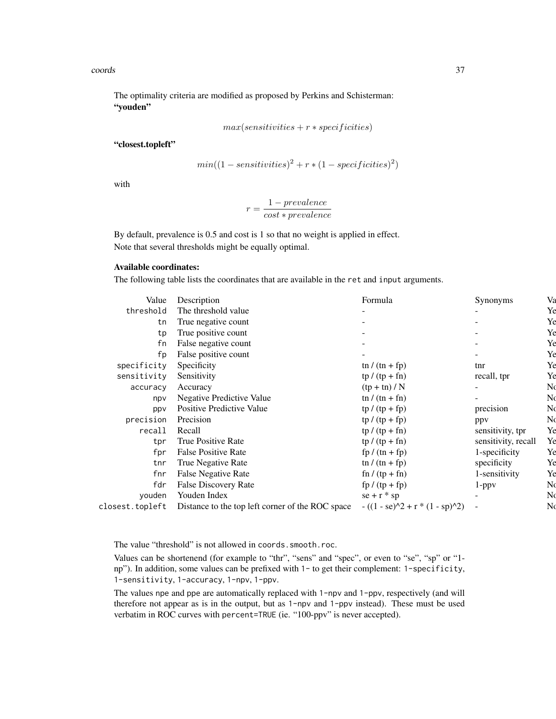## coords 37

The optimality criteria are modified as proposed by Perkins and Schisterman: "youden"

$$
max(sensitivities+r\ast specificities)
$$

"closest.topleft"

$$
min((1 - sensitivities)^2 + r * (1 - specificities)^2)
$$

with

$$
r = \frac{1 - prevalence}{cost * prevalence}
$$

By default, prevalence is 0.5 and cost is 1 so that no weight is applied in effect. Note that several thresholds might be equally optimal.

# Available coordinates:

The following table lists the coordinates that are available in the ret and input arguments.

| Value           | Description                                      | Formula                           | Synonyms            | Va |
|-----------------|--------------------------------------------------|-----------------------------------|---------------------|----|
| threshold       | The threshold value                              |                                   |                     | Ye |
|                 |                                                  |                                   |                     |    |
| tn              | True negative count                              |                                   |                     | Ye |
| tp              | True positive count                              |                                   |                     | Ye |
| fn              | False negative count                             |                                   |                     | Ye |
| fp              | False positive count                             |                                   |                     | Ye |
| specificity     | Specificity                                      | $\ln / (\ln + \text{fp})$         | tnr                 | Ye |
| sensitivity     | Sensitivity                                      | $tp/(tp + fn)$                    | recall, tpr         | Ye |
| accuracy        | Accuracy                                         | $(tp + tn) / N$                   |                     | N  |
| npv             | <b>Negative Predictive Value</b>                 | tn / $(tn + fn)$                  |                     | N  |
| ppv             | Positive Predictive Value                        | $tp / (tp + fp)$                  | precision           | N  |
| precision       | Precision                                        | $tp / (tp + fp)$                  | ppy                 | N  |
| recall          | Recall                                           | $tp / (tp + fn)$                  | sensitivity, tpr    | Ye |
| tpr             | True Positive Rate                               | $tp / (tp + fn)$                  | sensitivity, recall | Ye |
| fpr             | <b>False Positive Rate</b>                       | $fp/(tn+fp)$                      | 1-specificity       | Ye |
| tnr             | True Negative Rate                               | tn / $(tn + fp)$                  | specificity         | Ye |
| fnr             | <b>False Negative Rate</b>                       | $fn / (tp + fn)$                  | 1-sensitivity       | Ye |
| fdr             | False Discovery Rate                             | $fp / (tp + fp)$                  | $1$ -ppv            | No |
| vouden          | Youden Index                                     | $se + r * sp$                     |                     | N  |
| closest.topleft | Distance to the top left corner of the ROC space | $- ((1 - se)^2 + r * (1 - sp)^2)$ |                     | N  |
|                 |                                                  |                                   |                     |    |

The value "threshold" is not allowed in coords.smooth.roc.

Values can be shortenend (for example to "thr", "sens" and "spec", or even to "se", "sp" or "1 np"). In addition, some values can be prefixed with 1- to get their complement: 1-specificity, 1-sensitivity, 1-accuracy, 1-npv, 1-ppv.

The values npe and ppe are automatically replaced with 1-npv and 1-ppv, respectively (and will therefore not appear as is in the output, but as 1-npv and 1-ppv instead). These must be used verbatim in ROC curves with percent=TRUE (ie. "100-ppv" is never accepted).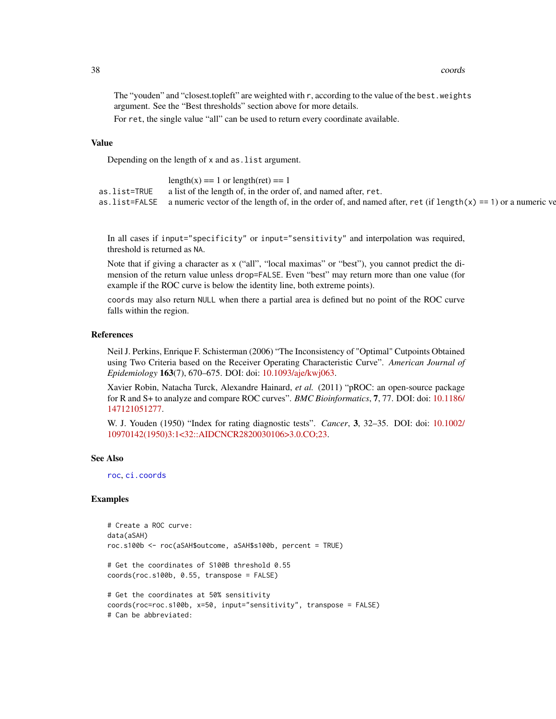## 38 coords

The "youden" and "closest.topleft" are weighted with r, according to the value of the best.weights argument. See the "Best thresholds" section above for more details.

For ret, the single value "all" can be used to return every coordinate available.

# Value

Depending on the length of x and as.list argument.

|              | $= 1$ or length(ret) $=$                                                                                                   |
|--------------|----------------------------------------------------------------------------------------------------------------------------|
| as.list=TRUE | a list of the length of, in the order of, and named after, ret.                                                            |
|              | as list=FALSE a numeric vector of the length of, in the order of, and named after, ret (if length(x) == 1) or a numeric ve |

In all cases if input="specificity" or input="sensitivity" and interpolation was required, threshold is returned as NA.

Note that if giving a character as x ("all", "local maximas" or "best"), you cannot predict the dimension of the return value unless drop=FALSE. Even "best" may return more than one value (for example if the ROC curve is below the identity line, both extreme points).

coords may also return NULL when there a partial area is defined but no point of the ROC curve falls within the region.

## References

Neil J. Perkins, Enrique F. Schisterman (2006) "The Inconsistency of "Optimal" Cutpoints Obtained using Two Criteria based on the Receiver Operating Characteristic Curve". *American Journal of Epidemiology* 163(7), 670–675. DOI: doi: [10.1093/aje/kwj063.](https://doi.org/10.1093/aje/kwj063)

Xavier Robin, Natacha Turck, Alexandre Hainard, *et al.* (2011) "pROC: an open-source package for R and S+ to analyze and compare ROC curves". *BMC Bioinformatics*, 7, 77. DOI: doi: [10.1186/](https://doi.org/10.1186/1471-2105-12-77) [147121051277.](https://doi.org/10.1186/1471-2105-12-77)

W. J. Youden (1950) "Index for rating diagnostic tests". *Cancer*, 3, 32–35. DOI: doi: [10.1002/](https://doi.org/10.1002/1097-0142(1950)3:1<32::AID-CNCR2820030106>3.0.CO;2-3) [10970142\(1950\)3:1<32::AIDCNCR2820030106>3.0.CO;23.](https://doi.org/10.1002/1097-0142(1950)3:1<32::AID-CNCR2820030106>3.0.CO;2-3)

#### See Also

[roc](#page-68-0), [ci.coords](#page-21-0)

# Examples

```
# Create a ROC curve:
data(aSAH)
roc.s100b <- roc(aSAH$outcome, aSAH$s100b, percent = TRUE)
# Get the coordinates of S100B threshold 0.55
coords(roc.s100b, 0.55, transpose = FALSE)
# Get the coordinates at 50% sensitivity
coords(roc=roc.s100b, x=50, input="sensitivity", transpose = FALSE)
# Can be abbreviated:
```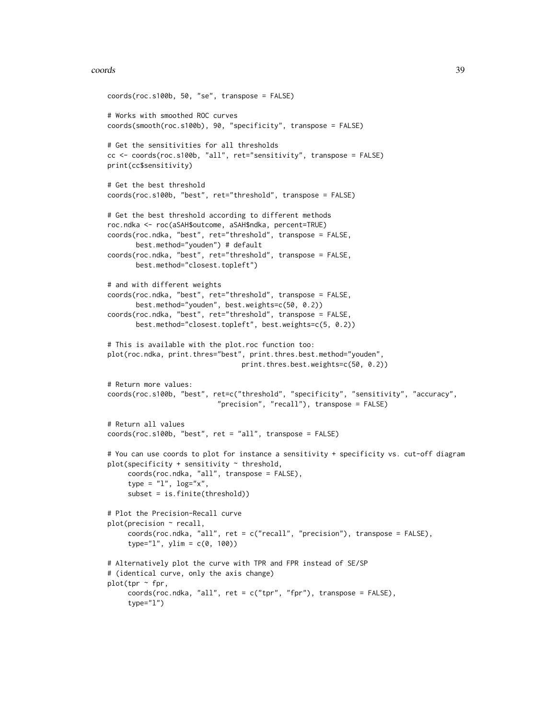## coords 39

```
coords(roc.s100b, 50, "se", transpose = FALSE)
# Works with smoothed ROC curves
coords(smooth(roc.s100b), 90, "specificity", transpose = FALSE)
# Get the sensitivities for all thresholds
cc <- coords(roc.s100b, "all", ret="sensitivity", transpose = FALSE)
print(cc$sensitivity)
# Get the best threshold
coords(roc.s100b, "best", ret="threshold", transpose = FALSE)
# Get the best threshold according to different methods
roc.ndka <- roc(aSAH$outcome, aSAH$ndka, percent=TRUE)
coords(roc.ndka, "best", ret="threshold", transpose = FALSE,
       best.method="youden") # default
coords(roc.ndka, "best", ret="threshold", transpose = FALSE,
       best.method="closest.topleft")
# and with different weights
coords(roc.ndka, "best", ret="threshold", transpose = FALSE,
       best.method="youden", best.weights=c(50, 0.2))
coords(roc.ndka, "best", ret="threshold", transpose = FALSE,
       best.method="closest.topleft", best.weights=c(5, 0.2))
# This is available with the plot.roc function too:
plot(roc.ndka, print.thres="best", print.thres.best.method="youden",
                                 print.thres.best.weights=c(50, 0.2))
# Return more values:
coords(roc.s100b, "best", ret=c("threshold", "specificity", "sensitivity", "accuracy",
                           "precision", "recall"), transpose = FALSE)
# Return all values
coords(roc.s100b, "best", ret = "all", transpose = FALSE)
# You can use coords to plot for instance a sensitivity + specificity vs. cut-off diagram
plot(specificity + sensitivity ~threshold,
     coords(roc.ndka, "all", transpose = FALSE),
     type = "1", \text{ log}='x",subset = is.finite(threshold))
# Plot the Precision-Recall curve
plot(precision ~ recall,
     coords(roc.ndka, "all", ret = c("recall", "precision"), transpose = FALSE),
     type="1", ylim = c(0, 100)# Alternatively plot the curve with TPR and FPR instead of SE/SP
# (identical curve, only the axis change)
plot(tpr - fpr,coordinates(roc.ndka, "all", ret = c("tpr", "fpr"), transpose = FALSE),type="l")
```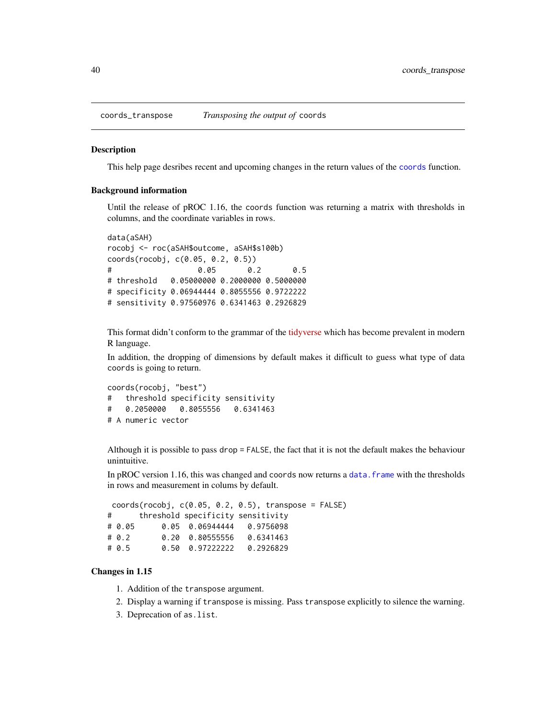## Description

This help page desribes recent and upcoming changes in the return values of the [coords](#page-34-0) function.

## Background information

Until the release of pROC 1.16, the coords function was returning a matrix with thresholds in columns, and the coordinate variables in rows.

```
data(aSAH)
rocobj <- roc(aSAH$outcome, aSAH$s100b)
coords(rocobj, c(0.05, 0.2, 0.5))
# 0.05 0.2 0.5
# threshold 0.05000000 0.2000000 0.5000000
# specificity 0.06944444 0.8055556 0.9722222
# sensitivity 0.97560976 0.6341463 0.2926829
```
This format didn't conform to the grammar of the [tidyverse](https://www.tidyverse.org/) which has become prevalent in modern R language.

In addition, the dropping of dimensions by default makes it difficult to guess what type of data coords is going to return.

```
coords(rocobj, "best")
# threshold specificity sensitivity
# 0.2050000 0.8055556 0.6341463
# A numeric vector
```
Although it is possible to pass drop = FALSE, the fact that it is not the default makes the behaviour unintuitive.

In pROC version 1.16, this was changed and coords now returns a data.  $f$  rame with the thresholds in rows and measurement in colums by default.

|          | $coords(root, c(0.05, 0.2, 0.5), transpose = FALSE)$ |           |  |  |
|----------|------------------------------------------------------|-----------|--|--|
| #        | threshold specificity sensitivity                    |           |  |  |
| # 0.05   | 0.05 0.06944444 0.9756098                            |           |  |  |
| $\#$ 0.2 | 0.20 0.80555556                                      | 0.6341463 |  |  |
| # 0.5    | $0.50 \quad 0.97222222 \quad 0.2926829$              |           |  |  |

## Changes in 1.15

- 1. Addition of the transpose argument.
- 2. Display a warning if transpose is missing. Pass transpose explicitly to silence the warning.
- 3. Deprecation of as.list.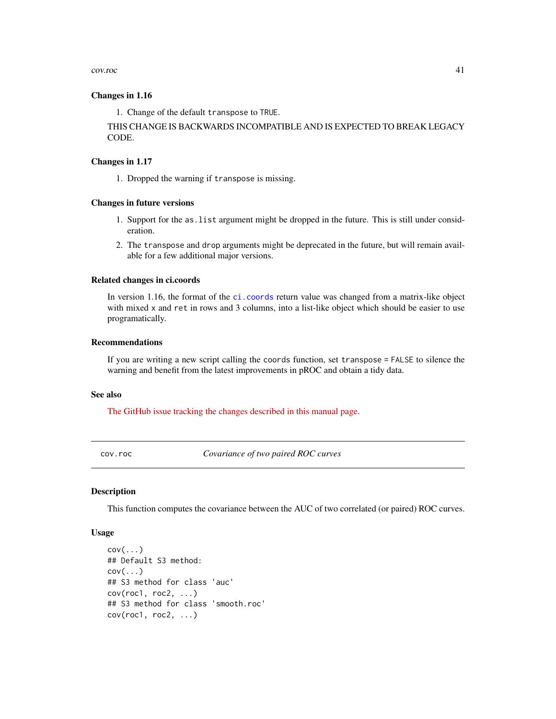cov.roc 41

## Changes in 1.16

1. Change of the default transpose to TRUE.

THIS CHANGE IS BACKWARDS INCOMPATIBLE AND IS EXPECTED TO BREAK LEGACY CODE.

# Changes in 1.17

1. Dropped the warning if transpose is missing.

## Changes in future versions

- 1. Support for the as.list argument might be dropped in the future. This is still under consideration.
- 2. The transpose and drop arguments might be deprecated in the future, but will remain available for a few additional major versions.

# Related changes in ci.coords

In version 1.16, the format of the [ci.coords](#page-21-0) return value was changed from a matrix-like object with mixed x and ret in rows and 3 columns, into a list-like object which should be easier to use programatically.

## Recommendations

If you are writing a new script calling the coords function, set transpose = FALSE to silence the warning and benefit from the latest improvements in pROC and obtain a tidy data.

## See also

[The GitHub issue tracking the changes described in this manual page.](https://github.com/xrobin/pROC/issues/54)

<span id="page-40-1"></span>cov.roc *Covariance of two paired ROC curves*

## <span id="page-40-0"></span>**Description**

This function computes the covariance between the AUC of two correlated (or paired) ROC curves.

## Usage

```
cov(\ldots)## Default S3 method:
cov(\ldots)## S3 method for class 'auc'
cov(root, roc2, ...)## S3 method for class 'smooth.roc'
cov(root, roc2, ...)
```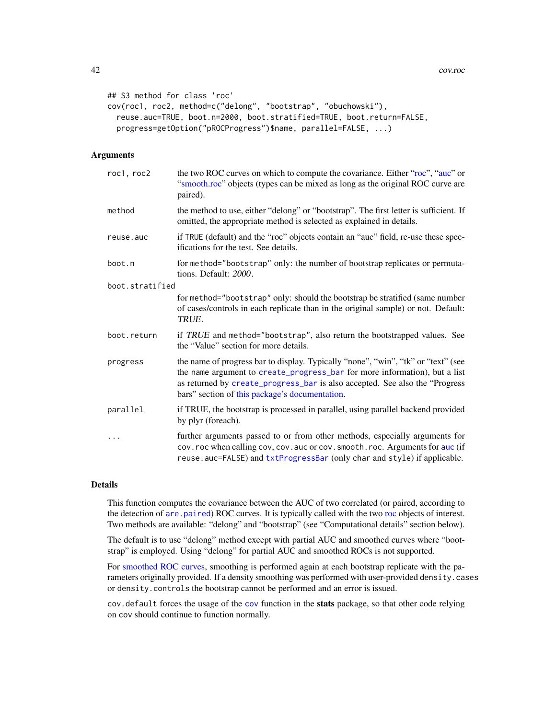```
## S3 method for class 'roc'
cov(roc1, roc2, method=c("delong", "bootstrap", "obuchowski"),
  reuse.auc=TRUE, boot.n=2000, boot.stratified=TRUE, boot.return=FALSE,
 progress=getOption("pROCProgress")$name, parallel=FALSE, ...)
```
## Arguments

| roc1, roc2      | the two ROC curves on which to compute the covariance. Either "roc", "auc" or<br>"smooth.roc" objects (types can be mixed as long as the original ROC curve are<br>paired).                                                                                                                       |
|-----------------|---------------------------------------------------------------------------------------------------------------------------------------------------------------------------------------------------------------------------------------------------------------------------------------------------|
| method          | the method to use, either "delong" or "bootstrap". The first letter is sufficient. If<br>omitted, the appropriate method is selected as explained in details.                                                                                                                                     |
| reuse.auc       | if TRUE (default) and the "roc" objects contain an "auc" field, re-use these spec-<br>ifications for the test. See details.                                                                                                                                                                       |
| boot.n          | for method="bootstrap" only: the number of bootstrap replicates or permuta-<br>tions. Default: 2000.                                                                                                                                                                                              |
| boot.stratified |                                                                                                                                                                                                                                                                                                   |
|                 | for method="bootstrap" only: should the bootstrap be stratified (same number<br>of cases/controls in each replicate than in the original sample) or not. Default:<br>TRUE.                                                                                                                        |
| boot.return     | if TRUE and method="bootstrap", also return the bootstrapped values. See<br>the "Value" section for more details.                                                                                                                                                                                 |
| progress        | the name of progress bar to display. Typically "none", "win", "tk" or "text" (see<br>the name argument to create_progress_bar for more information), but a list<br>as returned by create_progress_bar is also accepted. See also the "Progress"<br>bars" section of this package's documentation. |
| parallel        | if TRUE, the bootstrap is processed in parallel, using parallel backend provided<br>by plyr (foreach).                                                                                                                                                                                            |
|                 | further arguments passed to or from other methods, especially arguments for<br>cov. roc when calling cov, cov. auc or cov. smooth. roc. Arguments for auc (if<br>reuse.auc=FALSE) and txtProgressBar (only char and style) if applicable.                                                         |

# Details

This function computes the covariance between the AUC of two correlated (or paired, according to the detection of [are.paired](#page-9-0)) ROC curves. It is typically called with the two [roc](#page-68-0) objects of interest. Two methods are available: "delong" and "bootstrap" (see "Computational details" section below).

The default is to use "delong" method except with partial AUC and smoothed curves where "bootstrap" is employed. Using "delong" for partial AUC and smoothed ROCs is not supported.

For [smoothed ROC curves,](#page-82-0) smoothing is performed again at each bootstrap replicate with the parameters originally provided. If a density smoothing was performed with user-provided density.cases or density.controls the bootstrap cannot be performed and an error is issued.

cov.default forces the usage of the [cov](#page-40-0) function in the stats package, so that other code relying on cov should continue to function normally.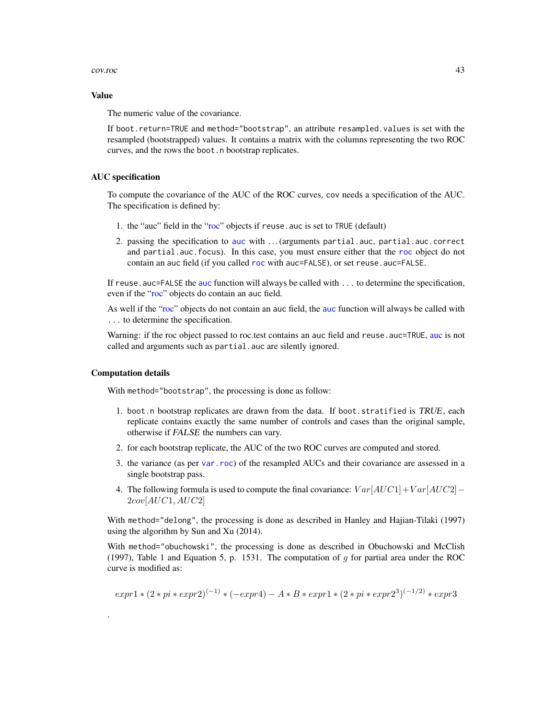## cov.roc  $\sim$  43

## Value

The numeric value of the covariance.

If boot.return=TRUE and method="bootstrap", an attribute resampled.values is set with the resampled (bootstrapped) values. It contains a matrix with the columns representing the two ROC curves, and the rows the boot.n bootstrap replicates.

## AUC specification

To compute the covariance of the AUC of the ROC curves, cov needs a specification of the AUC. The specification is defined by:

- 1. the "auc" field in the ["roc"](#page-68-0) objects if reuse.auc is set to TRUE (default)
- 2. passing the specification to [auc](#page-12-0) with . . . (arguments partial.auc, partial.auc.correct and partial.auc.focus). In this case, you must ensure either that the [roc](#page-68-0) object do not contain an auc field (if you called [roc](#page-68-0) with auc=FALSE), or set reuse.auc=FALSE.

If reuse . [auc](#page-12-0)=FALSE the auc function will always be called with . . . to determine the specification, even if the ["roc"](#page-68-0) objects do contain an auc field.

As well if the ["roc"](#page-68-0) objects do not contain an auc field, the [auc](#page-12-0) function will always be called with ... to determine the specification.

Warning: if the roc object passed to roc.test contains an [auc](#page-12-0) field and reuse. auc=TRUE, auc is not called and arguments such as partial. auc are silently ignored.

## Computation details

.

With method="bootstrap", the processing is done as follow:

- 1. boot.n bootstrap replicates are drawn from the data. If boot.stratified is TRUE, each replicate contains exactly the same number of controls and cases than the original sample, otherwise if FALSE the numbers can vary.
- 2. for each bootstrap replicate, the AUC of the two ROC curves are computed and stored.
- 3. the variance (as per [var.roc](#page-88-0)) of the resampled AUCs and their covariance are assessed in a single bootstrap pass.
- 4. The following formula is used to compute the final covariance:  $Var[AUC1]+Var[AUC2]$   $2cov[AUC1, AUC2]$

With method="delong", the processing is done as described in Hanley and Hajian-Tilaki (1997) using the algorithm by Sun and Xu (2014).

With method="obuchowski", the processing is done as described in Obuchowski and McClish (1997), Table 1 and Equation 5, p. 1531. The computation of  $g$  for partial area under the ROC curve is modified as:

$$
expr1 * (2 * pi * expr2)^{(-1)} * (-expr4) - A * B * expr1 * (2 * pi * expr2^3)^{(-1/2)} * expr3
$$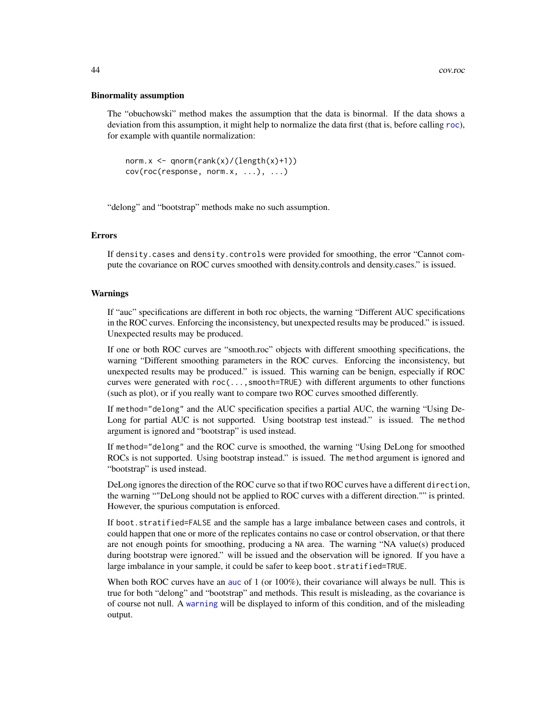## Binormality assumption

The "obuchowski" method makes the assumption that the data is binormal. If the data shows a deviation from this assumption, it might help to normalize the data first (that is, before calling [roc](#page-68-0)), for example with quantile normalization:

```
norm.x \leq qnorm(rank(x)/(length(x)+1))cov(roc(response, norm.x, ...), ...)
```
"delong" and "bootstrap" methods make no such assumption.

## Errors

If density.cases and density.controls were provided for smoothing, the error "Cannot compute the covariance on ROC curves smoothed with density.controls and density.cases." is issued.

## Warnings

If "auc" specifications are different in both roc objects, the warning "Different AUC specifications in the ROC curves. Enforcing the inconsistency, but unexpected results may be produced." is issued. Unexpected results may be produced.

If one or both ROC curves are "smooth.roc" objects with different smoothing specifications, the warning "Different smoothing parameters in the ROC curves. Enforcing the inconsistency, but unexpected results may be produced." is issued. This warning can be benign, especially if ROC curves were generated with roc(...,smooth=TRUE) with different arguments to other functions (such as plot), or if you really want to compare two ROC curves smoothed differently.

If method="delong" and the AUC specification specifies a partial AUC, the warning "Using De-Long for partial AUC is not supported. Using bootstrap test instead." is issued. The method argument is ignored and "bootstrap" is used instead.

If method="delong" and the ROC curve is smoothed, the warning "Using DeLong for smoothed ROCs is not supported. Using bootstrap instead." is issued. The method argument is ignored and "bootstrap" is used instead.

DeLong ignores the direction of the ROC curve so that if two ROC curves have a different direction, the warning ""DeLong should not be applied to ROC curves with a different direction."" is printed. However, the spurious computation is enforced.

If boot.stratified=FALSE and the sample has a large imbalance between cases and controls, it could happen that one or more of the replicates contains no case or control observation, or that there are not enough points for smoothing, producing a NA area. The warning "NA value(s) produced during bootstrap were ignored." will be issued and the observation will be ignored. If you have a large imbalance in your sample, it could be safer to keep boot.stratified=TRUE.

When both ROC curves have an [auc](#page-12-0) of 1 (or 100%), their covariance will always be null. This is true for both "delong" and "bootstrap" and methods. This result is misleading, as the covariance is of course not null. A [warning](#page-0-0) will be displayed to inform of this condition, and of the misleading output.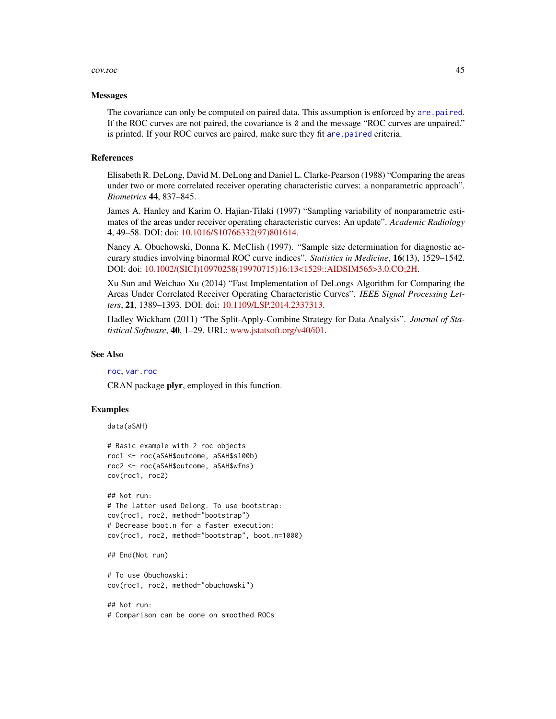## cov.roc  $\sim$  45

#### **Messages**

The covariance can only be computed on paired data. This assumption is enforced by [are.paired](#page-9-0). If the ROC curves are not paired, the covariance is 0 and the message "ROC curves are unpaired." is printed. If your ROC curves are paired, make sure they fit are paired criteria.

#### References

Elisabeth R. DeLong, David M. DeLong and Daniel L. Clarke-Pearson (1988) "Comparing the areas under two or more correlated receiver operating characteristic curves: a nonparametric approach". *Biometrics* 44, 837–845.

James A. Hanley and Karim O. Hajian-Tilaki (1997) "Sampling variability of nonparametric estimates of the areas under receiver operating characteristic curves: An update". *Academic Radiology* 4, 49–58. DOI: doi: [10.1016/S10766332\(97\)801614.](https://doi.org/10.1016/S1076-6332(97)80161-4)

Nancy A. Obuchowski, Donna K. McClish (1997). "Sample size determination for diagnostic accurary studies involving binormal ROC curve indices". *Statistics in Medicine*, 16(13), 1529–1542. DOI: doi: [10.1002/\(SICI\)10970258\(19970715\)16:13<1529::AIDSIM565>3.0.CO;2H.](https://doi.org/10.1002/(SICI)1097-0258(19970715)16:13<1529::AID-SIM565>3.0.CO;2-H)

Xu Sun and Weichao Xu (2014) "Fast Implementation of DeLongs Algorithm for Comparing the Areas Under Correlated Receiver Operating Characteristic Curves". *IEEE Signal Processing Letters*, 21, 1389–1393. DOI: doi: [10.1109/LSP.2014.2337313.](https://doi.org/10.1109/LSP.2014.2337313)

Hadley Wickham (2011) "The Split-Apply-Combine Strategy for Data Analysis". *Journal of Statistical Software*, 40, 1–29. URL: [www.jstatsoft.org/v40/i01.](https://www.jstatsoft.org/v40/i01)

## See Also

[roc](#page-68-0), [var.roc](#page-88-0)

CRAN package plyr, employed in this function.

# Examples

data(aSAH)

```
# Basic example with 2 roc objects
roc1 <- roc(aSAH$outcome, aSAH$s100b)
roc2 <- roc(aSAH$outcome, aSAH$wfns)
cov(roc1, roc2)
```

```
## Not run:
# The latter used Delong. To use bootstrap:
cov(roc1, roc2, method="bootstrap")
# Decrease boot.n for a faster execution:
cov(roc1, roc2, method="bootstrap", boot.n=1000)
```
## End(Not run)

# To use Obuchowski: cov(roc1, roc2, method="obuchowski")

## Not run: # Comparison can be done on smoothed ROCs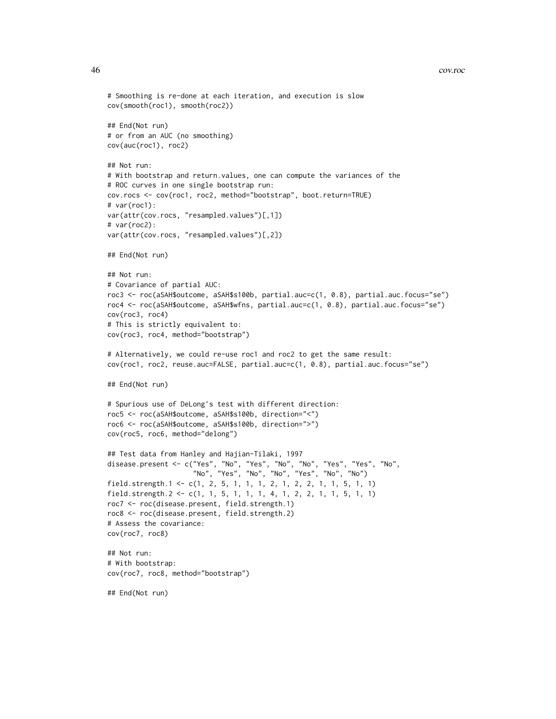## 46 cov.roc

```
# Smoothing is re-done at each iteration, and execution is slow
cov(smooth(roc1), smooth(roc2))
## End(Not run)
# or from an AUC (no smoothing)
cov(auc(roc1), roc2)
## Not run:
# With bootstrap and return.values, one can compute the variances of the
# ROC curves in one single bootstrap run:
cov.rocs <- cov(roc1, roc2, method="bootstrap", boot.return=TRUE)
# var(roc1):
var(attr(cov.rocs, "resampled.values")[,1])
# var(roc2):
var(attr(cov.rocs, "resampled.values")[,2])
## End(Not run)
## Not run:
# Covariance of partial AUC:
roc3 <- roc(aSAH$outcome, aSAH$s100b, partial.auc=c(1, 0.8), partial.auc.focus="se")
roc4 <- roc(aSAH$outcome, aSAH$wfns, partial.auc=c(1, 0.8), partial.auc.focus="se")
cov(roc3, roc4)
# This is strictly equivalent to:
cov(roc3, roc4, method="bootstrap")
# Alternatively, we could re-use roc1 and roc2 to get the same result:
cov(roc1, roc2, reuse.auc=FALSE, partial.auc=c(1, 0.8), partial.auc.focus="se")
## End(Not run)
# Spurious use of DeLong's test with different direction:
roc5 <- roc(aSAH$outcome, aSAH$s100b, direction="<")
roc6 <- roc(aSAH$outcome, aSAH$s100b, direction=">")
cov(roc5, roc6, method="delong")
## Test data from Hanley and Hajian-Tilaki, 1997
disease.present <- c("Yes", "No", "Yes", "No", "No", "Yes", "Yes", "No",
                     "No", "Yes", "No", "No", "Yes", "No", "No")
field.strength.1 <- c(1, 2, 5, 1, 1, 1, 2, 1, 2, 2, 1, 1, 5, 1, 1)
field.strength.2 <- c(1, 1, 5, 1, 1, 1, 4, 1, 2, 2, 1, 1, 5, 1, 1)
roc7 <- roc(disease.present, field.strength.1)
roc8 <- roc(disease.present, field.strength.2)
# Assess the covariance:
cov(roc7, roc8)
## Not run:
# With bootstrap:
cov(roc7, roc8, method="bootstrap")
## End(Not run)
```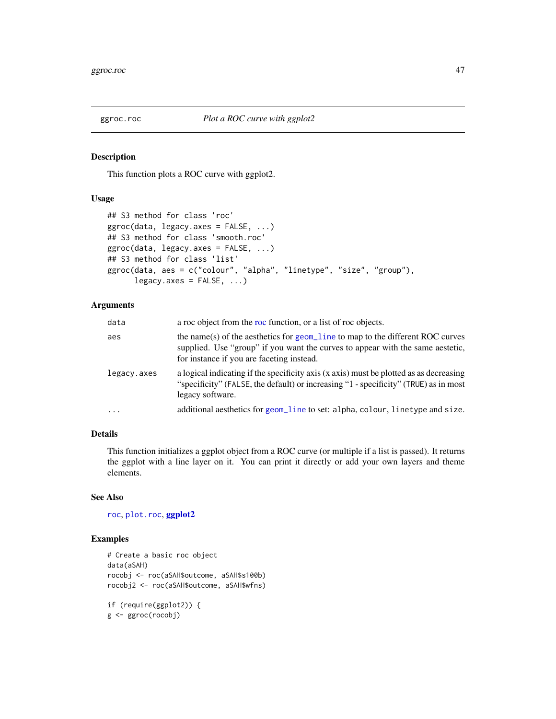## Description

This function plots a ROC curve with ggplot2.

# Usage

```
## S3 method for class 'roc'
ggroc(data, legacy.axes = FALSE, ...)
## S3 method for class 'smooth.roc'
ggroc(data, legacy.axes = FALSE, ...)## S3 method for class 'list'
ggroc(data, aes = c("colour", "alpha", "linetype", "size", "group"),
      legacy.axes = FALSE, ...)
```
# Arguments

| data        | a roc object from the roc function, or a list of roc objects.                                                                                                                                                 |
|-------------|---------------------------------------------------------------------------------------------------------------------------------------------------------------------------------------------------------------|
| aes         | the name(s) of the aesthetics for geom_line to map to the different ROC curves<br>supplied. Use "group" if you want the curves to appear with the same aestetic,<br>for instance if you are faceting instead. |
| legacy.axes | a logical indicating if the specificity axis (x axis) must be plotted as as decreasing<br>"specificity" (FALSE, the default) or increasing "1 - specificity" (TRUE) as in most<br>legacy software.            |
| $\ddotsc$   | additional aesthetics for geom_line to set: alpha, colour, linetype and size.                                                                                                                                 |

# Details

This function initializes a ggplot object from a ROC curve (or multiple if a list is passed). It returns the ggplot with a line layer on it. You can print it directly or add your own layers and theme elements.

# See Also

[roc](#page-68-0), [plot.roc](#page-56-0), [ggplot2](#page-0-0)

# Examples

```
# Create a basic roc object
data(aSAH)
rocobj <- roc(aSAH$outcome, aSAH$s100b)
rocobj2 <- roc(aSAH$outcome, aSAH$wfns)
if (require(ggplot2)) {
g <- ggroc(rocobj)
```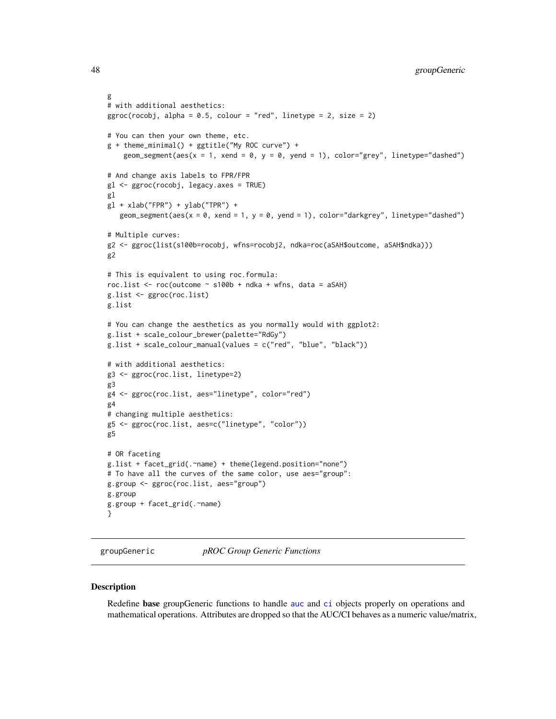```
g
# with additional aesthetics:
ggroc(rocobj, alpha = 0.5, colour = "red", linetype = 2, size = 2)# You can then your own theme, etc.
g + theme_minimal() + ggtitle("My ROC curve") +
    geom_segment(aes(x = 1, xend = 0, y = 0, yend = 1), color="grey", linetype="dashed")
# And change axis labels to FPR/FPR
gl <- ggroc(rocobj, legacy.axes = TRUE)
gl
gl + xlab("FPR") + ylab("TPR") +geom_segment(aes(x = 0, xend = 1, y = 0, yend = 1), color="darkgrey", linetype="dashed")
# Multiple curves:
g2 <- ggroc(list(s100b=rocobj, wfns=rocobj2, ndka=roc(aSAH$outcome, aSAH$ndka)))
g2
# This is equivalent to using roc.formula:
roc.list \le roc(outcome \le s100b + ndka + wfns, data = aSAH)
g.list <- ggroc(roc.list)
g.list
# You can change the aesthetics as you normally would with ggplot2:
g.list + scale_colour_brewer(palette="RdGy")
g.list + scale_colour_manual(values = c("red", "blue", "black"))
# with additional aesthetics:
g3 <- ggroc(roc.list, linetype=2)
g3
g4 <- ggroc(roc.list, aes="linetype", color="red")
g4
# changing multiple aesthetics:
g5 <- ggroc(roc.list, aes=c("linetype", "color"))
g5
# OR faceting
g.list + facet_grid(.~name) + theme(legend.position="none")
# To have all the curves of the same color, use aes="group":
g.group <- ggroc(roc.list, aes="group")
g.group
g.group + facet_grid(.~name)
}
```
<span id="page-47-0"></span>groupGeneric *pROC Group Generic Functions*

#### **Description**

Redefine base groupGeneric functions to handle [auc](#page-12-0) and [ci](#page-15-0) objects properly on operations and mathematical operations. Attributes are dropped so that the AUC/CI behaves as a numeric value/matrix,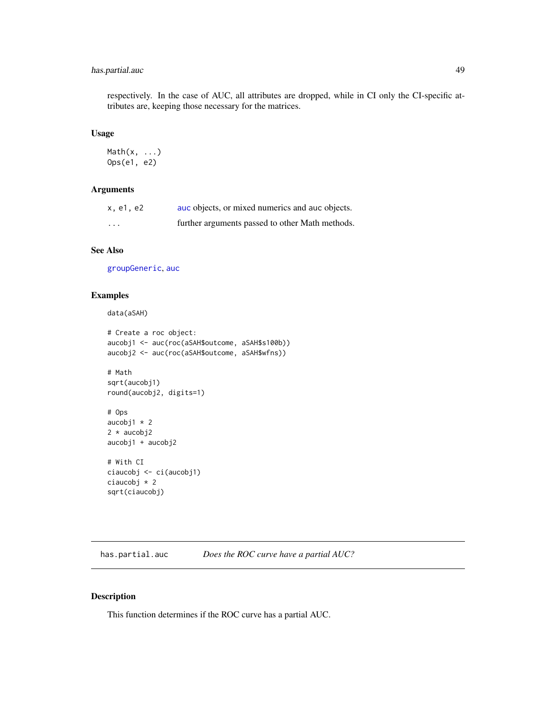# has.partial.auc 49

respectively. In the case of AUC, all attributes are dropped, while in CI only the CI-specific attributes are, keeping those necessary for the matrices.

## Usage

```
Math(x, ...)
Ops(e1, e2)
```
# Arguments

| x.e1.e2                 | auc objects, or mixed numerics and auc objects. |
|-------------------------|-------------------------------------------------|
| $\cdot$ $\cdot$ $\cdot$ | further arguments passed to other Math methods. |

# See Also

[groupGeneric](#page-47-0), [auc](#page-12-0)

# Examples

```
data(aSAH)
```

```
# Create a roc object:
aucobj1 <- auc(roc(aSAH$outcome, aSAH$s100b))
aucobj2 <- auc(roc(aSAH$outcome, aSAH$wfns))
# Math
sqrt(aucobj1)
round(aucobj2, digits=1)
# Ops
```

```
aucobj1 * 2
2 * aucobj2
aucobj1 + aucobj2
# With CI
```

```
ciaucobj <- ci(aucobj1)
ciaucobj * 2
sqrt(ciaucobj)
```
has.partial.auc *Does the ROC curve have a partial AUC?*

# Description

This function determines if the ROC curve has a partial AUC.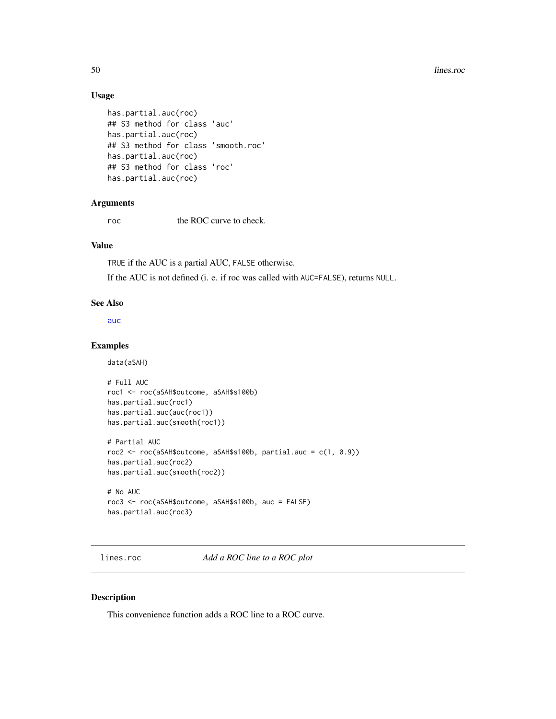# Usage

```
has.partial.auc(roc)
## S3 method for class 'auc'
has.partial.auc(roc)
## S3 method for class 'smooth.roc'
has.partial.auc(roc)
## S3 method for class 'roc'
has.partial.auc(roc)
```
## Arguments

roc the ROC curve to check.

# Value

TRUE if the AUC is a partial AUC, FALSE otherwise.

If the AUC is not defined (i. e. if roc was called with AUC=FALSE), returns NULL.

#### See Also

[auc](#page-12-0)

# Examples

data(aSAH)

```
# Full AUC
roc1 <- roc(aSAH$outcome, aSAH$s100b)
has.partial.auc(roc1)
has.partial.auc(auc(roc1))
has.partial.auc(smooth(roc1))
# Partial AUC
roc2 <- roc(aSAH$outcome, aSAH$s100b, partial.auc = c(1, 0.9))
has.partial.auc(roc2)
has.partial.auc(smooth(roc2))
# No AUC
roc3 <- roc(aSAH$outcome, aSAH$s100b, auc = FALSE)
```

```
has.partial.auc(roc3)
```
lines.roc *Add a ROC line to a ROC plot*

# Description

This convenience function adds a ROC line to a ROC curve.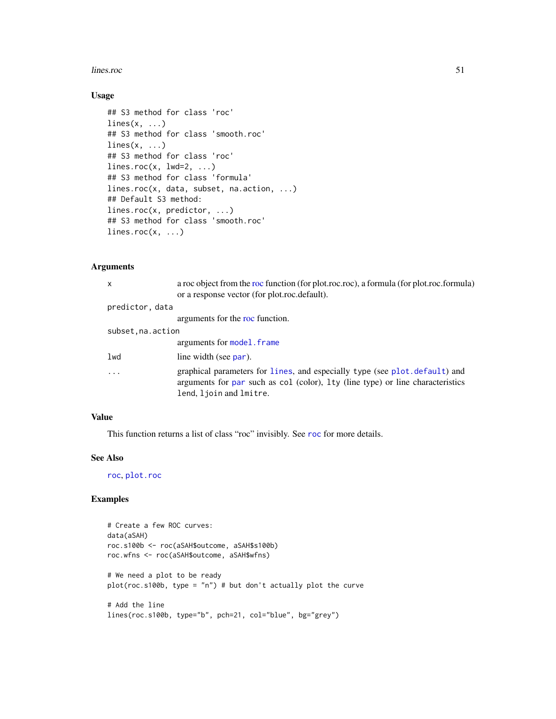## lines.roc 51

# Usage

```
## S3 method for class 'roc'
lines(x, \ldots)## S3 method for class 'smooth.roc'
lines(x, \ldots)## S3 method for class 'roc'
lines.roc(x, 1wd=2, ...)
## S3 method for class 'formula'
lines.roc(x, data, subset, na.action, ...)
## Default S3 method:
lines.roc(x, predictor, ...)
## S3 method for class 'smooth.roc'
lines.roc(x, \ldots)
```
# Arguments

| $\mathsf{x}$       | a roc object from the roc function (for plot.roc.roc), a formula (for plot.roc.formula)<br>or a response vector (for plot.roc.default).                                                 |
|--------------------|-----------------------------------------------------------------------------------------------------------------------------------------------------------------------------------------|
| predictor, data    |                                                                                                                                                                                         |
|                    | arguments for the roc function.                                                                                                                                                         |
| subset, na. action |                                                                                                                                                                                         |
|                    | arguments for model. frame                                                                                                                                                              |
| lwd                | line width (see par).                                                                                                                                                                   |
| .                  | graphical parameters for lines, and especially type (see plot.default) and<br>arguments for par such as col (color), 1ty (line type) or line characteristics<br>lend, ljoin and lmitre. |

# Value

This function returns a list of class "roc" invisibly. See [roc](#page-68-0) for more details.

## See Also

[roc](#page-68-0), [plot.roc](#page-56-0)

# Examples

```
# Create a few ROC curves:
data(aSAH)
roc.s100b <- roc(aSAH$outcome, aSAH$s100b)
roc.wfns <- roc(aSAH$outcome, aSAH$wfns)
# We need a plot to be ready
plot(roc.s100b, type = "n") # but don't actually plot the curve
# Add the line
lines(roc.s100b, type="b", pch=21, col="blue", bg="grey")
```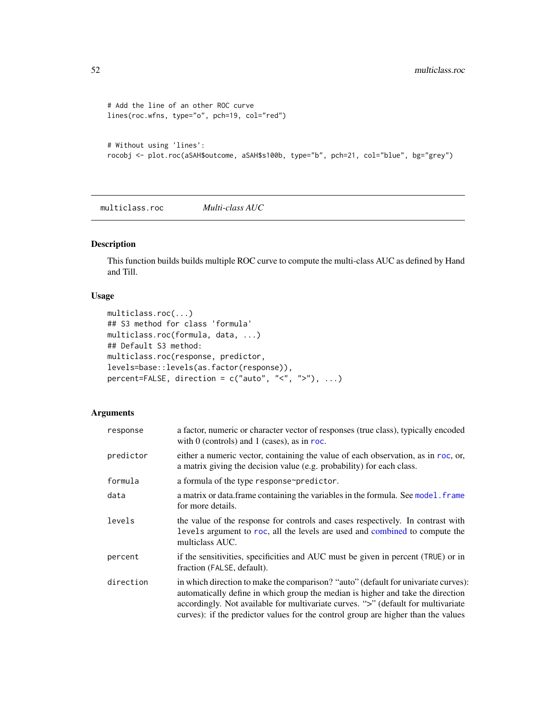```
# Add the line of an other ROC curve
lines(roc.wfns, type="o", pch=19, col="red")
# Without using 'lines':
rocobj <- plot.roc(aSAH$outcome, aSAH$s100b, type="b", pch=21, col="blue", bg="grey")
```
multiclass.roc *Multi-class AUC*

# Description

This function builds builds multiple ROC curve to compute the multi-class AUC as defined by Hand and Till.

# Usage

```
multiclass.roc(...)
## S3 method for class 'formula'
multiclass.roc(formula, data, ...)
## Default S3 method:
multiclass.roc(response, predictor,
levels=base::levels(as.factor(response)),
percent=FALSE, direction = c("auto", "<", ">"); ...)
```
# Arguments

| response  | a factor, numeric or character vector of responses (true class), typically encoded<br>with $0$ (controls) and $1$ (cases), as in roc.                                                                                                                                                                                                           |
|-----------|-------------------------------------------------------------------------------------------------------------------------------------------------------------------------------------------------------------------------------------------------------------------------------------------------------------------------------------------------|
| predictor | either a numeric vector, containing the value of each observation, as in roc, or,<br>a matrix giving the decision value (e.g. probability) for each class.                                                                                                                                                                                      |
| formula   | a formula of the type response~predictor.                                                                                                                                                                                                                                                                                                       |
| data      | a matrix or data. frame containing the variables in the formula. See model. frame<br>for more details.                                                                                                                                                                                                                                          |
| levels    | the value of the response for controls and cases respectively. In contrast with<br>levels argument to roc, all the levels are used and combined to compute the<br>multiclass AUC.                                                                                                                                                               |
| percent   | if the sensitivities, specificities and AUC must be given in percent (TRUE) or in<br>fraction (FALSE, default).                                                                                                                                                                                                                                 |
| direction | in which direction to make the comparison? "auto" (default for univariate curves):<br>automatically define in which group the median is higher and take the direction<br>accordingly. Not available for multivariate curves. ">" (default for multivariate<br>curves): if the predictor values for the control group are higher than the values |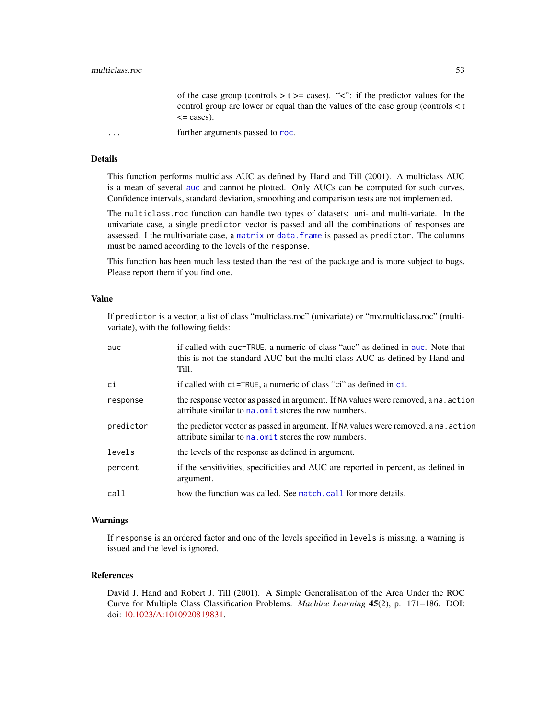of the case group (controls  $> t \ge$  cases). " $\lt$ ": if the predictor values for the control group are lower or equal than the values of the case group (controls < t  $\leq$  cases).

... **further arguments passed to [roc](#page-68-0).** 

# Details

This function performs multiclass AUC as defined by Hand and Till (2001). A multiclass AUC is a mean of several [auc](#page-12-0) and cannot be plotted. Only AUCs can be computed for such curves. Confidence intervals, standard deviation, smoothing and comparison tests are not implemented.

The multiclass.roc function can handle two types of datasets: uni- and multi-variate. In the univariate case, a single predictor vector is passed and all the combinations of responses are assessed. I the multivariate case, a [matrix](#page-0-0) or [data.frame](#page-0-0) is passed as predictor. The columns must be named according to the levels of the response.

This function has been much less tested than the rest of the package and is more subject to bugs. Please report them if you find one.

# Value

If predictor is a vector, a list of class "multiclass.roc" (univariate) or "mv.multiclass.roc" (multivariate), with the following fields:

| auc       | if called with auc=TRUE, a numeric of class "auc" as defined in auc. Note that<br>this is not the standard AUC but the multi-class AUC as defined by Hand and<br>Till. |
|-----------|------------------------------------------------------------------------------------------------------------------------------------------------------------------------|
| ci        | if called with $ci$ =TRUE, a numeric of class "ci" as defined in $ci$ .                                                                                                |
| response  | the response vector as passed in argument. If NA values were removed, a na. action<br>attribute similar to na. omit stores the row numbers.                            |
| predictor | the predictor vector as passed in argument. If NA values were removed, a na. action<br>attribute similar to na. omit stores the row numbers.                           |
| levels    | the levels of the response as defined in argument.                                                                                                                     |
| percent   | if the sensitivities, specificities and AUC are reported in percent, as defined in<br>argument.                                                                        |
| call      | how the function was called. See match, call for more details.                                                                                                         |

#### Warnings

If response is an ordered factor and one of the levels specified in levels is missing, a warning is issued and the level is ignored.

## References

David J. Hand and Robert J. Till (2001). A Simple Generalisation of the Area Under the ROC Curve for Multiple Class Classification Problems. *Machine Learning* 45(2), p. 171–186. DOI: doi: [10.1023/A:1010920819831.](https://doi.org/10.1023/A:1010920819831)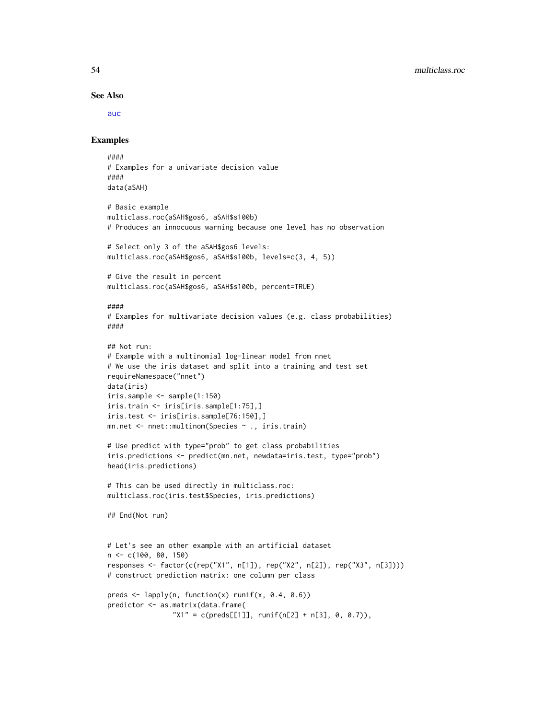#### See Also

[auc](#page-12-0)

# Examples

```
####
# Examples for a univariate decision value
####
data(aSAH)
# Basic example
multiclass.roc(aSAH$gos6, aSAH$s100b)
# Produces an innocuous warning because one level has no observation
# Select only 3 of the aSAH$gos6 levels:
multiclass.roc(aSAH$gos6, aSAH$s100b, levels=c(3, 4, 5))
# Give the result in percent
multiclass.roc(aSAH$gos6, aSAH$s100b, percent=TRUE)
####
# Examples for multivariate decision values (e.g. class probabilities)
####
## Not run:
# Example with a multinomial log-linear model from nnet
# We use the iris dataset and split into a training and test set
requireNamespace("nnet")
data(iris)
iris.sample <- sample(1:150)
iris.train <- iris[iris.sample[1:75],]
iris.test <- iris[iris.sample[76:150],]
mn.net <- nnet::multinom(Species ~ ., iris.train)
# Use predict with type="prob" to get class probabilities
iris.predictions <- predict(mn.net, newdata=iris.test, type="prob")
head(iris.predictions)
# This can be used directly in multiclass.roc:
multiclass.roc(iris.test$Species, iris.predictions)
## End(Not run)
# Let's see an other example with an artificial dataset
n <- c(100, 80, 150)
responses <- factor(c(rep("X1", n[1]), rep("X2", n[2]), rep("X3", n[3])))
# construct prediction matrix: one column per class
preds <- lapply(n, function(x) runif(x, 0.4, 0.6))
predictor <- as.matrix(data.frame(
                "X1" = c(preds[[1]], runif(n[2] + n[3], 0, 0.7)),
```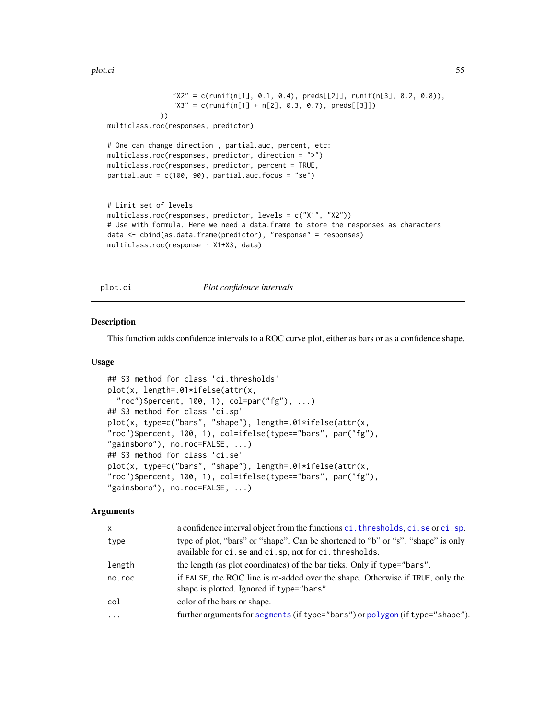plot.ci 55

```
"X2" = c(runif(n[1], 0.1, 0.4), \text{preds}[[2]], \text{runif}(n[3], 0.2, 0.8)),"X3" = c(runif(n[1] + n[2], 0.3, 0.7), preds[[3]])))
multiclass.roc(responses, predictor)
# One can change direction , partial.auc, percent, etc:
multiclass.roc(responses, predictor, direction = ">")
multiclass.roc(responses, predictor, percent = TRUE,
partial.auc = c(100, 90), partial.auc.focus = "se")
# Limit set of levels
multiclass.roc(responses, predictor, levels = c("X1", "X2"))
# Use with formula. Here we need a data.frame to store the responses as characters
data <- cbind(as.data.frame(predictor), "response" = responses)
multiclass.roc(response ~ X1+X3, data)
```
plot.ci *Plot confidence intervals*

## **Description**

This function adds confidence intervals to a ROC curve plot, either as bars or as a confidence shape.

## Usage

```
## S3 method for class 'ci.thresholds'
plot(x, length=.01*ifelse(attr(x,
  "roc")$percent, 100, 1), col=par("fg"), ...)
## S3 method for class 'ci.sp'
plot(x, type=c("bars", "shape"), length=.01*ifelse(attr(x,
"roc")$percent, 100, 1), col=ifelse(type=="bars", par("fg"),
"gainsboro"), no.roc=FALSE, ...)
## S3 method for class 'ci.se'
plot(x, type=c("bars", "shape"), length=.01*ifelse(attr(x,
"roc")$percent, 100, 1), col=ifelse(type=="bars", par("fg"),
"gainsboro"), no.roc=FALSE, ...)
```
## Arguments

| X       | a confidence interval object from the functions ci. thresholds, ci. se or ci. sp.                                                         |
|---------|-------------------------------------------------------------------------------------------------------------------------------------------|
| type    | type of plot, "bars" or "shape". Can be shortened to "b" or "s". "shape" is only<br>available for ci.se and ci.sp, not for ci.thresholds. |
| length  | the length (as plot coordinates) of the bar ticks. Only if type="bars".                                                                   |
| no.roc  | if FALSE, the ROC line is re-added over the shape. Otherwise if TRUE, only the<br>shape is plotted. Ignored if type="bars"                |
| col     | color of the bars or shape.                                                                                                               |
| $\cdot$ | further arguments for segments (if type="bars") or polygon (if type="shape").                                                             |
|         |                                                                                                                                           |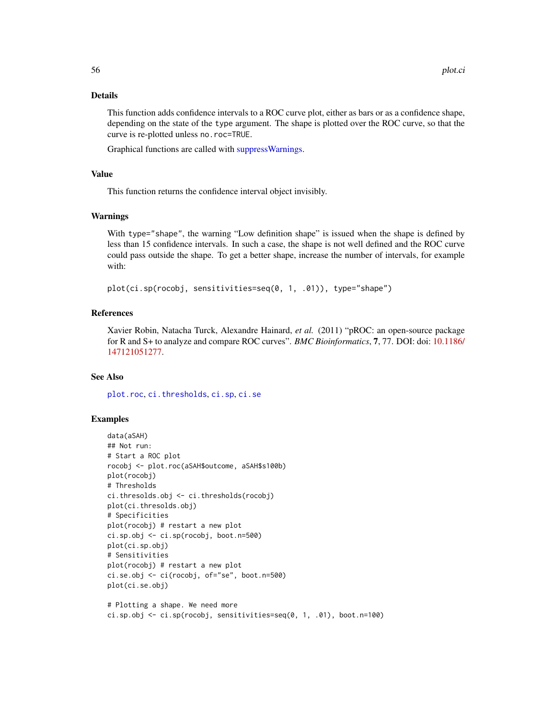## Details

This function adds confidence intervals to a ROC curve plot, either as bars or as a confidence shape, depending on the state of the type argument. The shape is plotted over the ROC curve, so that the curve is re-plotted unless no.roc=TRUE.

Graphical functions are called with [suppressWarnings.](#page-0-0)

# Value

This function returns the confidence interval object invisibly.

## Warnings

With type="shape", the warning "Low definition shape" is issued when the shape is defined by less than 15 confidence intervals. In such a case, the shape is not well defined and the ROC curve could pass outside the shape. To get a better shape, increase the number of intervals, for example with:

plot(ci.sp(rocobj, sensitivities=seq(0, 1, .01)), type="shape")

## References

Xavier Robin, Natacha Turck, Alexandre Hainard, *et al.* (2011) "pROC: an open-source package for R and S+ to analyze and compare ROC curves". *BMC Bioinformatics*, 7, 77. DOI: doi: [10.1186/](https://doi.org/10.1186/1471-2105-12-77) [147121051277.](https://doi.org/10.1186/1471-2105-12-77)

## See Also

[plot.roc](#page-56-0), [ci.thresholds](#page-31-0), [ci.sp](#page-28-0), [ci.se](#page-25-0)

## Examples

```
data(aSAH)
## Not run:
# Start a ROC plot
rocobj <- plot.roc(aSAH$outcome, aSAH$s100b)
plot(rocobj)
# Thresholds
ci.thresolds.obj <- ci.thresholds(rocobj)
plot(ci.thresolds.obj)
# Specificities
plot(rocobj) # restart a new plot
ci.sp.obj <- ci.sp(rocobj, boot.n=500)
plot(ci.sp.obj)
# Sensitivities
plot(rocobj) # restart a new plot
ci.se.obj <- ci(rocobj, of="se", boot.n=500)
plot(ci.se.obj)
# Plotting a shape. We need more
```
ci.sp.obj  $\leq$  ci.sp(rocobj, sensitivities=seq(0, 1, .01), boot.n=100)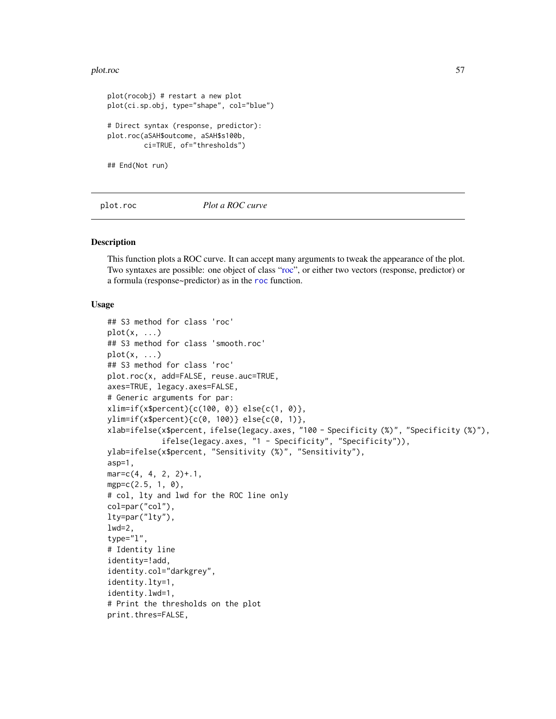## plot.roc 57

```
plot(rocobj) # restart a new plot
plot(ci.sp.obj, type="shape", col="blue")
# Direct syntax (response, predictor):
plot.roc(aSAH$outcome, aSAH$s100b,
        ci=TRUE, of="thresholds")
## End(Not run)
```
<span id="page-56-0"></span>plot.roc *Plot a ROC curve*

## <span id="page-56-1"></span>Description

This function plots a ROC curve. It can accept many arguments to tweak the appearance of the plot. Two syntaxes are possible: one object of class ["roc"](#page-68-0), or either two vectors (response, predictor) or a formula (response~predictor) as in the [roc](#page-68-0) function.

## Usage

```
## S3 method for class 'roc'
plot(x, \ldots)## S3 method for class 'smooth.roc'
plot(x, \ldots)## S3 method for class 'roc'
plot.roc(x, add=FALSE, reuse.auc=TRUE,
axes=TRUE, legacy.axes=FALSE,
# Generic arguments for par:
xlim=if(x$percent){c(100, 0)} else{c(1, 0)},
ylim=if(x$percent){c(0, 100)} else{c(0, 1)},
xlab=ifelse(x$percent, ifelse(legacy.axes, "100 - Specificity (%)", "Specificity (%)"),
            ifelse(legacy.axes, "1 - Specificity", "Specificity")),
ylab=ifelse(x$percent, "Sensitivity (%)", "Sensitivity"),
asp=1,
mar = c(4, 4, 2, 2)+.1,
mgp=c(2.5, 1, 0),
# col, lty and lwd for the ROC line only
col=par("col"),
lty=par("lty"),
1wd=2,
type="l",
# Identity line
identity=!add,
identity.col="darkgrey",
identity.lty=1,
identity.lwd=1,
# Print the thresholds on the plot
print.thres=FALSE,
```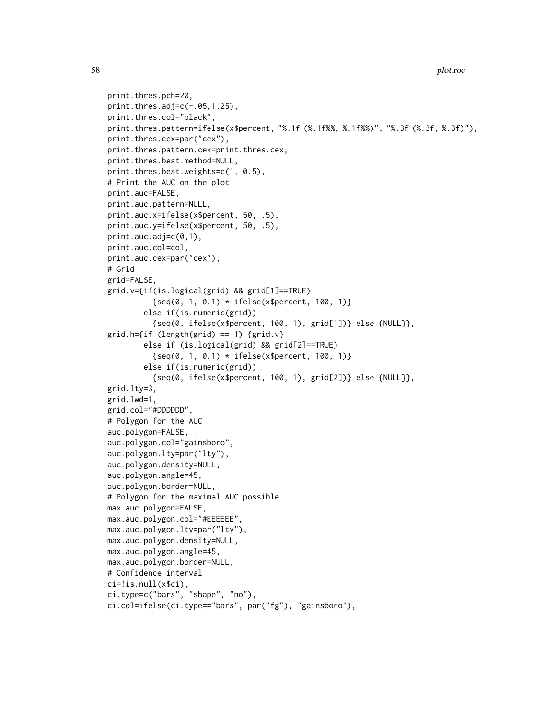```
58 plot.roc
```

```
print.thres.pch=20,
print.thres.adj=c(-.05, 1.25),
print.thres.col="black",
print.thres.pattern=ifelse(x$percent, "%.1f (%.1f%%, %.1f%%)", "%.3f (%.3f, %.3f)"),
print.thres.cex=par("cex"),
print.thres.pattern.cex=print.thres.cex,
print.thres.best.method=NULL,
print.thres.best.weights=c(1, 0.5),
# Print the AUC on the plot
print.auc=FALSE,
print.auc.pattern=NULL,
print.auc.x=ifelse(x$percent, 50, .5),
print.auc.y=ifelse(x$percent, 50, .5),
print.auc.addj=c(0,1),
print.auc.col=col,
print.auc.cex=par("cex"),
# Grid
grid=FALSE,
grid.v={if(is.logical(grid) && grid[1]==TRUE)
          \{seq(0, 1, 0.1) * if else(x$percent, 100, 1)\}else if(is.numeric(grid))
          {seq(0, ifelse(x$percent, 100, 1), grid[1])} else {NULL}},
grid.h=\{if (length(grid) == 1) \{grid.v\}else if (is.logical(grid) && grid[2]==TRUE)
          \{seq(0, 1, 0.1) * if else(x$percent, 100, 1)\}else if(is.numeric(grid))
          {seq(0, ifelse(x$percent, 100, 1), grid[2])} else {NULL}},
grid.lty=3,
grid.lwd=1,
grid.col="#DDDDDD",
# Polygon for the AUC
auc.polygon=FALSE,
auc.polygon.col="gainsboro",
auc.polygon.lty=par("lty"),
auc.polygon.density=NULL,
auc.polygon.angle=45,
auc.polygon.border=NULL,
# Polygon for the maximal AUC possible
max.auc.polygon=FALSE,
max.auc.polygon.col="#EEEEEE",
max.auc.polygon.lty=par("lty"),
max.auc.polygon.density=NULL,
max.auc.polygon.angle=45,
max.auc.polygon.border=NULL,
# Confidence interval
ci=!is.null(x$ci),
ci.type=c("bars", "shape", "no"),
ci.col=ifelse(ci.type=="bars", par("fg"), "gainsboro"),
```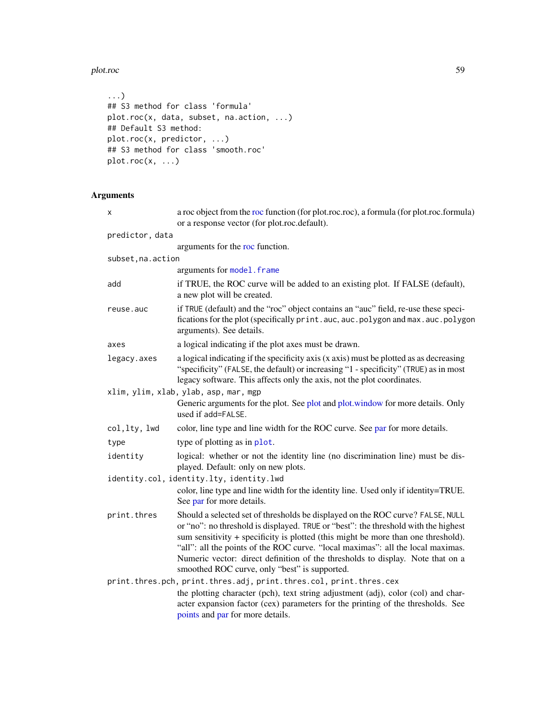## plot.roc 59

```
...)
## S3 method for class 'formula'
plot.roc(x, data, subset, na.action, ...)
## Default S3 method:
plot.roc(x, predictor, ...)
## S3 method for class 'smooth.roc'
plot.roc(x, ...)
```
# Arguments

| X                  | a roc object from the roc function (for plot.roc.roc), a formula (for plot.roc.formula)<br>or a response vector (for plot.roc.default).                                                                                                                                                                                                                                                                                                                                         |
|--------------------|---------------------------------------------------------------------------------------------------------------------------------------------------------------------------------------------------------------------------------------------------------------------------------------------------------------------------------------------------------------------------------------------------------------------------------------------------------------------------------|
| predictor, data    |                                                                                                                                                                                                                                                                                                                                                                                                                                                                                 |
|                    | arguments for the roc function.                                                                                                                                                                                                                                                                                                                                                                                                                                                 |
| subset, na. action |                                                                                                                                                                                                                                                                                                                                                                                                                                                                                 |
|                    | arguments for model. frame                                                                                                                                                                                                                                                                                                                                                                                                                                                      |
| add                | if TRUE, the ROC curve will be added to an existing plot. If FALSE (default),<br>a new plot will be created.                                                                                                                                                                                                                                                                                                                                                                    |
| reuse.auc          | if TRUE (default) and the "roc" object contains an "auc" field, re-use these speci-<br>fications for the plot (specifically print.auc, auc.polygon and max.auc.polygon<br>arguments). See details.                                                                                                                                                                                                                                                                              |
| axes               | a logical indicating if the plot axes must be drawn.                                                                                                                                                                                                                                                                                                                                                                                                                            |
| legacy.axes        | a logical indicating if the specificity axis (x axis) must be plotted as as decreasing<br>"specificity" (FALSE, the default) or increasing "1 - specificity" (TRUE) as in most<br>legacy software. This affects only the axis, not the plot coordinates.                                                                                                                                                                                                                        |
|                    | xlim, ylim, xlab, ylab, asp, mar, mgp<br>Generic arguments for the plot. See plot and plot.window for more details. Only<br>used if add=FALSE.                                                                                                                                                                                                                                                                                                                                  |
| col, lty, lwd      | color, line type and line width for the ROC curve. See par for more details.                                                                                                                                                                                                                                                                                                                                                                                                    |
| type               | type of plotting as in plot.                                                                                                                                                                                                                                                                                                                                                                                                                                                    |
| identity           | logical: whether or not the identity line (no discrimination line) must be dis-<br>played. Default: only on new plots.                                                                                                                                                                                                                                                                                                                                                          |
|                    | identity.col, identity.lty, identity.lwd                                                                                                                                                                                                                                                                                                                                                                                                                                        |
|                    | color, line type and line width for the identity line. Used only if identity=TRUE.<br>See par for more details.                                                                                                                                                                                                                                                                                                                                                                 |
| print.thres        | Should a selected set of thresholds be displayed on the ROC curve? FALSE, NULL<br>or "no": no threshold is displayed. TRUE or "best": the threshold with the highest<br>sum sensitivity + specificity is plotted (this might be more than one threshold).<br>"all": all the points of the ROC curve. "local maximas": all the local maximas.<br>Numeric vector: direct definition of the thresholds to display. Note that on a<br>smoothed ROC curve, only "best" is supported. |
|                    | print.thres.pch, print.thres.adj, print.thres.col, print.thres.cex                                                                                                                                                                                                                                                                                                                                                                                                              |
|                    | the plotting character (pch), text string adjustment (adj), color (col) and char-<br>acter expansion factor (cex) parameters for the printing of the thresholds. See<br>points and par for more details.                                                                                                                                                                                                                                                                        |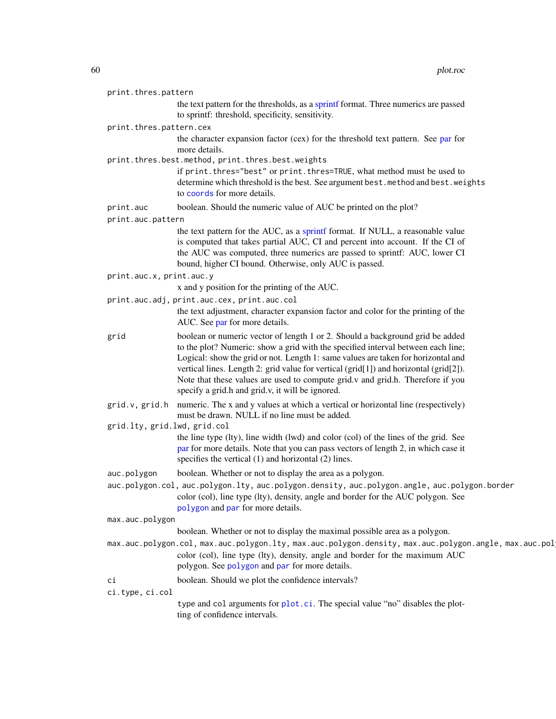| print.thres.pattern          |                                                                                                                                                                                                                                                                                                                                                                                                                                                                                       |
|------------------------------|---------------------------------------------------------------------------------------------------------------------------------------------------------------------------------------------------------------------------------------------------------------------------------------------------------------------------------------------------------------------------------------------------------------------------------------------------------------------------------------|
|                              | the text pattern for the thresholds, as a sprintf format. Three numerics are passed<br>to sprintf: threshold, specificity, sensitivity.                                                                                                                                                                                                                                                                                                                                               |
| print.thres.pattern.cex      |                                                                                                                                                                                                                                                                                                                                                                                                                                                                                       |
|                              | the character expansion factor (cex) for the threshold text pattern. See par for<br>more details.                                                                                                                                                                                                                                                                                                                                                                                     |
|                              | print.thres.best.method, print.thres.best.weights<br>if print. thres="best" or print. thres=TRUE, what method must be used to<br>determine which threshold is the best. See argument best. method and best. weights<br>to coords for more details.                                                                                                                                                                                                                                    |
| print.auc                    | boolean. Should the numeric value of AUC be printed on the plot?                                                                                                                                                                                                                                                                                                                                                                                                                      |
| print.auc.pattern            |                                                                                                                                                                                                                                                                                                                                                                                                                                                                                       |
|                              | the text pattern for the AUC, as a sprintf format. If NULL, a reasonable value<br>is computed that takes partial AUC, CI and percent into account. If the CI of<br>the AUC was computed, three numerics are passed to sprintf: AUC, lower CI<br>bound, higher CI bound. Otherwise, only AUC is passed.                                                                                                                                                                                |
| print.auc.x, print.auc.y     |                                                                                                                                                                                                                                                                                                                                                                                                                                                                                       |
|                              | x and y position for the printing of the AUC.                                                                                                                                                                                                                                                                                                                                                                                                                                         |
|                              | print.auc.adj, print.auc.cex, print.auc.col<br>the text adjustment, character expansion factor and color for the printing of the<br>AUC. See par for more details.                                                                                                                                                                                                                                                                                                                    |
| grid                         | boolean or numeric vector of length 1 or 2. Should a background grid be added<br>to the plot? Numeric: show a grid with the specified interval between each line;<br>Logical: show the grid or not. Length 1: same values are taken for horizontal and<br>vertical lines. Length 2: grid value for vertical (grid[1]) and horizontal (grid[2]).<br>Note that these values are used to compute grid.v and grid.h. Therefore if you<br>specify a grid.h and grid.v, it will be ignored. |
| grid.v, grid.h               | numeric. The x and y values at which a vertical or horizontal line (respectively)<br>must be drawn. NULL if no line must be added.                                                                                                                                                                                                                                                                                                                                                    |
| grid.lty, grid.lwd, grid.col |                                                                                                                                                                                                                                                                                                                                                                                                                                                                                       |
|                              | the line type (lty), line width (lwd) and color (col) of the lines of the grid. See<br>par for more details. Note that you can pass vectors of length 2, in which case it<br>specifies the vertical $(1)$ and horizontal $(2)$ lines.                                                                                                                                                                                                                                                 |
| auc.polygon                  | boolean. Whether or not to display the area as a polygon.                                                                                                                                                                                                                                                                                                                                                                                                                             |
|                              | auc.polygon.col, auc.polygon.lty, auc.polygon.density, auc.polygon.angle, auc.polygon.border<br>color (col), line type (lty), density, angle and border for the AUC polygon. See<br>polygon and par for more details.                                                                                                                                                                                                                                                                 |
| max.auc.polygon              |                                                                                                                                                                                                                                                                                                                                                                                                                                                                                       |
|                              | boolean. Whether or not to display the maximal possible area as a polygon.                                                                                                                                                                                                                                                                                                                                                                                                            |
|                              | max.auc.polygon.col, max.auc.polygon.lty, max.auc.polygon.density, max.auc.polygon.angle, max.auc.pol<br>color (col), line type (lty), density, angle and border for the maximum AUC<br>polygon. See polygon and par for more details.                                                                                                                                                                                                                                                |
| ci                           | boolean. Should we plot the confidence intervals?                                                                                                                                                                                                                                                                                                                                                                                                                                     |
| ci.type, ci.col              |                                                                                                                                                                                                                                                                                                                                                                                                                                                                                       |
|                              | type and col arguments for plot.ci. The special value "no" disables the plot-<br>ting of confidence intervals.                                                                                                                                                                                                                                                                                                                                                                        |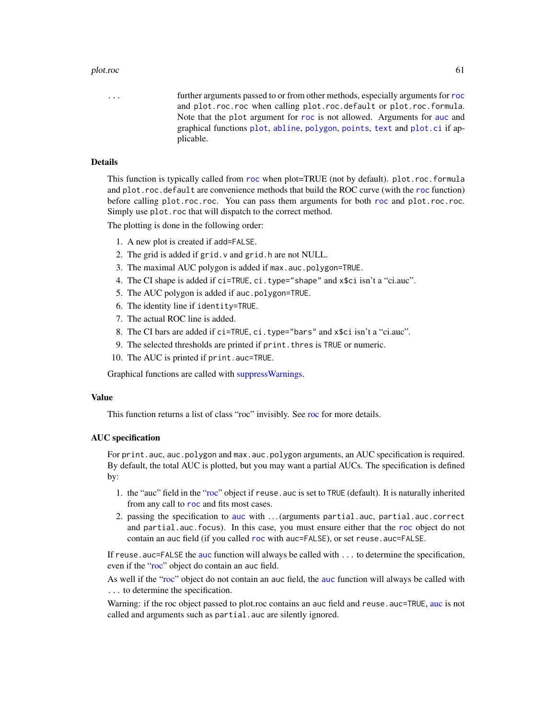## plot.roc 61

... further arguments passed to or from other methods, especially arguments for [roc](#page-68-0) and plot.roc.roc when calling plot.roc.default or plot.roc.formula. Note that the plot argument for [roc](#page-68-0) is not allowed. Arguments for [auc](#page-12-0) and graphical functions [plot](#page-56-1), [abline](#page-0-0), [polygon](#page-0-0), [points](#page-0-0), [text](#page-0-0) and [plot.ci](#page-54-0) if applicable.

# Details

This function is typically called from [roc](#page-68-0) when plot=TRUE (not by default). plot.roc.formula and plot.roc.default are convenience methods that build the ROC curve (with the [roc](#page-68-0) function) before calling plot.roc.roc. You can pass them arguments for both [roc](#page-68-0) and plot.roc.roc. Simply use plot.roc that will dispatch to the correct method.

The plotting is done in the following order:

- 1. A new plot is created if add=FALSE.
- 2. The grid is added if grid.v and grid.h are not NULL.
- 3. The maximal AUC polygon is added if max.auc.polygon=TRUE.
- 4. The CI shape is added if ci=TRUE, ci.type="shape" and x\$ci isn't a "ci.auc".
- 5. The AUC polygon is added if auc.polygon=TRUE.
- 6. The identity line if identity=TRUE.
- 7. The actual ROC line is added.
- 8. The CI bars are added if ci=TRUE, ci.type="bars" and x\$ci isn't a "ci.auc".
- 9. The selected thresholds are printed if print.thres is TRUE or numeric.
- 10. The AUC is printed if print.auc=TRUE.

Graphical functions are called with [suppressWarnings.](#page-0-0)

#### Value

This function returns a list of class "roc" invisibly. See [roc](#page-68-0) for more details.

#### AUC specification

For print.auc, auc.polygon and max.auc.polygon arguments, an AUC specification is required. By default, the total AUC is plotted, but you may want a partial AUCs. The specification is defined by:

- 1. the "auc" field in the ["roc"](#page-68-0) object if reuse. auc is set to TRUE (default). It is naturally inherited from any call to [roc](#page-68-0) and fits most cases.
- 2. passing the specification to [auc](#page-12-0) with . . . (arguments partial.auc, partial.auc.correct and partial.auc.focus). In this case, you must ensure either that the [roc](#page-68-0) object do not contain an auc field (if you called [roc](#page-68-0) with auc=FALSE), or set reuse.auc=FALSE.

If reuse . [auc](#page-12-0)=FALSE the auc function will always be called with . . . to determine the specification, even if the ["roc"](#page-68-0) object do contain an auc field.

As well if the ["roc"](#page-68-0) object do not contain an [auc](#page-12-0) field, the auc function will always be called with ... to determine the specification.

Warning: if the roc object passed to plot.roc contains an [auc](#page-12-0) field and reuse.auc=TRUE, auc is not called and arguments such as partial.auc are silently ignored.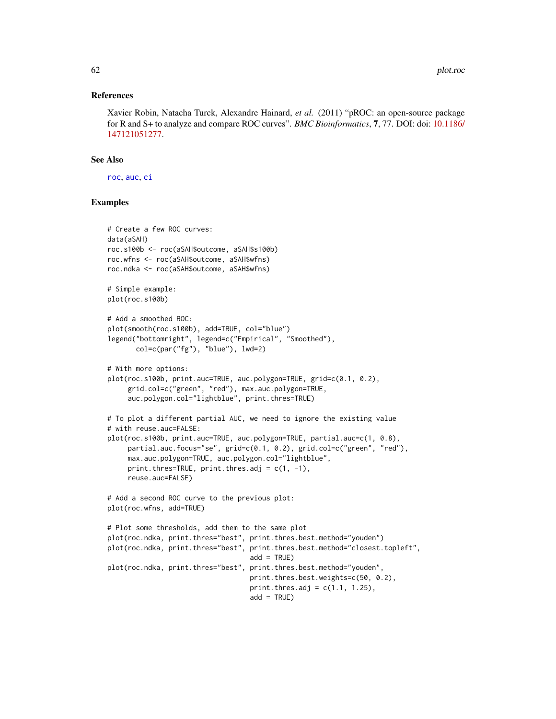## References

Xavier Robin, Natacha Turck, Alexandre Hainard, *et al.* (2011) "pROC: an open-source package for R and S+ to analyze and compare ROC curves". *BMC Bioinformatics*, 7, 77. DOI: doi: [10.1186/](https://doi.org/10.1186/1471-2105-12-77) [147121051277.](https://doi.org/10.1186/1471-2105-12-77)

## See Also

[roc](#page-68-0), [auc](#page-12-0), [ci](#page-15-0)

## Examples

```
# Create a few ROC curves:
data(aSAH)
roc.s100b <- roc(aSAH$outcome, aSAH$s100b)
roc.wfns <- roc(aSAH$outcome, aSAH$wfns)
roc.ndka <- roc(aSAH$outcome, aSAH$wfns)
# Simple example:
plot(roc.s100b)
# Add a smoothed ROC:
plot(smooth(roc.s100b), add=TRUE, col="blue")
legend("bottomright", legend=c("Empirical", "Smoothed"),
      col=c(par("fg"), "blue"), lwd=2)
# With more options:
plot(roc.s100b, print.auc=TRUE, auc.polygon=TRUE, grid=c(0.1, 0.2),
     grid.col=c("green", "red"), max.auc.polygon=TRUE,
     auc.polygon.col="lightblue", print.thres=TRUE)
# To plot a different partial AUC, we need to ignore the existing value
# with reuse.auc=FALSE:
plot(roc.s100b, print.auc=TRUE, auc.polygon=TRUE, partial.auc=c(1, 0.8),
     partial.auc.focus="se", grid=c(0.1, 0.2), grid.col=c("green", "red"),
     max.auc.polygon=TRUE, auc.polygon.col="lightblue",
     print.thres=TRUE, print.thres.adj = c(1, -1),
     reuse.auc=FALSE)
# Add a second ROC curve to the previous plot:
plot(roc.wfns, add=TRUE)
# Plot some thresholds, add them to the same plot
plot(roc.ndka, print.thres="best", print.thres.best.method="youden")
plot(roc.ndka, print.thres="best", print.thres.best.method="closest.topleft",
                                   add = TRUE)
plot(roc.ndka, print.thres="best", print.thres.best.method="youden",
                                   print.thres.best.weights=c(50, 0.2),
                                   print.thres.adj = c(1.1, 1.25),
                                   add = TRUE)
```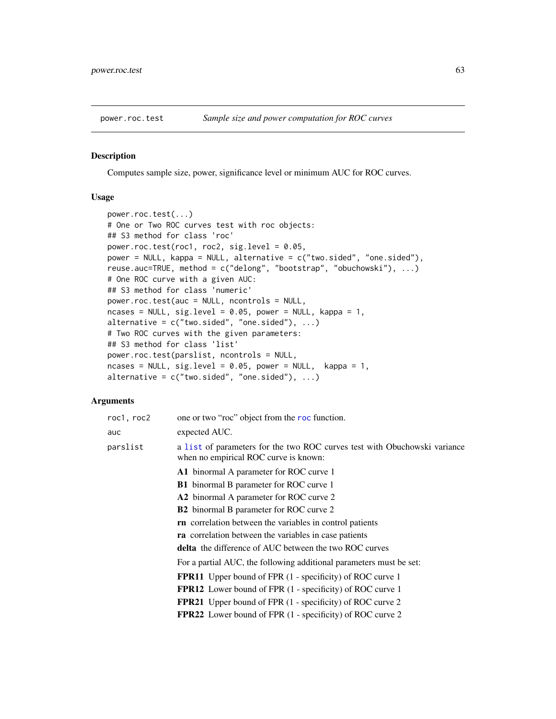## Description

Computes sample size, power, significance level or minimum AUC for ROC curves.

# Usage

```
power.roc.test(...)
# One or Two ROC curves test with roc objects:
## S3 method for class 'roc'
power.roc.test(roc1, roc2, sig.level = 0.05,
power = NULL, kappa = NULL, alternative = c("two.sided", "one.sided"),
reuse.auc=TRUE, method = c("delong", "bootstrap", "obuchowski"), ...)
# One ROC curve with a given AUC:
## S3 method for class 'numeric'
power.roc.test(auc = NULL, ncontrols = NULL,
ncases = NULL, sig. level = 0.05, power = NULL, kappa = 1,alternative = c("two-sided", "one-sided"), ...# Two ROC curves with the given parameters:
## S3 method for class 'list'
power.roc.test(parslist, ncontrols = NULL,
ncases = NULL, sig.level = 0.05, power = NULL, kappa = 1,
alternative = c("two-sided", "one-sided"), ...)
```
# Arguments

| roc1, roc2 | one or two "roc" object from the roc function.                                                                     |
|------------|--------------------------------------------------------------------------------------------------------------------|
| auc        | expected AUC.                                                                                                      |
| parslist   | a list of parameters for the two ROC curves test with Obuchowski variance<br>when no empirical ROC curve is known: |
|            | A1 binormal A parameter for ROC curve 1                                                                            |
|            | <b>B1</b> binormal B parameter for ROC curve 1                                                                     |
|            | A2 binormal A parameter for ROC curve 2                                                                            |
|            | <b>B2</b> binormal B parameter for ROC curve 2                                                                     |
|            | <b>rn</b> correlation between the variables in control patients                                                    |
|            | ra correlation between the variables in case patients                                                              |
|            | delta the difference of AUC between the two ROC curves                                                             |
|            | For a partial AUC, the following additional parameters must be set:                                                |
|            | <b>FPR11</b> Upper bound of FPR (1 - specificity) of ROC curve 1                                                   |
|            | <b>FPR12</b> Lower bound of FPR (1 - specificity) of ROC curve 1                                                   |
|            | <b>FPR21</b> Upper bound of FPR (1 - specificity) of ROC curve 2                                                   |
|            | <b>FPR22</b> Lower bound of FPR (1 - specificity) of ROC curve 2                                                   |
|            |                                                                                                                    |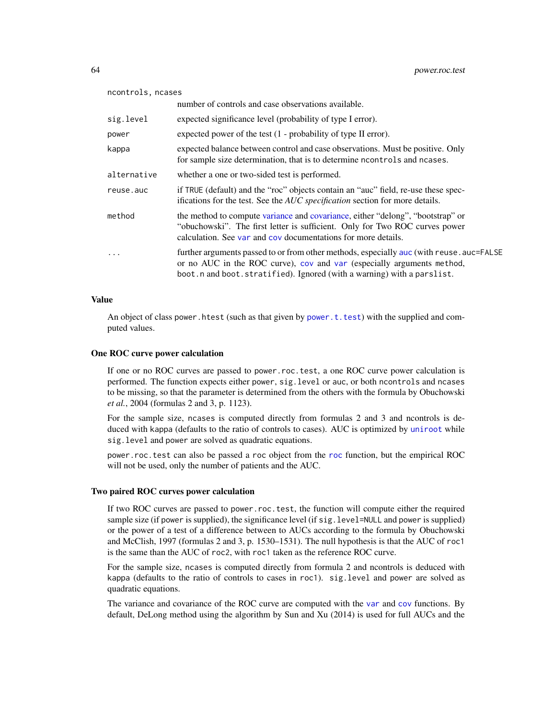| ncontrols, ncases |                                                                                                                                                                                                                                               |  |
|-------------------|-----------------------------------------------------------------------------------------------------------------------------------------------------------------------------------------------------------------------------------------------|--|
|                   | number of controls and case observations available.                                                                                                                                                                                           |  |
| sig.level         | expected significance level (probability of type I error).                                                                                                                                                                                    |  |
| power             | expected power of the test $(1 - probability of type II error)$ .                                                                                                                                                                             |  |
| kappa             | expected balance between control and case observations. Must be positive. Only<br>for sample size determination, that is to determine neontrols and neases.                                                                                   |  |
| alternative       | whether a one or two-sided test is performed.                                                                                                                                                                                                 |  |
| reuse.auc         | if TRUE (default) and the "roc" objects contain an "auc" field, re-use these spec-<br>ifications for the test. See the <i>AUC</i> specification section for more details.                                                                     |  |
| method            | the method to compute variance and covariance, either "delong", "bootstrap" or<br>"obuchowski". The first letter is sufficient. Only for Two ROC curves power<br>calculation. See var and cov documentations for more details.                |  |
| $\cdot$           | further arguments passed to or from other methods, especially auc (with reuse . auc=FALSE<br>or no AUC in the ROC curve), cov and var (especially arguments method,<br>boot.n and boot.stratified). Ignored (with a warning) with a parslist. |  |

## Value

An object of class power.htest (such as that given by [power.t.test](#page-0-0)) with the supplied and computed values.

## One ROC curve power calculation

If one or no ROC curves are passed to power.roc.test, a one ROC curve power calculation is performed. The function expects either power, sig.level or auc, or both ncontrols and ncases to be missing, so that the parameter is determined from the others with the formula by Obuchowski *et al.*, 2004 (formulas 2 and 3, p. 1123).

For the sample size, ncases is computed directly from formulas 2 and 3 and ncontrols is deduced with kappa (defaults to the ratio of controls to cases). AUC is optimized by [uniroot](#page-0-0) while sig.level and power are solved as quadratic equations.

power.roc.test can also be passed a roc object from the [roc](#page-68-0) function, but the empirical ROC will not be used, only the number of patients and the AUC.

## Two paired ROC curves power calculation

If two ROC curves are passed to power.roc.test, the function will compute either the required sample size (if power is supplied), the significance level (if sig. level=NULL and power is supplied) or the power of a test of a difference between to AUCs according to the formula by Obuchowski and McClish, 1997 (formulas 2 and 3, p. 1530–1531). The null hypothesis is that the AUC of roc1 is the same than the AUC of roc2, with roc1 taken as the reference ROC curve.

For the sample size, ncases is computed directly from formula 2 and ncontrols is deduced with kappa (defaults to the ratio of controls to cases in roc1). sig.level and power are solved as quadratic equations.

The variance and covariance of the ROC curve are computed with the [var](#page-88-1) and [cov](#page-40-0) functions. By default, DeLong method using the algorithm by Sun and Xu (2014) is used for full AUCs and the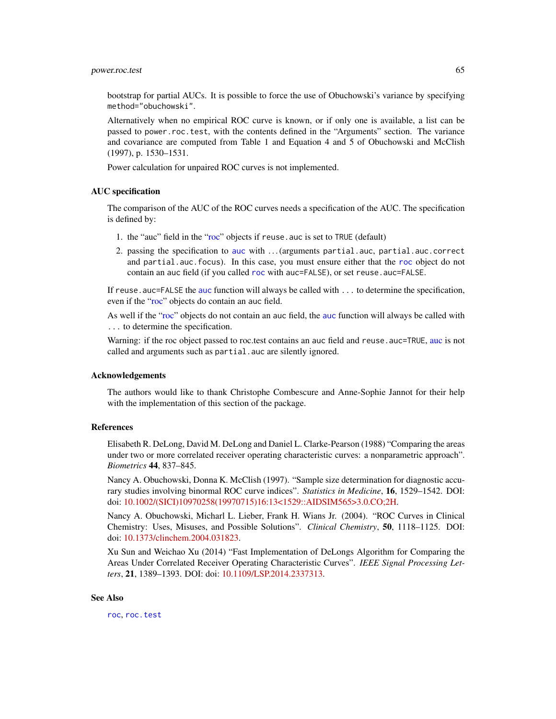bootstrap for partial AUCs. It is possible to force the use of Obuchowski's variance by specifying method="obuchowski".

Alternatively when no empirical ROC curve is known, or if only one is available, a list can be passed to power.roc.test, with the contents defined in the "Arguments" section. The variance and covariance are computed from Table 1 and Equation 4 and 5 of Obuchowski and McClish (1997), p. 1530–1531.

Power calculation for unpaired ROC curves is not implemented.

#### AUC specification

The comparison of the AUC of the ROC curves needs a specification of the AUC. The specification is defined by:

- 1. the "auc" field in the ["roc"](#page-68-0) objects if reuse.auc is set to TRUE (default)
- 2. passing the specification to [auc](#page-12-0) with . . . (arguments partial.auc, partial.auc.correct and partial.auc.focus). In this case, you must ensure either that the [roc](#page-68-0) object do not contain an auc field (if you called [roc](#page-68-0) with auc=FALSE), or set reuse.auc=FALSE.

If reuse.auc=FALSE the [auc](#page-12-0) function will always be called with ... to determine the specification, even if the ["roc"](#page-68-0) objects do contain an auc field.

As well if the ["roc"](#page-68-0) objects do not contain an auc field, the [auc](#page-12-0) function will always be called with ... to determine the specification.

Warning: if the roc object passed to roc.test contains an [auc](#page-12-0) field and reuse.auc=TRUE, auc is not called and arguments such as partial.auc are silently ignored.

## Acknowledgements

The authors would like to thank Christophe Combescure and Anne-Sophie Jannot for their help with the implementation of this section of the package.

## References

Elisabeth R. DeLong, David M. DeLong and Daniel L. Clarke-Pearson (1988) "Comparing the areas under two or more correlated receiver operating characteristic curves: a nonparametric approach". *Biometrics* 44, 837–845.

Nancy A. Obuchowski, Donna K. McClish (1997). "Sample size determination for diagnostic accurary studies involving binormal ROC curve indices". *Statistics in Medicine*, 16, 1529–1542. DOI: doi: [10.1002/\(SICI\)10970258\(19970715\)16:13<1529::AIDSIM565>3.0.CO;2H.](https://doi.org/10.1002/(SICI)1097-0258(19970715)16:13<1529::AID-SIM565>3.0.CO;2-H)

Nancy A. Obuchowski, Micharl L. Lieber, Frank H. Wians Jr. (2004). "ROC Curves in Clinical Chemistry: Uses, Misuses, and Possible Solutions". *Clinical Chemistry*, 50, 1118–1125. DOI: doi: [10.1373/clinchem.2004.031823.](https://doi.org/10.1373/clinchem.2004.031823)

Xu Sun and Weichao Xu (2014) "Fast Implementation of DeLongs Algorithm for Comparing the Areas Under Correlated Receiver Operating Characteristic Curves". *IEEE Signal Processing Letters*, 21, 1389–1393. DOI: doi: [10.1109/LSP.2014.2337313.](https://doi.org/10.1109/LSP.2014.2337313)

## See Also

[roc](#page-68-0), [roc.test](#page-75-0)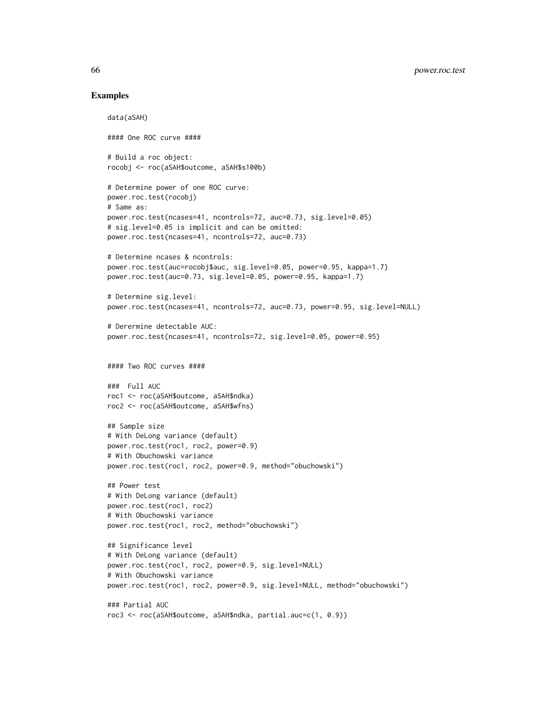## Examples

```
data(aSAH)
#### One ROC curve ####
# Build a roc object:
rocobj <- roc(aSAH$outcome, aSAH$s100b)
# Determine power of one ROC curve:
power.roc.test(rocobj)
# Same as:
power.roc.test(ncases=41, ncontrols=72, auc=0.73, sig.level=0.05)
# sig.level=0.05 is implicit and can be omitted:
power.roc.test(ncases=41, ncontrols=72, auc=0.73)
# Determine ncases & ncontrols:
power.roc.test(auc=rocobj$auc, sig.level=0.05, power=0.95, kappa=1.7)
power.roc.test(auc=0.73, sig.level=0.05, power=0.95, kappa=1.7)
# Determine sig.level:
power.roc.test(ncases=41, ncontrols=72, auc=0.73, power=0.95, sig.level=NULL)
# Derermine detectable AUC:
power.roc.test(ncases=41, ncontrols=72, sig.level=0.05, power=0.95)
#### Two ROC curves ####
### Full AUC
roc1 <- roc(aSAH$outcome, aSAH$ndka)
roc2 <- roc(aSAH$outcome, aSAH$wfns)
## Sample size
# With DeLong variance (default)
power.roc.test(roc1, roc2, power=0.9)
# With Obuchowski variance
power.roc.test(roc1, roc2, power=0.9, method="obuchowski")
## Power test
# With DeLong variance (default)
power.roc.test(roc1, roc2)
# With Obuchowski variance
power.roc.test(roc1, roc2, method="obuchowski")
## Significance level
# With DeLong variance (default)
power.roc.test(roc1, roc2, power=0.9, sig.level=NULL)
# With Obuchowski variance
power.roc.test(roc1, roc2, power=0.9, sig.level=NULL, method="obuchowski")
### Partial AUC
roc3 <- roc(aSAH$outcome, aSAH$ndka, partial.auc=c(1, 0.9))
```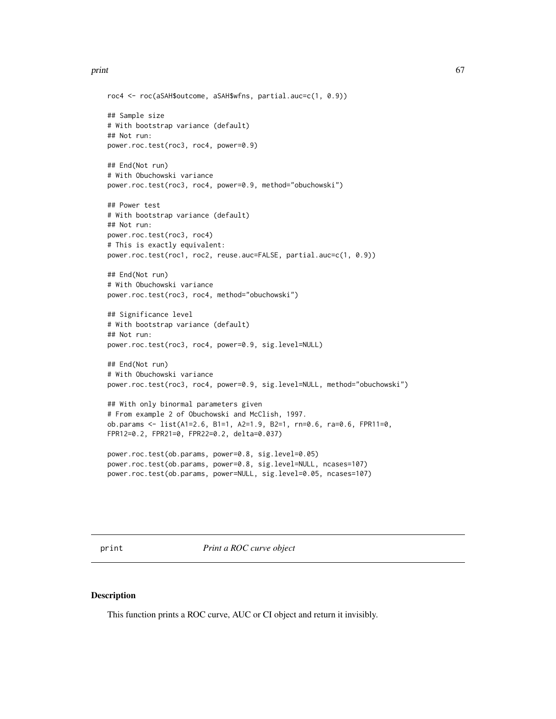## print 67

```
roc4 <- roc(aSAH$outcome, aSAH$wfns, partial.auc=c(1, 0.9))
## Sample size
# With bootstrap variance (default)
## Not run:
power.roc.test(roc3, roc4, power=0.9)
## End(Not run)
# With Obuchowski variance
power.roc.test(roc3, roc4, power=0.9, method="obuchowski")
## Power test
# With bootstrap variance (default)
## Not run:
power.roc.test(roc3, roc4)
# This is exactly equivalent:
power.roc.test(roc1, roc2, reuse.auc=FALSE, partial.auc=c(1, 0.9))
## End(Not run)
# With Obuchowski variance
power.roc.test(roc3, roc4, method="obuchowski")
## Significance level
# With bootstrap variance (default)
## Not run:
power.roc.test(roc3, roc4, power=0.9, sig.level=NULL)
## End(Not run)
# With Obuchowski variance
power.roc.test(roc3, roc4, power=0.9, sig.level=NULL, method="obuchowski")
## With only binormal parameters given
# From example 2 of Obuchowski and McClish, 1997.
ob.params <- list(A1=2.6, B1=1, A2=1.9, B2=1, rn=0.6, ra=0.6, FPR11=0,
FPR12=0.2, FPR21=0, FPR22=0.2, delta=0.037)
power.roc.test(ob.params, power=0.8, sig.level=0.05)
power.roc.test(ob.params, power=0.8, sig.level=NULL, ncases=107)
```
print *Print a ROC curve object*

power.roc.test(ob.params, power=NULL, sig.level=0.05, ncases=107)

## Description

This function prints a ROC curve, AUC or CI object and return it invisibly.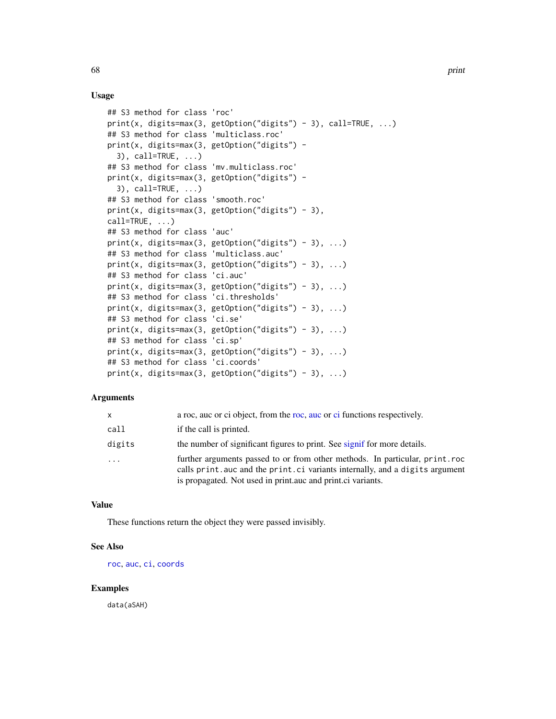## Usage

```
## S3 method for class 'roc'
print(x, digits=max(3, getOption("digits") - 3), call=TRUE, ...)
## S3 method for class 'multiclass.roc'
print(x, digits=max(3, getOption("digits") -
  3), call=TRUE, \ldots)
## S3 method for class 'mv.multiclass.roc'
print(x, digits=max(3, getOption("digits") -
  3), call=TRUE, ...)
## S3 method for class 'smooth.roc'
print(x, digits=max(3, getOption("digits") - 3),call=TRUE, \ldots)## S3 method for class 'auc'
print(x, \text{ digits} = max(3, \text{ getOption("digits") - 3), ...)## S3 method for class 'multiclass.auc'
print(x, digits=max(3, getOption("digits") - 3), ...)## S3 method for class 'ci.auc'
print(x, digits=max(3, getOption("digits") - 3), ...)## S3 method for class 'ci.thresholds'
print(x, \text{ digits} = max(3, \text{ getOption("digits") - 3), ...)## S3 method for class 'ci.se'
print(x, digits=max(3, getOption("digits") - 3), ...)## S3 method for class 'ci.sp'
print(x, \text{ digits}=max(3, \text{ getOption("digits") - 3), ...)## S3 method for class 'ci.coords'
print(x, \text{ digits} = max(3, \text{ getOption("digits") - 3), ...)
```
## Arguments

| <b>X</b>  | a roc, auc or ci object, from the roc, auc or ci functions respectively.                                                                                                                                                    |
|-----------|-----------------------------------------------------------------------------------------------------------------------------------------------------------------------------------------------------------------------------|
| call      | if the call is printed.                                                                                                                                                                                                     |
| digits    | the number of significant figures to print. See signif for more details.                                                                                                                                                    |
| $\ddotsc$ | further arguments passed to or from other methods. In particular, print.roc<br>calls print. auc and the print. ci variants internally, and a digits argument<br>is propagated. Not used in print.auc and print.ci variants. |

# Value

These functions return the object they were passed invisibly.

## See Also

[roc](#page-68-0), [auc](#page-12-0), [ci](#page-15-0), [coords](#page-34-0)

## Examples

data(aSAH)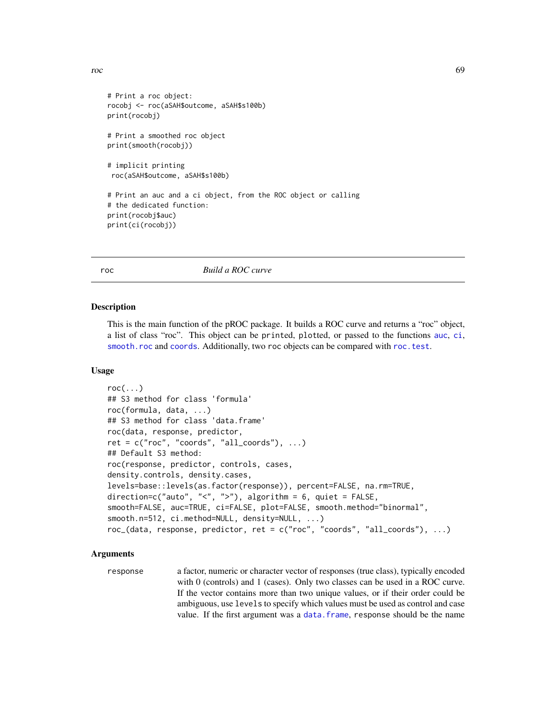```
r^2 69
```

```
# Print a roc object:
rocobj <- roc(aSAH$outcome, aSAH$s100b)
print(rocobj)
# Print a smoothed roc object
print(smooth(rocobj))
# implicit printing
roc(aSAH$outcome, aSAH$s100b)
# Print an auc and a ci object, from the ROC object or calling
# the dedicated function:
print(rocobj$auc)
print(ci(rocobj))
```
<span id="page-68-0"></span>roc *Build a ROC curve*

## **Description**

This is the main function of the pROC package. It builds a ROC curve and returns a "roc" object, a list of class "roc". This object can be printed, plotted, or passed to the functions [auc](#page-12-0), [ci](#page-15-0), [smooth.roc](#page-82-0) and [coords](#page-34-0). Additionally, two roc objects can be compared with [roc.test](#page-75-0).

## Usage

```
roc(...)## S3 method for class 'formula'
roc(formula, data, ...)
## S3 method for class 'data.frame'
roc(data, response, predictor,
ret = c("roc", "coordinates", "all-coords"), ...)## Default S3 method:
roc(response, predictor, controls, cases,
density.controls, density.cases,
levels=base::levels(as.factor(response)), percent=FALSE, na.rm=TRUE,
direction=c("auto", "<", ">"), algorithm = 6, quiet = FALSE,
smooth=FALSE, auc=TRUE, ci=FALSE, plot=FALSE, smooth.method="binormal",
smooth.n=512, ci.method=NULL, density=NULL, ...)
roc_(data, response, predictor, ret = c("roc", "coords", "all_coords"), ...)
```
# Arguments

response a factor, numeric or character vector of responses (true class), typically encoded with 0 (controls) and 1 (cases). Only two classes can be used in a ROC curve. If the vector contains more than two unique values, or if their order could be ambiguous, use levels to specify which values must be used as control and case value. If the first argument was a [data.frame](#page-0-0), response should be the name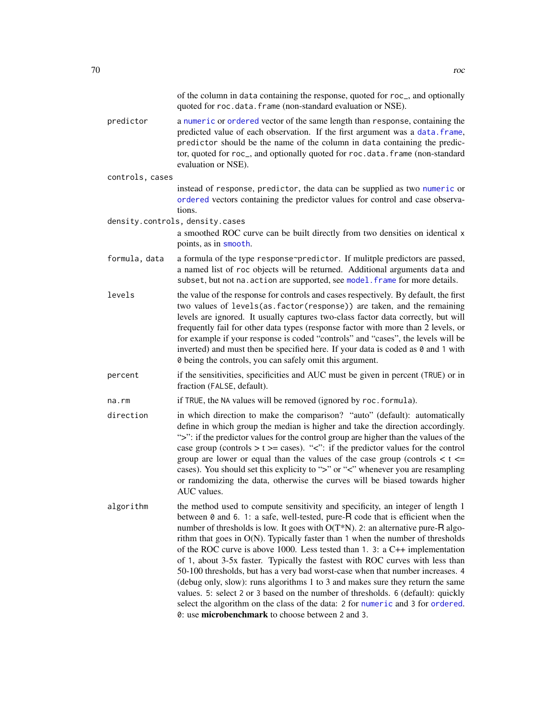|                 | of the column in data containing the response, quoted for roc_, and optionally<br>quoted for roc.data.frame (non-standard evaluation or NSE).                                                                                                                                                                                                                                                                                                                                                                                                                                                                                                                                                                                                                                                                                                                                                                                 |
|-----------------|-------------------------------------------------------------------------------------------------------------------------------------------------------------------------------------------------------------------------------------------------------------------------------------------------------------------------------------------------------------------------------------------------------------------------------------------------------------------------------------------------------------------------------------------------------------------------------------------------------------------------------------------------------------------------------------------------------------------------------------------------------------------------------------------------------------------------------------------------------------------------------------------------------------------------------|
| predictor       | a numeric or ordered vector of the same length than response, containing the<br>predicted value of each observation. If the first argument was a data. frame,<br>predictor should be the name of the column in data containing the predic-<br>tor, quoted for roc_, and optionally quoted for roc.data.frame (non-standard<br>evaluation or NSE).                                                                                                                                                                                                                                                                                                                                                                                                                                                                                                                                                                             |
| controls, cases |                                                                                                                                                                                                                                                                                                                                                                                                                                                                                                                                                                                                                                                                                                                                                                                                                                                                                                                               |
|                 | instead of response, predictor, the data can be supplied as two numeric or<br>ordered vectors containing the predictor values for control and case observa-<br>tions.                                                                                                                                                                                                                                                                                                                                                                                                                                                                                                                                                                                                                                                                                                                                                         |
|                 | density.controls, density.cases                                                                                                                                                                                                                                                                                                                                                                                                                                                                                                                                                                                                                                                                                                                                                                                                                                                                                               |
|                 | a smoothed ROC curve can be built directly from two densities on identical x<br>points, as in smooth.                                                                                                                                                                                                                                                                                                                                                                                                                                                                                                                                                                                                                                                                                                                                                                                                                         |
| formula, data   | a formula of the type response~predictor. If mulitple predictors are passed,<br>a named list of roc objects will be returned. Additional arguments data and<br>subset, but not na. action are supported, see model. frame for more details.                                                                                                                                                                                                                                                                                                                                                                                                                                                                                                                                                                                                                                                                                   |
| levels          | the value of the response for controls and cases respectively. By default, the first<br>two values of levels(as.factor(response)) are taken, and the remaining<br>levels are ignored. It usually captures two-class factor data correctly, but will<br>frequently fail for other data types (response factor with more than 2 levels, or<br>for example if your response is coded "controls" and "cases", the levels will be<br>inverted) and must then be specified here. If your data is coded as $\theta$ and 1 with<br>0 being the controls, you can safely omit this argument.                                                                                                                                                                                                                                                                                                                                           |
| percent         | if the sensitivities, specificities and AUC must be given in percent (TRUE) or in<br>fraction (FALSE, default).                                                                                                                                                                                                                                                                                                                                                                                                                                                                                                                                                                                                                                                                                                                                                                                                               |
| na.rm           | if TRUE, the NA values will be removed (ignored by roc. formula).                                                                                                                                                                                                                                                                                                                                                                                                                                                                                                                                                                                                                                                                                                                                                                                                                                                             |
| direction       | in which direction to make the comparison? "auto" (default): automatically<br>define in which group the median is higher and take the direction accordingly.<br>">": if the predictor values for the control group are higher than the values of the<br>case group (controls $> t \ge$ cases). "<": if the predictor values for the control<br>group are lower or equal than the values of the case group (controls $\lt t \lt =$<br>cases). You should set this explicity to ">" or "<" whenever you are resampling<br>or randomizing the data, otherwise the curves will be biased towards higher<br>AUC values.                                                                                                                                                                                                                                                                                                            |
| algorithm       | the method used to compute sensitivity and specificity, an integer of length 1<br>between $\theta$ and $\theta$ . 1: a safe, well-tested, pure-R code that is efficient when the<br>number of thresholds is low. It goes with $O(T*N)$ . 2: an alternative pure-R algo-<br>rithm that goes in $O(N)$ . Typically faster than 1 when the number of thresholds<br>of the ROC curve is above 1000. Less tested than 1. 3: a $C++$ implementation<br>of 1, about 3-5x faster. Typically the fastest with ROC curves with less than<br>50-100 thresholds, but has a very bad worst-case when that number increases. 4<br>(debug only, slow): runs algorithms 1 to 3 and makes sure they return the same<br>values. 5: select 2 or 3 based on the number of thresholds. 6 (default): quickly<br>select the algorithm on the class of the data: 2 for numeric and 3 for ordered.<br>0: use microbenchmark to choose between 2 and 3. |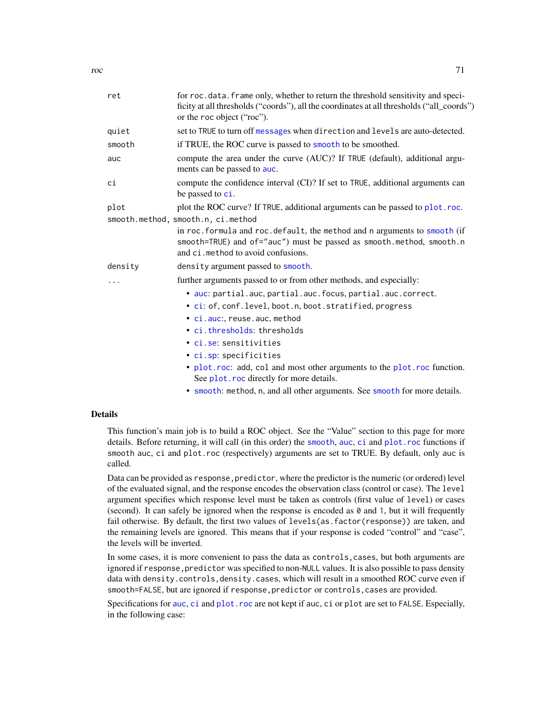| ret     | for roc.data.frame only, whether to return the threshold sensitivity and speci-<br>ficity at all thresholds ("coords"), all the coordinates at all thresholds ("all_coords")<br>or the roc object ("roc").                                                                                                                                                                                                                                                   |
|---------|--------------------------------------------------------------------------------------------------------------------------------------------------------------------------------------------------------------------------------------------------------------------------------------------------------------------------------------------------------------------------------------------------------------------------------------------------------------|
| quiet   | set to TRUE to turn off messages when direction and levels are auto-detected.                                                                                                                                                                                                                                                                                                                                                                                |
| smooth  | if TRUE, the ROC curve is passed to smooth to be smoothed.                                                                                                                                                                                                                                                                                                                                                                                                   |
| auc     | compute the area under the curve (AUC)? If TRUE (default), additional argu-<br>ments can be passed to auc.                                                                                                                                                                                                                                                                                                                                                   |
| сi      | compute the confidence interval (CI)? If set to TRUE, additional arguments can<br>be passed to ci.                                                                                                                                                                                                                                                                                                                                                           |
| plot    | plot the ROC curve? If TRUE, additional arguments can be passed to plot.roc.<br>smooth.method, smooth.n, ci.method                                                                                                                                                                                                                                                                                                                                           |
|         | in roc. formula and roc. default, the method and n arguments to smooth (if<br>smooth=TRUE) and of="auc") must be passed as smooth.method, smooth.n<br>and ci. method to avoid confusions.                                                                                                                                                                                                                                                                    |
| density | density argument passed to smooth.                                                                                                                                                                                                                                                                                                                                                                                                                           |
|         | further arguments passed to or from other methods, and especially:                                                                                                                                                                                                                                                                                                                                                                                           |
|         | · auc: partial.auc, partial.auc.focus, partial.auc.correct.                                                                                                                                                                                                                                                                                                                                                                                                  |
|         | • ci: of, conf. level, boot. n, boot. stratified, progress                                                                                                                                                                                                                                                                                                                                                                                                   |
|         | · ci.auc:, reuse.auc, method                                                                                                                                                                                                                                                                                                                                                                                                                                 |
|         | • ci.thresholds: thresholds                                                                                                                                                                                                                                                                                                                                                                                                                                  |
|         | • ci.se: sensitivities                                                                                                                                                                                                                                                                                                                                                                                                                                       |
|         | • ci.sp: specificities                                                                                                                                                                                                                                                                                                                                                                                                                                       |
|         | • plot.roc: add, col and most other arguments to the plot.roc function.<br>See plot. roc directly for more details.                                                                                                                                                                                                                                                                                                                                          |
|         | $\mathcal{A} = \mathcal{A} + \mathcal{A} + \mathcal{A} + \mathcal{A} + \mathcal{A} + \mathcal{A} + \mathcal{A} + \mathcal{A} + \mathcal{A} + \mathcal{A} + \mathcal{A} + \mathcal{A} + \mathcal{A} + \mathcal{A} + \mathcal{A} + \mathcal{A} + \mathcal{A} + \mathcal{A} + \mathcal{A} + \mathcal{A} + \mathcal{A} + \mathcal{A} + \mathcal{A} + \mathcal{A} + \mathcal{A} + \mathcal{A} + \mathcal{A} + \mathcal{A} + \mathcal{A} + \mathcal{A} + \mathcal$ |

• [smooth](#page-82-1): method, n, and all other arguments. See smooth for more details.

#### Details

This function's main job is to build a ROC object. See the "Value" section to this page for more details. Before returning, it will call (in this order) the [smooth](#page-82-0), [auc](#page-12-0), [ci](#page-15-0) and [plot.roc](#page-56-0) functions if smooth auc, ci and plot.roc (respectively) arguments are set to TRUE. By default, only auc is called.

Data can be provided as response, predictor, where the predictor is the numeric (or ordered) level of the evaluated signal, and the response encodes the observation class (control or case). The level argument specifies which response level must be taken as controls (first value of level) or cases (second). It can safely be ignored when the response is encoded as  $\theta$  and 1, but it will frequently fail otherwise. By default, the first two values of levels(as.factor(response)) are taken, and the remaining levels are ignored. This means that if your response is coded "control" and "case", the levels will be inverted.

In some cases, it is more convenient to pass the data as controls,cases, but both arguments are ignored if response, predictor was specified to non-NULL values. It is also possible to pass density data with density.controls,density.cases, which will result in a smoothed ROC curve even if smooth=FALSE, but are ignored if response,predictor or controls,cases are provided.

Specifications for [auc](#page-12-0), [ci](#page-15-0) and [plot.roc](#page-56-0) are not kept if auc, ci or plot are set to FALSE. Especially, in the following case: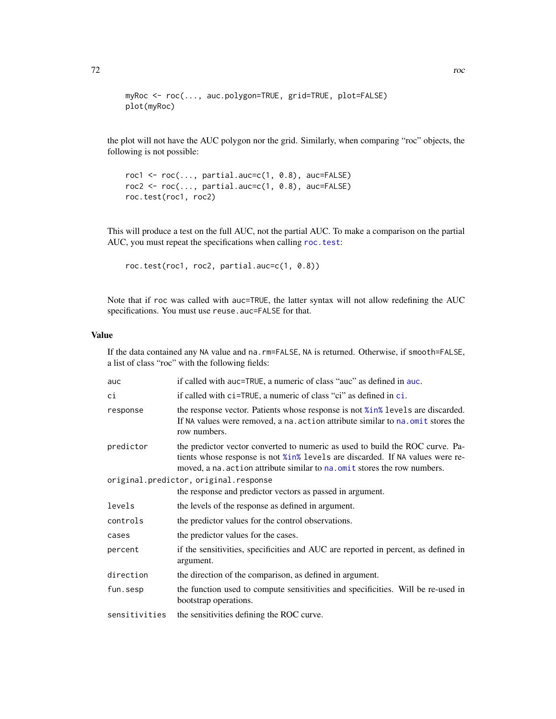```
myRoc <- roc(..., auc.polygon=TRUE, grid=TRUE, plot=FALSE)
plot(myRoc)
```
the plot will not have the AUC polygon nor the grid. Similarly, when comparing "roc" objects, the following is not possible:

```
roc1 <- roc(..., partial.auc=c(1, 0.8), auc=FALSE)roc2 \leq roc(..., partial.auc=c(1, 0.8), auc=FALSE)
roc.test(roc1, roc2)
```
This will produce a test on the full AUC, not the partial AUC. To make a comparison on the partial AUC, you must repeat the specifications when calling [roc.test](#page-75-0):

```
roc.test(roc1, roc2, partial.auc=c(1, 0.8))
```
Note that if roc was called with auc=TRUE, the latter syntax will not allow redefining the AUC specifications. You must use reuse.auc=FALSE for that.

# Value

If the data contained any NA value and na.rm=FALSE, NA is returned. Otherwise, if smooth=FALSE, a list of class "roc" with the following fields:

| auc                                   | if called with auc=TRUE, a numeric of class "auc" as defined in auc.                                                                                                                                                                        |  |
|---------------------------------------|---------------------------------------------------------------------------------------------------------------------------------------------------------------------------------------------------------------------------------------------|--|
| сi                                    | if called with ci=TRUE, a numeric of class "ci" as defined in ci.                                                                                                                                                                           |  |
| response                              | the response vector. Patients whose response is not <i>k</i> in <sup>%</sup> levels are discarded.<br>If NA values were removed, a na. action attribute similar to na. omit stores the<br>row numbers.                                      |  |
| predictor                             | the predictor vector converted to numeric as used to build the ROC curve. Pa-<br>tients whose response is not %in% levels are discarded. If NA values were re-<br>moved, a na. action attribute similar to na. omit stores the row numbers. |  |
| original.predictor, original.response |                                                                                                                                                                                                                                             |  |
|                                       | the response and predictor vectors as passed in argument.                                                                                                                                                                                   |  |
| levels                                | the levels of the response as defined in argument.                                                                                                                                                                                          |  |
| controls                              | the predictor values for the control observations.                                                                                                                                                                                          |  |
| cases                                 | the predictor values for the cases.                                                                                                                                                                                                         |  |
| percent                               | if the sensitivities, specificities and AUC are reported in percent, as defined in<br>argument.                                                                                                                                             |  |
| direction                             | the direction of the comparison, as defined in argument.                                                                                                                                                                                    |  |
| fun.sesp                              | the function used to compute sensitivities and specificities. Will be re-used in<br>bootstrap operations.                                                                                                                                   |  |
| sensitivities                         | the sensitivities defining the ROC curve.                                                                                                                                                                                                   |  |
|                                       |                                                                                                                                                                                                                                             |  |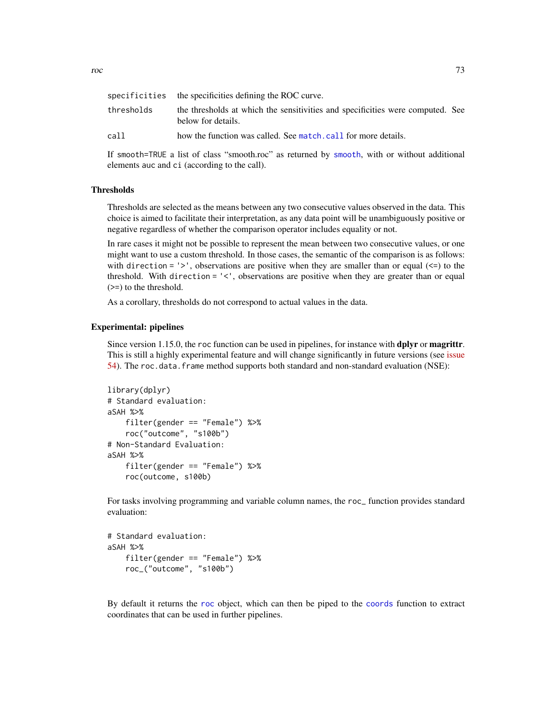<span id="page-72-0"></span>

| roc |                                                                            | 73 |
|-----|----------------------------------------------------------------------------|----|
|     |                                                                            |    |
|     | $\mathcal{C}$ . The set of $\mathcal{C}$ is the set of $\mathcal{D}\Omega$ |    |

|            | specificities the specificities defining the ROC curve.                                              |  |
|------------|------------------------------------------------------------------------------------------------------|--|
| thresholds | the thresholds at which the sensitivities and specificities were computed. See<br>below for details. |  |
| call       | how the function was called. See match, call for more details.                                       |  |

If smooth=TRUE a list of class "smooth.roc" as returned by [smooth](#page-82-0), with or without additional elements auc and ci (according to the call).

## **Thresholds**

Thresholds are selected as the means between any two consecutive values observed in the data. This choice is aimed to facilitate their interpretation, as any data point will be unambiguously positive or negative regardless of whether the comparison operator includes equality or not.

In rare cases it might not be possible to represent the mean between two consecutive values, or one might want to use a custom threshold. In those cases, the semantic of the comparison is as follows: with direction  $=$  '>', observations are positive when they are smaller than or equal  $(\leq)$  to the threshold. With direction = '<', observations are positive when they are greater than or equal (>=) to the threshold.

As a corollary, thresholds do not correspond to actual values in the data.

## Experimental: pipelines

Since version 1.15.0, the roc function can be used in pipelines, for instance with **dplyr** or **magrittr**. This is still a highly experimental feature and will change significantly in future versions (see [issue](https://github.com/xrobin/pROC/issues/54) [54\)](https://github.com/xrobin/pROC/issues/54). The roc.data.frame method supports both standard and non-standard evaluation (NSE):

```
library(dplyr)
# Standard evaluation:
aSAH %>%
    filter(gender == "Female") %>%
    roc("outcome", "s100b")
# Non-Standard Evaluation:
aSAH %>%
    filter(gender == "Female") %>%
    roc(outcome, s100b)
```
For tasks involving programming and variable column names, the roc\_ function provides standard evaluation:

```
# Standard evaluation:
aSAH %>%
    filter(gender == "Female") %>%
    roc_("outcome", "s100b")
```
By default it returns the [roc](#page-68-0) object, which can then be piped to the [coords](#page-34-0) function to extract coordinates that can be used in further pipelines.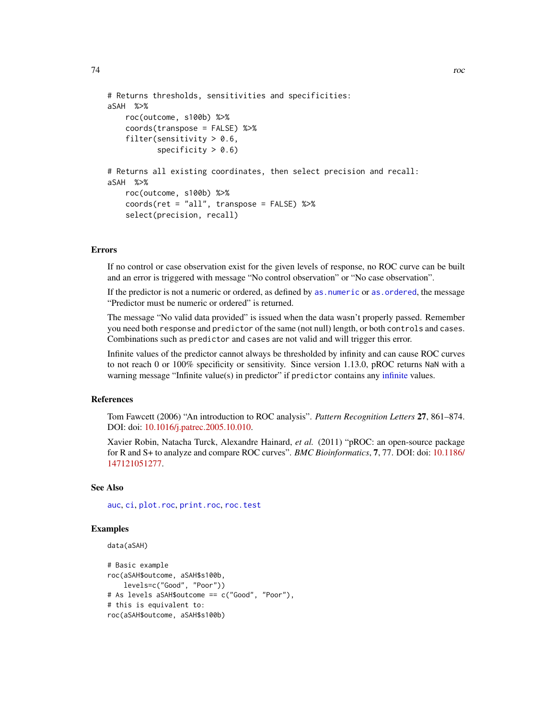```
# Returns thresholds, sensitivities and specificities:
aSAH %>%
   roc(outcome, s100b) %>%
   coords(transpose = FALSE) %>%
   filter(sensitivity > 0.6,
           specificity > 0.6)
# Returns all existing coordinates, then select precision and recall:
aSAH %>%
   roc(outcome, s100b) %>%
   coords(ret = "all", transpose = FALSE) %>%
   select(precision, recall)
```
# Errors

If no control or case observation exist for the given levels of response, no ROC curve can be built and an error is triggered with message "No control observation" or "No case observation".

If the predictor is not a numeric or ordered, as defined by as, numeric or as, ordered, the message "Predictor must be numeric or ordered" is returned.

The message "No valid data provided" is issued when the data wasn't properly passed. Remember you need both response and predictor of the same (not null) length, or both controls and cases. Combinations such as predictor and cases are not valid and will trigger this error.

Infinite values of the predictor cannot always be thresholded by infinity and can cause ROC curves to not reach 0 or 100% specificity or sensitivity. Since version 1.13.0, pROC returns NaN with a warning message "Infinite value(s) in predictor" if predictor contains any [infinite](#page-0-0) values.

## References

Tom Fawcett (2006) "An introduction to ROC analysis". *Pattern Recognition Letters* 27, 861–874. DOI: doi: [10.1016/j.patrec.2005.10.010.](https://doi.org/10.1016/j.patrec.2005.10.010)

Xavier Robin, Natacha Turck, Alexandre Hainard, *et al.* (2011) "pROC: an open-source package for R and S+ to analyze and compare ROC curves". *BMC Bioinformatics*, 7, 77. DOI: doi: [10.1186/](https://doi.org/10.1186/1471-2105-12-77) [147121051277.](https://doi.org/10.1186/1471-2105-12-77)

## See Also

[auc](#page-12-0), [ci](#page-15-0), [plot.roc](#page-56-0), [print.roc](#page-66-0), [roc.test](#page-75-0)

# Examples

```
data(aSAH)
```

```
# Basic example
roc(aSAH$outcome, aSAH$s100b,
    levels=c("Good", "Poor"))
# As levels aSAH$outcome == c("Good", "Poor"),
# this is equivalent to:
roc(aSAH$outcome, aSAH$s100b)
```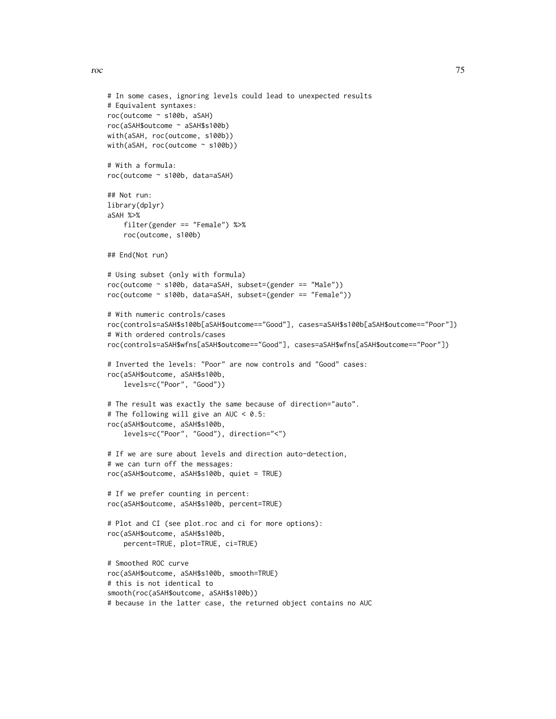roc 75

```
# In some cases, ignoring levels could lead to unexpected results
# Equivalent syntaxes:
roc(outcome ~ s100b, aSAH)
roc(aSAH$outcome ~ aSAH$s100b)
with(aSAH, roc(outcome, s100b))
with(aSAH, roc(outcome ~ s100b))
# With a formula:
roc(outcome ~ s100b, data=aSAH)
## Not run:
library(dplyr)
aSAH %>%
    filter(gender == "Female") %>%
    roc(outcome, s100b)
## End(Not run)
# Using subset (only with formula)
roc(outcome ~ s100b, data=aSAH, subset=(gender == "Male"))
roc(outcome ~ s100b, data=aSAH, subset=(gender == "Female"))
# With numeric controls/cases
roc(controls=aSAH$s100b[aSAH$outcome=="Good"], cases=aSAH$s100b[aSAH$outcome=="Poor"])
# With ordered controls/cases
roc(controls=aSAH$wfns[aSAH$outcome=="Good"], cases=aSAH$wfns[aSAH$outcome=="Poor"])
# Inverted the levels: "Poor" are now controls and "Good" cases:
roc(aSAH$outcome, aSAH$s100b,
   levels=c("Poor", "Good"))
# The result was exactly the same because of direction="auto".
# The following will give an AUC < 0.5:
roc(aSAH$outcome, aSAH$s100b,
    levels=c("Poor", "Good"), direction="<")
# If we are sure about levels and direction auto-detection,
# we can turn off the messages:
roc(aSAH$outcome, aSAH$s100b, quiet = TRUE)
# If we prefer counting in percent:
roc(aSAH$outcome, aSAH$s100b, percent=TRUE)
# Plot and CI (see plot.roc and ci for more options):
roc(aSAH$outcome, aSAH$s100b,
    percent=TRUE, plot=TRUE, ci=TRUE)
# Smoothed ROC curve
roc(aSAH$outcome, aSAH$s100b, smooth=TRUE)
# this is not identical to
smooth(roc(aSAH$outcome, aSAH$s100b))
# because in the latter case, the returned object contains no AUC
```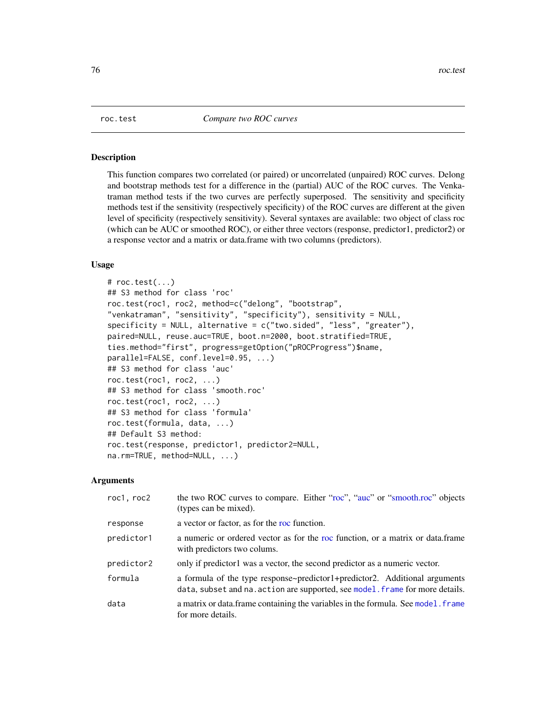<span id="page-75-1"></span><span id="page-75-0"></span>

#### Description

This function compares two correlated (or paired) or uncorrelated (unpaired) ROC curves. Delong and bootstrap methods test for a difference in the (partial) AUC of the ROC curves. The Venkatraman method tests if the two curves are perfectly superposed. The sensitivity and specificity methods test if the sensitivity (respectively specificity) of the ROC curves are different at the given level of specificity (respectively sensitivity). Several syntaxes are available: two object of class roc (which can be AUC or smoothed ROC), or either three vectors (response, predictor1, predictor2) or a response vector and a matrix or data.frame with two columns (predictors).

## Usage

```
# roc.test(...)
## S3 method for class 'roc'
roc.test(roc1, roc2, method=c("delong", "bootstrap",
"venkatraman", "sensitivity", "specificity"), sensitivity = NULL,
specificity = NULL, alternative = c("two.sided", "less", "greater"),
paired=NULL, reuse.auc=TRUE, boot.n=2000, boot.stratified=TRUE,
ties.method="first", progress=getOption("pROCProgress")$name,
parallel=FALSE, conf.level=0.95, ...)
## S3 method for class 'auc'
roc.test(roc1, roc2, ...)
## S3 method for class 'smooth.roc'
roc.test(roc1, roc2, ...)
## S3 method for class 'formula'
roc.test(formula, data, ...)
## Default S3 method:
roc.test(response, predictor1, predictor2=NULL,
na.rm=TRUE, method=NULL, ...)
```
#### Arguments

| roc1, roc2 | the two ROC curves to compare. Either "roc", "auc" or "smooth.roc" objects<br>(types can be mixed).                                                         |
|------------|-------------------------------------------------------------------------------------------------------------------------------------------------------------|
| response   | a vector or factor, as for the roc function.                                                                                                                |
| predictor1 | a numeric or ordered vector as for the roc function, or a matrix or data.frame<br>with predictors two colums.                                               |
| predictor2 | only if predictor l was a vector, the second predictor as a numeric vector.                                                                                 |
| formula    | a formula of the type response-predictor1+predictor2. Additional arguments<br>data, subset and na. action are supported, see model. frame for more details. |
| data       | a matrix or data. frame containing the variables in the formula. See model. frame<br>for more details.                                                      |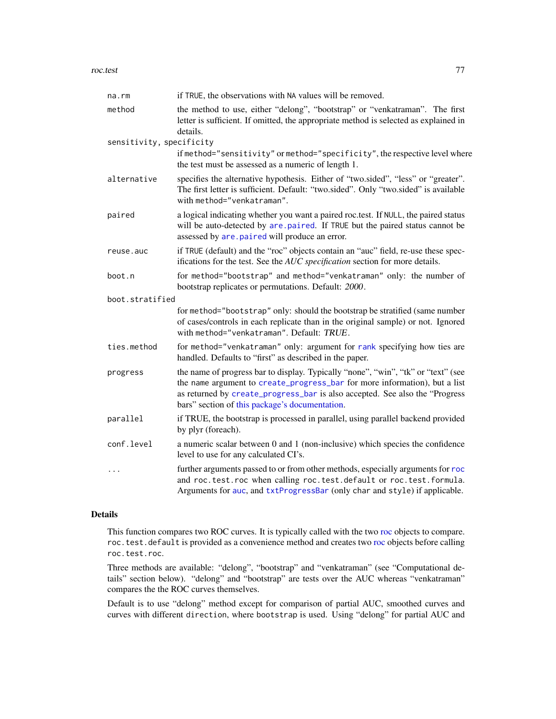#### <span id="page-76-0"></span>roc.test 77

| na.rm                    | if TRUE, the observations with NA values will be removed.                                                                                                                                                                                                                                        |
|--------------------------|--------------------------------------------------------------------------------------------------------------------------------------------------------------------------------------------------------------------------------------------------------------------------------------------------|
| method                   | the method to use, either "delong", "bootstrap" or "venkatraman". The first<br>letter is sufficient. If omitted, the appropriate method is selected as explained in<br>details.                                                                                                                  |
| sensitivity, specificity |                                                                                                                                                                                                                                                                                                  |
|                          | if method="sensitivity" or method="specificity", the respective level where<br>the test must be assessed as a numeric of length 1.                                                                                                                                                               |
| alternative              | specifies the alternative hypothesis. Either of "two.sided", "less" or "greater".<br>The first letter is sufficient. Default: "two.sided". Only "two.sided" is available<br>with method="venkatraman".                                                                                           |
| paired                   | a logical indicating whether you want a paired roc.test. If NULL, the paired status<br>will be auto-detected by are paired. If TRUE but the paired status cannot be<br>assessed by are . paired will produce an error.                                                                           |
| reuse.auc                | if TRUE (default) and the "roc" objects contain an "auc" field, re-use these spec-<br>ifications for the test. See the AUC specification section for more details.                                                                                                                               |
| boot.n                   | for method="bootstrap" and method="venkatraman" only: the number of<br>bootstrap replicates or permutations. Default: 2000.                                                                                                                                                                      |
| boot.stratified          |                                                                                                                                                                                                                                                                                                  |
|                          | for method="bootstrap" only: should the bootstrap be stratified (same number<br>of cases/controls in each replicate than in the original sample) or not. Ignored<br>with method="venkatraman". Default: TRUE.                                                                                    |
| ties.method              | for method="venkatraman" only: argument for rank specifying how ties are<br>handled. Defaults to "first" as described in the paper.                                                                                                                                                              |
| progress                 | the name of progress bar to display. Typically "none", "win", "tk" or "text" (see<br>the name argument to create_progress_bar for more information), but a list<br>as returned by create_progress_bar is also accepted. See also the "Progress<br>bars" section of this package's documentation. |
| parallel                 | if TRUE, the bootstrap is processed in parallel, using parallel backend provided<br>by plyr (foreach).                                                                                                                                                                                           |
| conf.level               | a numeric scalar between 0 and 1 (non-inclusive) which species the confidence<br>level to use for any calculated CI's.                                                                                                                                                                           |
| $\cdots$                 | further arguments passed to or from other methods, especially arguments for roc<br>and roc.test.roc when calling roc.test.default or roc.test.formula.<br>Arguments for auc, and txtProgressBar (only char and style) if applicable.                                                             |

# Details

This function compares two ROC curves. It is typically called with the two [roc](#page-68-0) objects to compare. roc.test.default is provided as a convenience method and creates two [roc](#page-68-0) objects before calling roc.test.roc.

Three methods are available: "delong", "bootstrap" and "venkatraman" (see "Computational details" section below). "delong" and "bootstrap" are tests over the AUC whereas "venkatraman" compares the the ROC curves themselves.

Default is to use "delong" method except for comparison of partial AUC, smoothed curves and curves with different direction, where bootstrap is used. Using "delong" for partial AUC and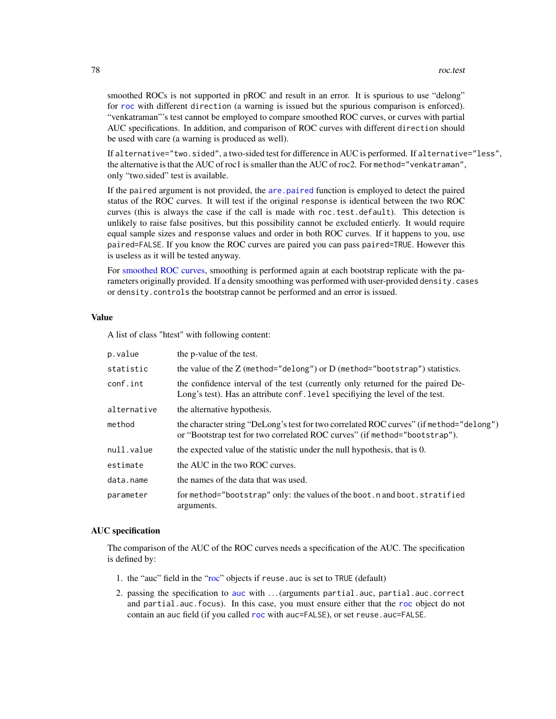<span id="page-77-0"></span>smoothed ROCs is not supported in pROC and result in an error. It is spurious to use "delong" for [roc](#page-68-0) with different direction (a warning is issued but the spurious comparison is enforced). "venkatraman"'s test cannot be employed to compare smoothed ROC curves, or curves with partial AUC specifications. In addition, and comparison of ROC curves with different direction should be used with care (a warning is produced as well).

If alternative="two.sided", a two-sided test for difference in AUC is performed. If alternative="less", the alternative is that the AUC of roc1 is smaller than the AUC of roc2. For method="venkatraman", only "two.sided" test is available.

If the paired argument is not provided, the [are.paired](#page-9-0) function is employed to detect the paired status of the ROC curves. It will test if the original response is identical between the two ROC curves (this is always the case if the call is made with roc.test.default). This detection is unlikely to raise false positives, but this possibility cannot be excluded entierly. It would require equal sample sizes and response values and order in both ROC curves. If it happens to you, use paired=FALSE. If you know the ROC curves are paired you can pass paired=TRUE. However this is useless as it will be tested anyway.

For [smoothed ROC curves,](#page-82-1) smoothing is performed again at each bootstrap replicate with the parameters originally provided. If a density smoothing was performed with user-provided density.cases or density.controls the bootstrap cannot be performed and an error is issued.

# Value

A list of class "htest" with following content:

| p.value     | the p-value of the test.                                                                                                                                              |
|-------------|-----------------------------------------------------------------------------------------------------------------------------------------------------------------------|
| statistic   | the value of the $Z$ (method="delong") or $D$ (method="bootstrap") statistics.                                                                                        |
| conf.int    | the confidence interval of the test (currently only returned for the paired De-<br>Long's test). Has an attribute conf. level specifiying the level of the test.      |
| alternative | the alternative hypothesis.                                                                                                                                           |
| method      | the character string "DeLong's test for two correlated ROC curves" (if method="delong")<br>or "Bootstrap test for two correlated ROC curves" (if method="bootstrap"). |
| null.value  | the expected value of the statistic under the null hypothesis, that is 0.                                                                                             |
| estimate    | the AUC in the two ROC curves.                                                                                                                                        |
| data.name   | the names of the data that was used.                                                                                                                                  |
| parameter   | for method="bootstrap" only: the values of the boot.n and boot.stratified<br>arguments.                                                                               |

## AUC specification

The comparison of the AUC of the ROC curves needs a specification of the AUC. The specification is defined by:

- 1. the "auc" field in the ["roc"](#page-68-0) objects if reuse.auc is set to TRUE (default)
- 2. passing the specification to [auc](#page-12-0) with . . . (arguments partial.auc, partial.auc.correct and partial.auc.focus). In this case, you must ensure either that the [roc](#page-68-0) object do not contain an auc field (if you called [roc](#page-68-0) with auc=FALSE), or set reuse.auc=FALSE.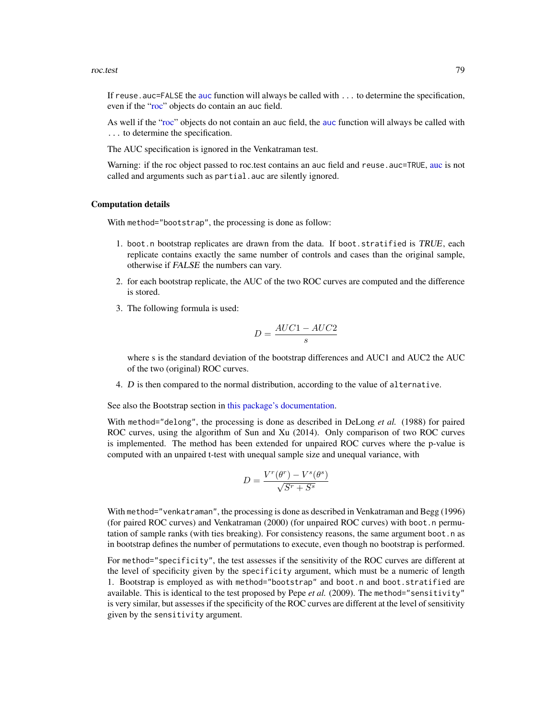#### <span id="page-78-0"></span>roc.test 79

If reuse. [auc](#page-12-0)=FALSE the auc function will always be called with ... to determine the specification, even if the ["roc"](#page-68-0) objects do contain an auc field.

As well if the ["roc"](#page-68-0) objects do not contain an auc field, the [auc](#page-12-0) function will always be called with ... to determine the specification.

The AUC specification is ignored in the Venkatraman test.

Warning: if the roc object passed to roc.test contains an [auc](#page-12-0) field and reuse. auc=TRUE, auc is not called and arguments such as partial. auc are silently ignored.

## Computation details

With method="bootstrap", the processing is done as follow:

- 1. boot.n bootstrap replicates are drawn from the data. If boot.stratified is TRUE, each replicate contains exactly the same number of controls and cases than the original sample, otherwise if FALSE the numbers can vary.
- 2. for each bootstrap replicate, the AUC of the two ROC curves are computed and the difference is stored.
- 3. The following formula is used:

$$
D = \frac{AUC1 - AUC2}{s}
$$

where s is the standard deviation of the bootstrap differences and AUC1 and AUC2 the AUC of the two (original) ROC curves.

4. D is then compared to the normal distribution, according to the value of alternative.

See also the Bootstrap section in [this package's documentation.](#page-1-0)

With method="delong", the processing is done as described in DeLong *et al.* (1988) for paired ROC curves, using the algorithm of Sun and Xu (2014). Only comparison of two ROC curves is implemented. The method has been extended for unpaired ROC curves where the p-value is computed with an unpaired t-test with unequal sample size and unequal variance, with

$$
D = \frac{V^r(\theta^r) - V^s(\theta^s)}{\sqrt{S^r + S^s}}
$$

With method="venkatraman", the processing is done as described in Venkatraman and Begg (1996) (for paired ROC curves) and Venkatraman (2000) (for unpaired ROC curves) with boot.n permutation of sample ranks (with ties breaking). For consistency reasons, the same argument boot.n as in bootstrap defines the number of permutations to execute, even though no bootstrap is performed.

For method="specificity", the test assesses if the sensitivity of the ROC curves are different at the level of specificity given by the specificity argument, which must be a numeric of length 1. Bootstrap is employed as with method="bootstrap" and boot.n and boot.stratified are available. This is identical to the test proposed by Pepe *et al.* (2009). The method="sensitivity" is very similar, but assesses if the specificity of the ROC curves are different at the level of sensitivity given by the sensitivity argument.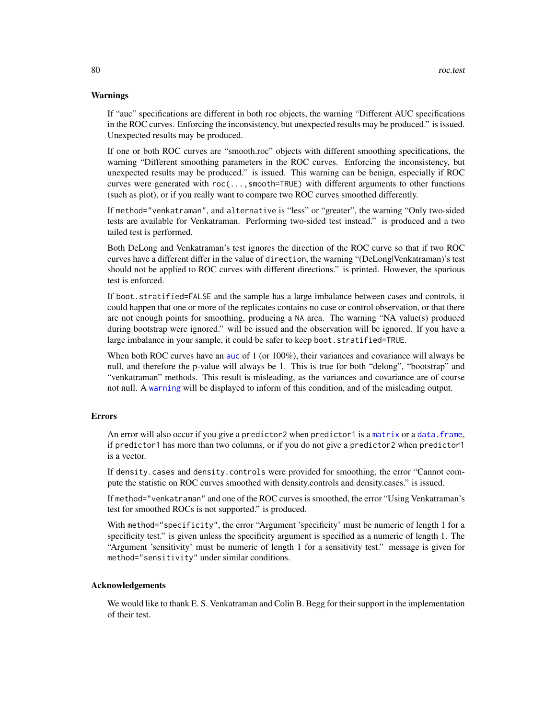#### <span id="page-79-0"></span>Warnings

If "auc" specifications are different in both roc objects, the warning "Different AUC specifications in the ROC curves. Enforcing the inconsistency, but unexpected results may be produced." is issued. Unexpected results may be produced.

If one or both ROC curves are "smooth.roc" objects with different smoothing specifications, the warning "Different smoothing parameters in the ROC curves. Enforcing the inconsistency, but unexpected results may be produced." is issued. This warning can be benign, especially if ROC curves were generated with roc(...,smooth=TRUE) with different arguments to other functions (such as plot), or if you really want to compare two ROC curves smoothed differently.

If method="venkatraman", and alternative is "less" or "greater", the warning "Only two-sided tests are available for Venkatraman. Performing two-sided test instead." is produced and a two tailed test is performed.

Both DeLong and Venkatraman's test ignores the direction of the ROC curve so that if two ROC curves have a different differ in the value of direction, the warning "(DeLong|Venkatraman)'s test should not be applied to ROC curves with different directions." is printed. However, the spurious test is enforced.

If boot.stratified=FALSE and the sample has a large imbalance between cases and controls, it could happen that one or more of the replicates contains no case or control observation, or that there are not enough points for smoothing, producing a NA area. The warning "NA value(s) produced during bootstrap were ignored." will be issued and the observation will be ignored. If you have a large imbalance in your sample, it could be safer to keep boot.stratified=TRUE.

When both ROC curves have an [auc](#page-12-0) of 1 (or 100%), their variances and covariance will always be null, and therefore the p-value will always be 1. This is true for both "delong", "bootstrap" and "venkatraman" methods. This result is misleading, as the variances and covariance are of course not null. A [warning](#page-0-0) will be displayed to inform of this condition, and of the misleading output.

## Errors

An error will also occur if you give a predictor2 when predictor1 is a [matrix](#page-0-0) or a [data.frame](#page-0-0), if predictor1 has more than two columns, or if you do not give a predictor2 when predictor1 is a vector.

If density.cases and density.controls were provided for smoothing, the error "Cannot compute the statistic on ROC curves smoothed with density.controls and density.cases." is issued.

If method="venkatraman" and one of the ROC curves is smoothed, the error "Using Venkatraman's test for smoothed ROCs is not supported." is produced.

With method="specificity", the error "Argument 'specificity' must be numeric of length 1 for a specificity test." is given unless the specificity argument is specified as a numeric of length 1. The "Argument 'sensitivity' must be numeric of length 1 for a sensitivity test." message is given for method="sensitivity" under similar conditions.

## Acknowledgements

We would like to thank E. S. Venkatraman and Colin B. Begg for their support in the implementation of their test.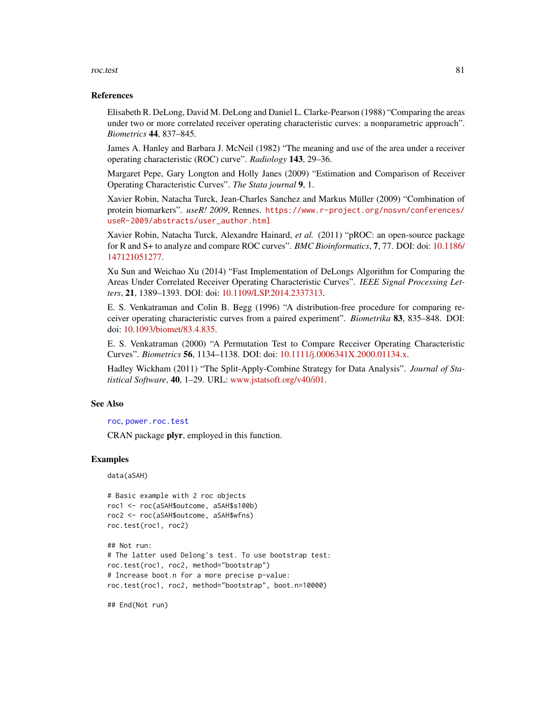#### <span id="page-80-0"></span>roc.test 81

#### References

Elisabeth R. DeLong, David M. DeLong and Daniel L. Clarke-Pearson (1988) "Comparing the areas under two or more correlated receiver operating characteristic curves: a nonparametric approach". *Biometrics* 44, 837–845.

James A. Hanley and Barbara J. McNeil (1982) "The meaning and use of the area under a receiver operating characteristic (ROC) curve". *Radiology* 143, 29–36.

Margaret Pepe, Gary Longton and Holly Janes (2009) "Estimation and Comparison of Receiver Operating Characteristic Curves". *The Stata journal* 9, 1.

Xavier Robin, Natacha Turck, Jean-Charles Sanchez and Markus Müller (2009) "Combination of protein biomarkers". *useR! 2009*, Rennes. [https://www.r-project.org/nosvn/conferences/](https://www.r-project.org/nosvn/conferences/useR-2009/abstracts/user_author.html) [useR-2009/abstracts/user\\_author.html](https://www.r-project.org/nosvn/conferences/useR-2009/abstracts/user_author.html)

Xavier Robin, Natacha Turck, Alexandre Hainard, *et al.* (2011) "pROC: an open-source package for R and S+ to analyze and compare ROC curves". *BMC Bioinformatics*, 7, 77. DOI: doi: [10.1186/](https://doi.org/10.1186/1471-2105-12-77) [147121051277.](https://doi.org/10.1186/1471-2105-12-77)

Xu Sun and Weichao Xu (2014) "Fast Implementation of DeLongs Algorithm for Comparing the Areas Under Correlated Receiver Operating Characteristic Curves". *IEEE Signal Processing Letters*, 21, 1389–1393. DOI: doi: [10.1109/LSP.2014.2337313.](https://doi.org/10.1109/LSP.2014.2337313)

E. S. Venkatraman and Colin B. Begg (1996) "A distribution-free procedure for comparing receiver operating characteristic curves from a paired experiment". *Biometrika* 83, 835–848. DOI: doi: [10.1093/biomet/83.4.835.](https://doi.org/10.1093/biomet/83.4.835)

E. S. Venkatraman (2000) "A Permutation Test to Compare Receiver Operating Characteristic Curves". *Biometrics* 56, 1134–1138. DOI: doi: [10.1111/j.0006341X.2000.01134.x.](https://doi.org/10.1111/j.0006-341X.2000.01134.x)

Hadley Wickham (2011) "The Split-Apply-Combine Strategy for Data Analysis". *Journal of Statistical Software*, 40, 1–29. URL: [www.jstatsoft.org/v40/i01.](https://www.jstatsoft.org/v40/i01)

## See Also

[roc](#page-68-0), [power.roc.test](#page-62-0)

CRAN package plyr, employed in this function.

#### Examples

data(aSAH)

```
# Basic example with 2 roc objects
roc1 <- roc(aSAH$outcome, aSAH$s100b)
roc2 <- roc(aSAH$outcome, aSAH$wfns)
roc.test(roc1, roc2)
```

```
## Not run:
# The latter used Delong's test. To use bootstrap test:
roc.test(roc1, roc2, method="bootstrap")
# Increase boot.n for a more precise p-value:
roc.test(roc1, roc2, method="bootstrap", boot.n=10000)
```
## End(Not run)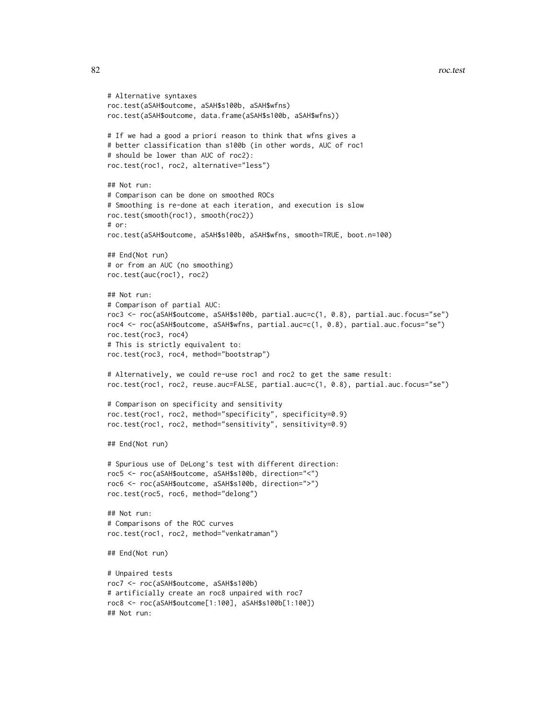```
# Alternative syntaxes
roc.test(aSAH$outcome, aSAH$s100b, aSAH$wfns)
roc.test(aSAH$outcome, data.frame(aSAH$s100b, aSAH$wfns))
# If we had a good a priori reason to think that wfns gives a
# better classification than s100b (in other words, AUC of roc1
# should be lower than AUC of roc2):
roc.test(roc1, roc2, alternative="less")
## Not run:
# Comparison can be done on smoothed ROCs
# Smoothing is re-done at each iteration, and execution is slow
roc.test(smooth(roc1), smooth(roc2))
# or:
roc.test(aSAH$outcome, aSAH$s100b, aSAH$wfns, smooth=TRUE, boot.n=100)
## End(Not run)
# or from an AUC (no smoothing)
roc.test(auc(roc1), roc2)
## Not run:
# Comparison of partial AUC:
roc3 <- roc(aSAH$outcome, aSAH$s100b, partial.auc=c(1, 0.8), partial.auc.focus="se")
roc4 <- roc(aSAH$outcome, aSAH$wfns, partial.auc=c(1, 0.8), partial.auc.focus="se")
roc.test(roc3, roc4)
# This is strictly equivalent to:
roc.test(roc3, roc4, method="bootstrap")
# Alternatively, we could re-use roc1 and roc2 to get the same result:
roc.test(roc1, roc2, reuse.auc=FALSE, partial.auc=c(1, 0.8), partial.auc.focus="se")
# Comparison on specificity and sensitivity
roc.test(roc1, roc2, method="specificity", specificity=0.9)
roc.test(roc1, roc2, method="sensitivity", sensitivity=0.9)
## End(Not run)
# Spurious use of DeLong's test with different direction:
roc5 <- roc(aSAH$outcome, aSAH$s100b, direction="<")
roc6 <- roc(aSAH$outcome, aSAH$s100b, direction=">")
roc.test(roc5, roc6, method="delong")
## Not run:
# Comparisons of the ROC curves
roc.test(roc1, roc2, method="venkatraman")
## End(Not run)
# Unpaired tests
roc7 <- roc(aSAH$outcome, aSAH$s100b)
# artificially create an roc8 unpaired with roc7
roc8 <- roc(aSAH$outcome[1:100], aSAH$s100b[1:100])
## Not run:
```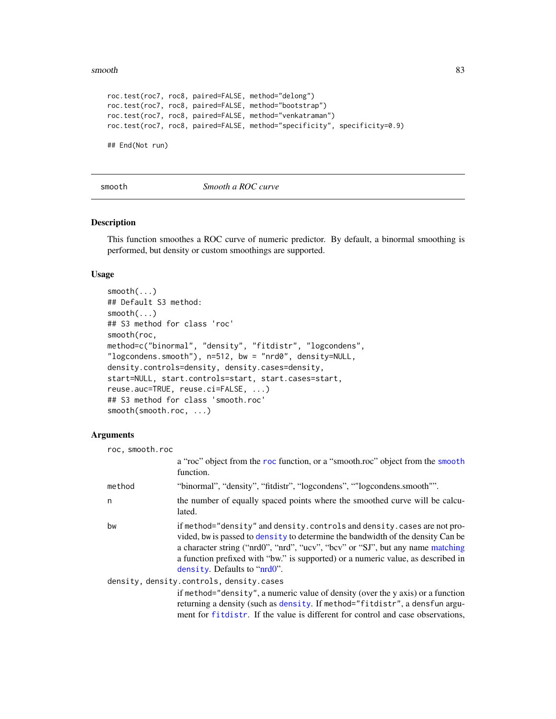#### <span id="page-82-2"></span>smooth 83

```
roc.test(roc7, roc8, paired=FALSE, method="delong")
roc.test(roc7, roc8, paired=FALSE, method="bootstrap")
roc.test(roc7, roc8, paired=FALSE, method="venkatraman")
roc.test(roc7, roc8, paired=FALSE, method="specificity", specificity=0.9)
```
## End(Not run)

## smooth *Smooth a ROC curve*

#### <span id="page-82-1"></span>Description

This function smoothes a ROC curve of numeric predictor. By default, a binormal smoothing is performed, but density or custom smoothings are supported.

## Usage

```
smooth(...)
## Default S3 method:
smooth(...)
## S3 method for class 'roc'
smooth(roc,
method=c("binormal", "density", "fitdistr", "logcondens",
"logcondens.smooth"), n=512, bw = "nrd0", density=NULL,
density.controls=density, density.cases=density,
start=NULL, start.controls=start, start.cases=start,
reuse.auc=TRUE, reuse.ci=FALSE, ...)
## S3 method for class 'smooth.roc'
smooth(smooth.roc, ...)
```
# Arguments

| roc, smooth.roc                          |                                                                                                                                                                                                                                                                                                                                                                  |  |
|------------------------------------------|------------------------------------------------------------------------------------------------------------------------------------------------------------------------------------------------------------------------------------------------------------------------------------------------------------------------------------------------------------------|--|
|                                          | a "roc" object from the roc function, or a "smooth.roc" object from the smooth<br>function.                                                                                                                                                                                                                                                                      |  |
| method                                   | "binormal", "density", "fitdistr", "logcondens", ""logcondens.smooth"".                                                                                                                                                                                                                                                                                          |  |
| n                                        | the number of equally spaced points where the smoothed curve will be calcu-<br>lated.                                                                                                                                                                                                                                                                            |  |
| bw                                       | if method="density" and density.controls and density.cases are not pro-<br>vided, bw is passed to density to determine the bandwidth of the density Can be<br>a character string ("nrd0", "nrd", "ucv", "bcv" or "SJ", but any name matching<br>a function prefixed with "bw." is supported) or a numeric value, as described in<br>density. Defaults to "nrd0". |  |
| density, density.controls, density.cases |                                                                                                                                                                                                                                                                                                                                                                  |  |
|                                          | if method="density", a numeric value of density (over the y axis) or a function<br>returning a density (such as density. If method="fitdistr", a densfun argu-<br>ment for fitdistr. If the value is different for control and case observations,                                                                                                                |  |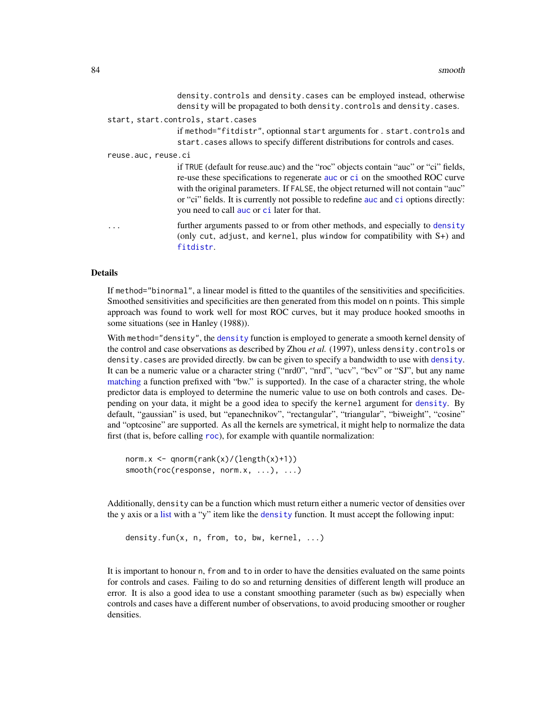density.controls and density.cases can be employed instead, otherwise density will be propagated to both density.controls and density.cases.

#### <span id="page-83-0"></span>start, start.controls, start.cases

if method="fitdistr", optionnal start arguments for . start.controls and start.cases allows to specify different distributions for controls and cases.

reuse.auc, reuse.ci

if TRUE (default for reuse.auc) and the "roc" objects contain "auc" or "ci" fields, re-use these specifications to regenerate [auc](#page-12-0) or [ci](#page-15-0) on the smoothed ROC curve with the original parameters. If FALSE, the object returned will not contain "auc" or "ci" fields. It is currently not possible to redefine [auc](#page-12-0) and [ci](#page-15-0) options directly: you need to call [auc](#page-12-0) or [ci](#page-15-0) later for that.

... further arguments passed to or from other methods, and especially to [density](#page-0-0) (only cut, adjust, and kernel, plus window for compatibility with S+) and [fitdistr](#page-0-0).

#### Details

If method="binormal", a linear model is fitted to the quantiles of the sensitivities and specificities. Smoothed sensitivities and specificities are then generated from this model on n points. This simple approach was found to work well for most ROC curves, but it may produce hooked smooths in some situations (see in Hanley (1988)).

With method="[density](#page-0-0)", the density function is employed to generate a smooth kernel density of the control and case observations as described by Zhou *et al.* (1997), unless density.controls or density.cases are provided directly. bw can be given to specify a bandwidth to use with [density](#page-0-0). It can be a numeric value or a character string ("nrd0", "nrd", "ucv", "bcv" or "SJ", but any name [matching](#page-0-0) a function prefixed with "bw." is supported). In the case of a character string, the whole predictor data is employed to determine the numeric value to use on both controls and cases. Depending on your data, it might be a good idea to specify the kernel argument for [density](#page-0-0). By default, "gaussian" is used, but "epanechnikov", "rectangular", "triangular", "biweight", "cosine" and "optcosine" are supported. As all the kernels are symetrical, it might help to normalize the data first (that is, before calling [roc](#page-68-0)), for example with quantile normalization:

```
norm.x \leq qnorm(rank(x)/(length(x)+1))smooth(roc(response, norm.x, ...), ...)
```
Additionally, density can be a function which must return either a numeric vector of densities over the y axis or a [list](#page-0-0) with a "y" item like the [density](#page-0-0) function. It must accept the following input:

density.fun(x, n, from, to, bw, kernel, ...)

It is important to honour n, from and to in order to have the densities evaluated on the same points for controls and cases. Failing to do so and returning densities of different length will produce an error. It is also a good idea to use a constant smoothing parameter (such as bw) especially when controls and cases have a different number of observations, to avoid producing smoother or rougher densities.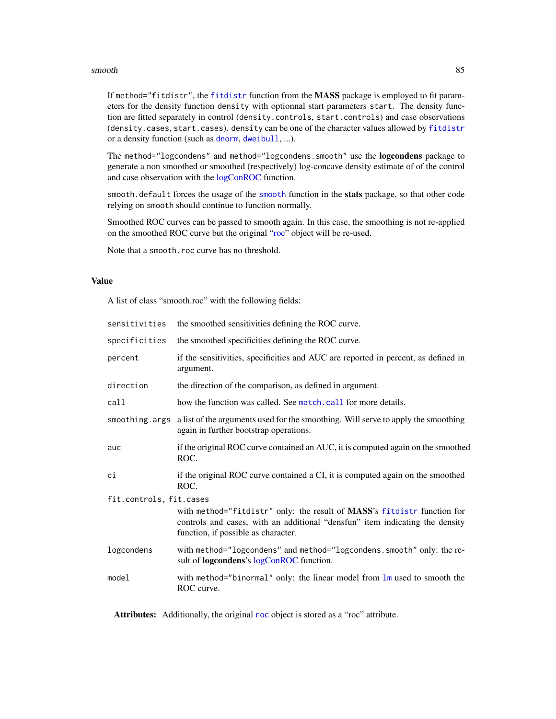#### <span id="page-84-0"></span>smooth 85

If method="fitdistr", the [fitdistr](#page-0-0) function from the MASS package is employed to fit parameters for the density function density with optionnal start parameters start. The density function are fitted separately in control (density.controls, start.controls) and case observations (density.cases, start.cases). density can be one of the character values allowed by [fitdistr](#page-0-0) or a density function (such as [dnorm](#page-0-0), [dweibull](#page-0-0), ...).

The method="logcondens" and method="logcondens.smooth" use the **logcondens** package to generate a non smoothed or smoothed (respectively) log-concave density estimate of of the control and case observation with the [logConROC](#page-0-0) function.

smooth.default forces the usage of the [smooth](#page-82-0) function in the stats package, so that other code relying on smooth should continue to function normally.

Smoothed ROC curves can be passed to smooth again. In this case, the smoothing is not re-applied on the smoothed ROC curve but the original ["roc"](#page-68-0) object will be re-used.

Note that a smooth.roc curve has no threshold.

## Value

A list of class "smooth.roc" with the following fields:

| sensitivities           | the smoothed sensitivities defining the ROC curve.                                                                                                                                             |
|-------------------------|------------------------------------------------------------------------------------------------------------------------------------------------------------------------------------------------|
| specificities           | the smoothed specificities defining the ROC curve.                                                                                                                                             |
| percent                 | if the sensitivities, specificities and AUC are reported in percent, as defined in<br>argument.                                                                                                |
| direction               | the direction of the comparison, as defined in argument.                                                                                                                                       |
| call                    | how the function was called. See match, call for more details.                                                                                                                                 |
|                         | smoothing. args a list of the arguments used for the smoothing. Will serve to apply the smoothing<br>again in further bootstrap operations.                                                    |
| auc                     | if the original ROC curve contained an AUC, it is computed again on the smoothed<br>ROC.                                                                                                       |
| сi                      | if the original ROC curve contained a CI, it is computed again on the smoothed<br>ROC.                                                                                                         |
| fit.controls, fit.cases |                                                                                                                                                                                                |
|                         | with method="fitdistr" only: the result of MASS's fitdistr function for<br>controls and cases, with an additional "densfun" item indicating the density<br>function, if possible as character. |
| logcondens              | with method="logcondens" and method="logcondens.smooth" only: the re-<br>sult of <b>logcondens</b> 's logConROC function.                                                                      |
| model                   | with method="binormal" only: the linear model from lm used to smooth the<br>ROC curve.                                                                                                         |
|                         |                                                                                                                                                                                                |

Attributes: Additionally, the original [roc](#page-68-0) object is stored as a "roc" attribute.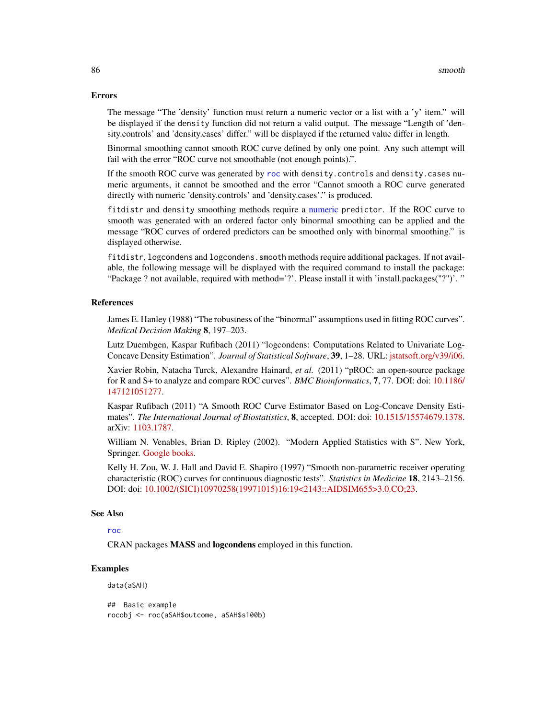#### <span id="page-85-0"></span>Errors

The message "The 'density' function must return a numeric vector or a list with a 'y' item." will be displayed if the density function did not return a valid output. The message "Length of 'density.controls' and 'density.cases' differ." will be displayed if the returned value differ in length.

Binormal smoothing cannot smooth ROC curve defined by only one point. Any such attempt will fail with the error "ROC curve not smoothable (not enough points).".

If the smooth ROC curve was generated by [roc](#page-68-0) with density.controls and density.cases numeric arguments, it cannot be smoothed and the error "Cannot smooth a ROC curve generated directly with numeric 'density.controls' and 'density.cases'." is produced.

fitdistr and density smoothing methods require a [numeric](#page-0-0) predictor. If the ROC curve to smooth was generated with an ordered factor only binormal smoothing can be applied and the message "ROC curves of ordered predictors can be smoothed only with binormal smoothing." is displayed otherwise.

fitdistr, logcondens and logcondens.smooth methods require additional packages. If not available, the following message will be displayed with the required command to install the package: "Package ? not available, required with method='?'. Please install it with 'install.packages("?")'. "

## References

James E. Hanley (1988) "The robustness of the "binormal" assumptions used in fitting ROC curves". *Medical Decision Making* 8, 197–203.

Lutz Duembgen, Kaspar Rufibach (2011) "logcondens: Computations Related to Univariate Log-Concave Density Estimation". *Journal of Statistical Software*, 39, 1–28. URL: [jstatsoft.org/v39/i06.](https://www.jstatsoft.org/v39/i06/)

Xavier Robin, Natacha Turck, Alexandre Hainard, *et al.* (2011) "pROC: an open-source package for R and S+ to analyze and compare ROC curves". *BMC Bioinformatics*, 7, 77. DOI: doi: [10.1186/](https://doi.org/10.1186/1471-2105-12-77) [147121051277.](https://doi.org/10.1186/1471-2105-12-77)

Kaspar Rufibach (2011) "A Smooth ROC Curve Estimator Based on Log-Concave Density Estimates". *The International Journal of Biostatistics*, 8, accepted. DOI: doi: [10.1515/15574679.1378.](https://doi.org/10.1515/1557-4679.1378) arXiv: [1103.1787.](https://arxiv.org/abs/1103.1787)

William N. Venables, Brian D. Ripley (2002). "Modern Applied Statistics with S". New York, Springer. [Google books.](http://books.google.ch/books?id=974c4vKurNkC)

Kelly H. Zou, W. J. Hall and David E. Shapiro (1997) "Smooth non-parametric receiver operating characteristic (ROC) curves for continuous diagnostic tests". *Statistics in Medicine* 18, 2143–2156. DOI: doi: [10.1002/\(SICI\)10970258\(19971015\)16:19<2143::AIDSIM655>3.0.CO;23.](https://doi.org/10.1002/(SICI)1097-0258(19971015)16:19<2143::AID-SIM655>3.0.CO;2-3)

#### See Also

# [roc](#page-68-0)

CRAN packages MASS and logcondens employed in this function.

## Examples

data(aSAH)

## Basic example rocobj <- roc(aSAH\$outcome, aSAH\$s100b)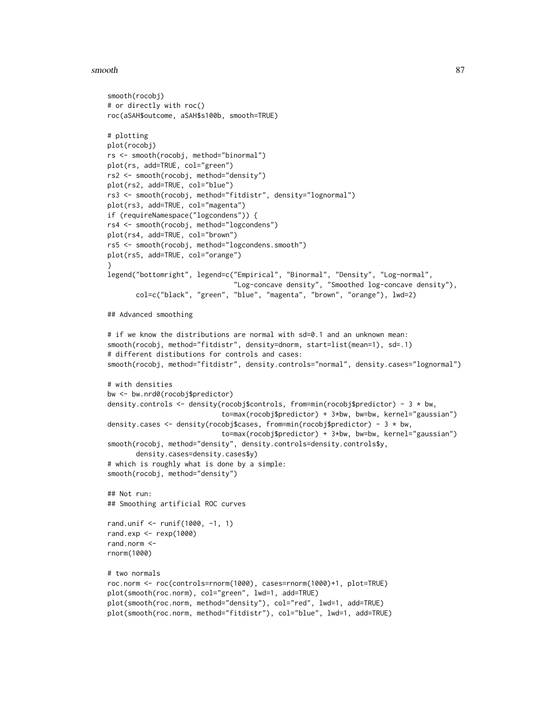#### smooth 87

```
smooth(rocobj)
# or directly with roc()
roc(aSAH$outcome, aSAH$s100b, smooth=TRUE)
# plotting
plot(rocobj)
rs <- smooth(rocobj, method="binormal")
plot(rs, add=TRUE, col="green")
rs2 <- smooth(rocobj, method="density")
plot(rs2, add=TRUE, col="blue")
rs3 <- smooth(rocobj, method="fitdistr", density="lognormal")
plot(rs3, add=TRUE, col="magenta")
if (requireNamespace("logcondens")) {
rs4 <- smooth(rocobj, method="logcondens")
plot(rs4, add=TRUE, col="brown")
rs5 <- smooth(rocobj, method="logcondens.smooth")
plot(rs5, add=TRUE, col="orange")
}
legend("bottomright", legend=c("Empirical", "Binormal", "Density", "Log-normal",
                               "Log-concave density", "Smoothed log-concave density"),
       col=c("black", "green", "blue", "magenta", "brown", "orange"), lwd=2)
## Advanced smoothing
# if we know the distributions are normal with sd=0.1 and an unknown mean:
smooth(rocobj, method="fitdistr", density=dnorm, start=list(mean=1), sd=.1)
# different distibutions for controls and cases:
smooth(rocobj, method="fitdistr", density.controls="normal", density.cases="lognormal")
# with densities
bw <- bw.nrd0(rocobj$predictor)
density.controls <- density(rocobj$controls, from=min(rocobj$predictor) - 3 * bw,
                            to=max(rocobj$predictor) + 3*bw, bw=bw, kernel="gaussian")
density.cases \leq density(rocobj$cases, from=min(rocobj$predictor) - 3 \star bw,
                            to=max(rocobj$predictor) + 3*bw, bw=bw, kernel="gaussian")
smooth(rocobj, method="density", density.controls=density.controls$y,
       density.cases=density.cases$y)
# which is roughly what is done by a simple:
smooth(rocobj, method="density")
## Not run:
## Smoothing artificial ROC curves
rand.unif <- runif(1000, -1, 1)
rand.exp \leq rexp(1000)
rand.norm <-
rnorm(1000)
# two normals
roc.norm <- roc(controls=rnorm(1000), cases=rnorm(1000)+1, plot=TRUE)
plot(smooth(roc.norm), col="green", lwd=1, add=TRUE)
plot(smooth(roc.norm, method="density"), col="red", lwd=1, add=TRUE)
plot(smooth(roc.norm, method="fitdistr"), col="blue", lwd=1, add=TRUE)
```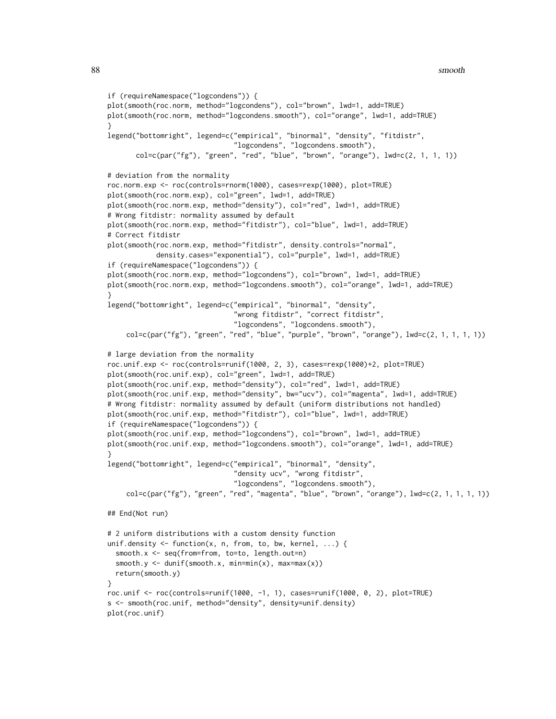```
if (requireNamespace("logcondens")) {
plot(smooth(roc.norm, method="logcondens"), col="brown", lwd=1, add=TRUE)
plot(smooth(roc.norm, method="logcondens.smooth"), col="orange", lwd=1, add=TRUE)
}
legend("bottomright", legend=c("empirical", "binormal", "density", "fitdistr",
                               "logcondens", "logcondens.smooth"),
      col=c(par("fg"), "green", "red", "blue", "brown", "orange"), lwd=c(2, 1, 1, 1))# deviation from the normality
roc.norm.exp <- roc(controls=rnorm(1000), cases=rexp(1000), plot=TRUE)
plot(smooth(roc.norm.exp), col="green", lwd=1, add=TRUE)
plot(smooth(roc.norm.exp, method="density"), col="red", lwd=1, add=TRUE)
# Wrong fitdistr: normality assumed by default
plot(smooth(roc.norm.exp, method="fitdistr"), col="blue", lwd=1, add=TRUE)
# Correct fitdistr
plot(smooth(roc.norm.exp, method="fitdistr", density.controls="normal",
            density.cases="exponential"), col="purple", lwd=1, add=TRUE)
if (requireNamespace("logcondens")) {
plot(smooth(roc.norm.exp, method="logcondens"), col="brown", lwd=1, add=TRUE)
plot(smooth(roc.norm.exp, method="logcondens.smooth"), col="orange", lwd=1, add=TRUE)
}
legend("bottomright", legend=c("empirical", "binormal", "density",
                               "wrong fitdistr", "correct fitdistr",
                               "logcondens", "logcondens.smooth"),
    col=c(par("fg"), "green", "red", "blue", "purple", "brown", "orange"), lwd=c(2, 1, 1, 1, 1))
# large deviation from the normality
roc.unif.exp <- roc(controls=runif(1000, 2, 3), cases=rexp(1000)+2, plot=TRUE)
plot(smooth(roc.unif.exp), col="green", lwd=1, add=TRUE)
plot(smooth(roc.unif.exp, method="density"), col="red", lwd=1, add=TRUE)
plot(smooth(roc.unif.exp, method="density", bw="ucv"), col="magenta", lwd=1, add=TRUE)
# Wrong fitdistr: normality assumed by default (uniform distributions not handled)
plot(smooth(roc.unif.exp, method="fitdistr"), col="blue", lwd=1, add=TRUE)
if (requireNamespace("logcondens")) {
plot(smooth(roc.unif.exp, method="logcondens"), col="brown", lwd=1, add=TRUE)
plot(smooth(roc.unif.exp, method="logcondens.smooth"), col="orange", lwd=1, add=TRUE)
}
legend("bottomright", legend=c("empirical", "binormal", "density",
                               "density ucv", "wrong fitdistr",
                               "logcondens", "logcondens.smooth"),
    col=c(par("fg"), "green", "red", "magenta", "blue", "brown", "orange"), lwd=c(2, 1, 1, 1, 1))## End(Not run)
# 2 uniform distributions with a custom density function
unif.density \leq function(x, n, from, to, bw, kernel, ...) {
 smooth.x <- seq(from=from, to=to, length.out=n)
 smooth.y \leq dunif(smooth.x, min=min(x), max=max(x))
 return(smooth.y)
}
roc.unif <- roc(controls=runif(1000, -1, 1), cases=runif(1000, 0, 2), plot=TRUE)
s <- smooth(roc.unif, method="density", density=unif.density)
plot(roc.unif)
```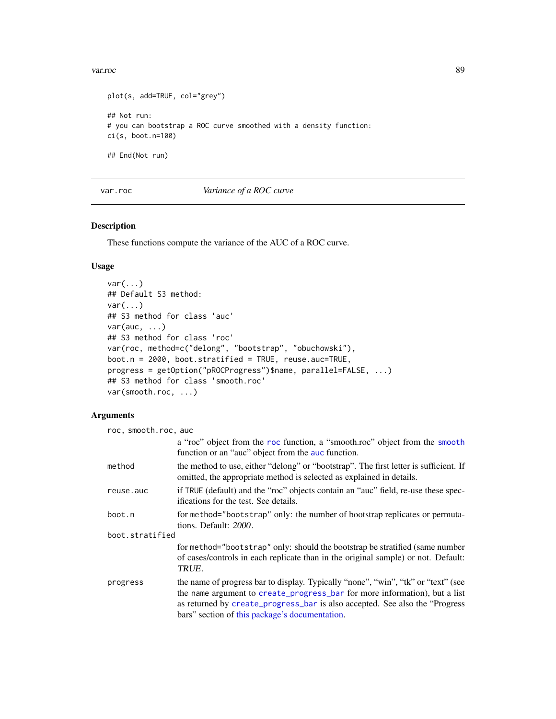```
plot(s, add=TRUE, col="grey")
## Not run:
# you can bootstrap a ROC curve smoothed with a density function:
ci(s, boot.n=100)
## End(Not run)
```
var.roc *Variance of a ROC curve*

## <span id="page-88-0"></span>Description

These functions compute the variance of the AUC of a ROC curve.

## Usage

```
var(...)
## Default S3 method:
var(...)
## S3 method for class 'auc'
var(auc, \ldots)## S3 method for class 'roc'
var(roc, method=c("delong", "bootstrap", "obuchowski"),
boot.n = 2000, boot.stratified = TRUE, reuse.auc=TRUE,
progress = getOption("pROCProgress")$name, parallel=FALSE, ...)
## S3 method for class 'smooth.roc'
var(smooth.roc, ...)
```
# Arguments

| roc, smooth.roc, auc |                                                                                                                                                                                                                                                                                                   |
|----------------------|---------------------------------------------------------------------------------------------------------------------------------------------------------------------------------------------------------------------------------------------------------------------------------------------------|
|                      | a "roc" object from the roc function, a "smooth.roc" object from the smooth<br>function or an "auc" object from the auc function.                                                                                                                                                                 |
| method               | the method to use, either "delong" or "bootstrap". The first letter is sufficient. If<br>omitted, the appropriate method is selected as explained in details.                                                                                                                                     |
| reuse.auc            | if TRUE (default) and the "roc" objects contain an "auc" field, re-use these spec-<br>ifications for the test. See details.                                                                                                                                                                       |
| boot.n               | for method="bootstrap" only: the number of bootstrap replicates or permuta-<br>tions. Default: 2000.                                                                                                                                                                                              |
| boot.stratified      |                                                                                                                                                                                                                                                                                                   |
|                      | for method="bootstrap" only: should the bootstrap be stratified (same number<br>of cases/controls in each replicate than in the original sample) or not. Default:<br>TRUE.                                                                                                                        |
| progress             | the name of progress bar to display. Typically "none", "win", "tk" or "text" (see<br>the name argument to create_progress_bar for more information), but a list<br>as returned by create_progress_bar is also accepted. See also the "Progress"<br>bars" section of this package's documentation. |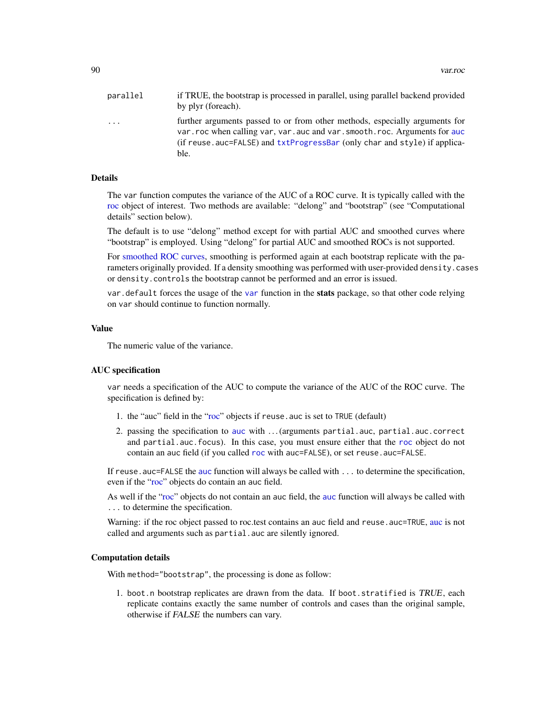<span id="page-89-0"></span>

| parallel | if TRUE, the bootstrap is processed in parallel, using parallel backend provided<br>by plyr (foreach).                                                                                                                                          |
|----------|-------------------------------------------------------------------------------------------------------------------------------------------------------------------------------------------------------------------------------------------------|
| .        | further arguments passed to or from other methods, especially arguments for<br>var. roc when calling var, var. auc and var. smooth. roc. Arguments for auc<br>(if reuse.auc=FALSE) and txtProgressBar (only char and style) if applica-<br>ble. |

## Details

The var function computes the variance of the AUC of a ROC curve. It is typically called with the [roc](#page-68-0) object of interest. Two methods are available: "delong" and "bootstrap" (see "Computational details" section below).

The default is to use "delong" method except for with partial AUC and smoothed curves where "bootstrap" is employed. Using "delong" for partial AUC and smoothed ROCs is not supported.

For [smoothed ROC curves,](#page-82-1) smoothing is performed again at each bootstrap replicate with the parameters originally provided. If a density smoothing was performed with user-provided density.cases or density.controls the bootstrap cannot be performed and an error is issued.

[var](#page-88-0). default forces the usage of the var function in the stats package, so that other code relying on var should continue to function normally.

## Value

The numeric value of the variance.

## AUC specification

var needs a specification of the AUC to compute the variance of the AUC of the ROC curve. The specification is defined by:

- 1. the "auc" field in the ["roc"](#page-68-0) objects if reuse.auc is set to TRUE (default)
- 2. passing the specification to [auc](#page-12-0) with . . . (arguments partial.auc, partial.auc.correct and partial.auc.focus). In this case, you must ensure either that the [roc](#page-68-0) object do not contain an auc field (if you called [roc](#page-68-0) with auc=FALSE), or set reuse.auc=FALSE.

If reuse . [auc](#page-12-0)=FALSE the auc function will always be called with . . . to determine the specification, even if the ["roc"](#page-68-0) objects do contain an auc field.

As well if the ["roc"](#page-68-0) objects do not contain an auc field, the [auc](#page-12-0) function will always be called with ... to determine the specification.

Warning: if the roc object passed to roc.test contains an [auc](#page-12-0) field and reuse. auc=TRUE, auc is not called and arguments such as partial.auc are silently ignored.

#### Computation details

With method="bootstrap", the processing is done as follow:

1. boot.n bootstrap replicates are drawn from the data. If boot.stratified is TRUE, each replicate contains exactly the same number of controls and cases than the original sample, otherwise if FALSE the numbers can vary.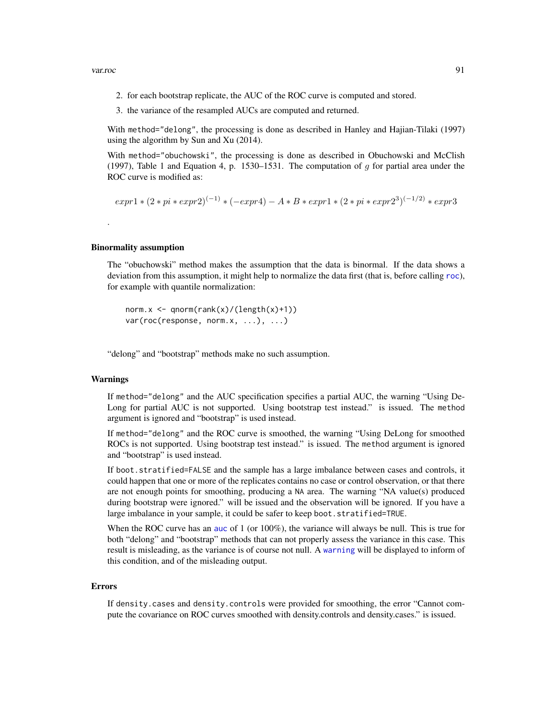- <span id="page-90-0"></span>2. for each bootstrap replicate, the AUC of the ROC curve is computed and stored.
- 3. the variance of the resampled AUCs are computed and returned.

With method="delong", the processing is done as described in Hanley and Hajian-Tilaki (1997) using the algorithm by Sun and Xu (2014).

With method="obuchowski", the processing is done as described in Obuchowski and McClish (1997), Table 1 and Equation 4, p. 1530–1531. The computation of q for partial area under the ROC curve is modified as:

$$
expr1 * (2 * pi * expr2)^{(-1)} * (-expr4) - A * B * expr1 * (2 * pi * expr23)^{(-1/2)} * expr3
$$

## Binormality assumption

The "obuchowski" method makes the assumption that the data is binormal. If the data shows a deviation from this assumption, it might help to normalize the data first (that is, before calling [roc](#page-68-0)), for example with quantile normalization:

norm.x <- qnorm(rank(x)/(length(x)+1))  $var(roc(response, norm.x, ...), ...)$ 

"delong" and "bootstrap" methods make no such assumption.

## Warnings

.

If method="delong" and the AUC specification specifies a partial AUC, the warning "Using De-Long for partial AUC is not supported. Using bootstrap test instead." is issued. The method argument is ignored and "bootstrap" is used instead.

If method="delong" and the ROC curve is smoothed, the warning "Using DeLong for smoothed ROCs is not supported. Using bootstrap test instead." is issued. The method argument is ignored and "bootstrap" is used instead.

If boot.stratified=FALSE and the sample has a large imbalance between cases and controls, it could happen that one or more of the replicates contains no case or control observation, or that there are not enough points for smoothing, producing a NA area. The warning "NA value(s) produced during bootstrap were ignored." will be issued and the observation will be ignored. If you have a large imbalance in your sample, it could be safer to keep boot.stratified=TRUE.

When the ROC curve has an [auc](#page-12-0) of 1 (or 100%), the variance will always be null. This is true for both "delong" and "bootstrap" methods that can not properly assess the variance in this case. This result is misleading, as the variance is of course not null. A [warning](#page-0-0) will be displayed to inform of this condition, and of the misleading output.

#### Errors

If density.cases and density.controls were provided for smoothing, the error "Cannot compute the covariance on ROC curves smoothed with density.controls and density.cases." is issued.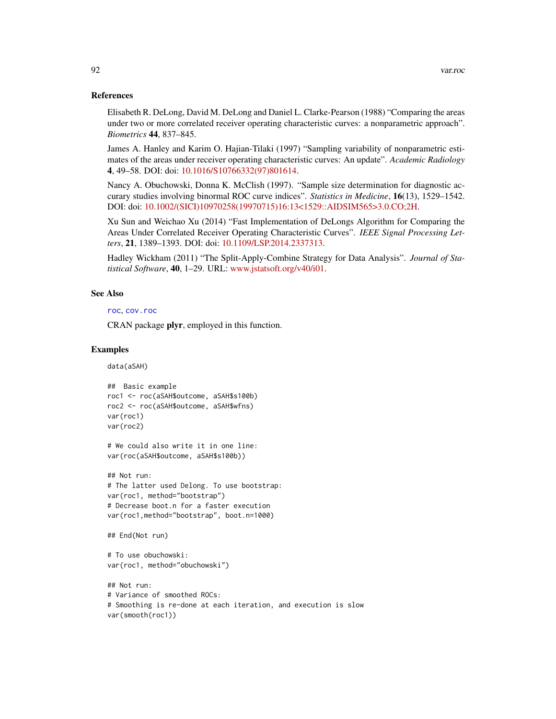## <span id="page-91-0"></span>References

Elisabeth R. DeLong, David M. DeLong and Daniel L. Clarke-Pearson (1988) "Comparing the areas under two or more correlated receiver operating characteristic curves: a nonparametric approach". *Biometrics* 44, 837–845.

James A. Hanley and Karim O. Hajian-Tilaki (1997) "Sampling variability of nonparametric estimates of the areas under receiver operating characteristic curves: An update". *Academic Radiology* 4, 49–58. DOI: doi: [10.1016/S10766332\(97\)801614.](https://doi.org/10.1016/S1076-6332(97)80161-4)

Nancy A. Obuchowski, Donna K. McClish (1997). "Sample size determination for diagnostic accurary studies involving binormal ROC curve indices". *Statistics in Medicine*, 16(13), 1529–1542. DOI: doi: [10.1002/\(SICI\)10970258\(19970715\)16:13<1529::AIDSIM565>3.0.CO;2H.](https://doi.org/10.1002/(SICI)1097-0258(19970715)16:13<1529::AID-SIM565>3.0.CO;2-H)

Xu Sun and Weichao Xu (2014) "Fast Implementation of DeLongs Algorithm for Comparing the Areas Under Correlated Receiver Operating Characteristic Curves". *IEEE Signal Processing Letters*, 21, 1389–1393. DOI: doi: [10.1109/LSP.2014.2337313.](https://doi.org/10.1109/LSP.2014.2337313)

Hadley Wickham (2011) "The Split-Apply-Combine Strategy for Data Analysis". *Journal of Statistical Software*, 40, 1–29. URL: [www.jstatsoft.org/v40/i01.](https://www.jstatsoft.org/v40/i01)

## See Also

[roc](#page-68-0), [cov.roc](#page-40-0)

CRAN package plyr, employed in this function.

## Examples

data(aSAH)

```
## Basic example
roc1 <- roc(aSAH$outcome, aSAH$s100b)
roc2 <- roc(aSAH$outcome, aSAH$wfns)
var(roc1)
var(roc2)
```

```
# We could also write it in one line:
var(roc(aSAH$outcome, aSAH$s100b))
```

```
## Not run:
# The latter used Delong. To use bootstrap:
var(roc1, method="bootstrap")
# Decrease boot.n for a faster execution
var(roc1,method="bootstrap", boot.n=1000)
```

```
## End(Not run)
```

```
# To use obuchowski:
var(roc1, method="obuchowski")
```

```
## Not run:
# Variance of smoothed ROCs:
# Smoothing is re-done at each iteration, and execution is slow
var(smooth(roc1))
```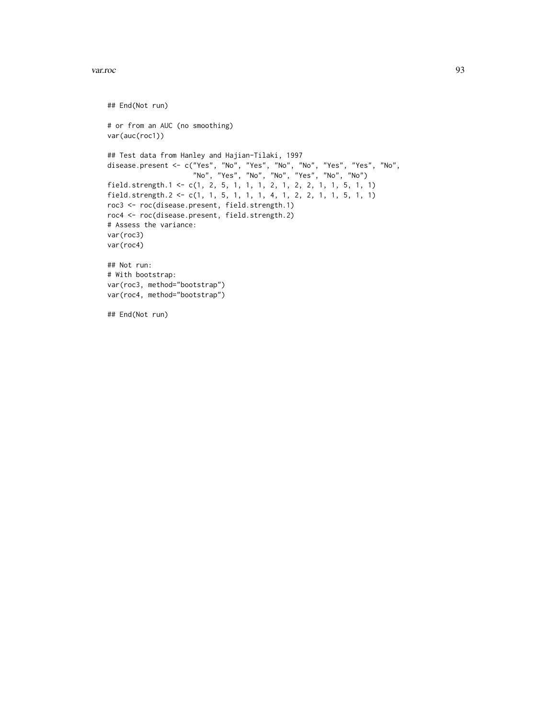```
## End(Not run)
# or from an AUC (no smoothing)
var(auc(roc1))
## Test data from Hanley and Hajian-Tilaki, 1997
disease.present <- c("Yes", "No", "Yes", "No", "No", "Yes", "Yes", "No",
                     "No", "Yes", "No", "No", "Yes", "No", "No")
field.strength.1 <- c(1, 2, 5, 1, 1, 1, 2, 1, 2, 2, 1, 1, 5, 1, 1)
field.strength.2 <- c(1, 1, 5, 1, 1, 1, 4, 1, 2, 2, 1, 1, 5, 1, 1)
roc3 <- roc(disease.present, field.strength.1)
roc4 <- roc(disease.present, field.strength.2)
# Assess the variance:
var(roc3)
var(roc4)
## Not run:
# With bootstrap:
var(roc3, method="bootstrap")
var(roc4, method="bootstrap")
## End(Not run)
```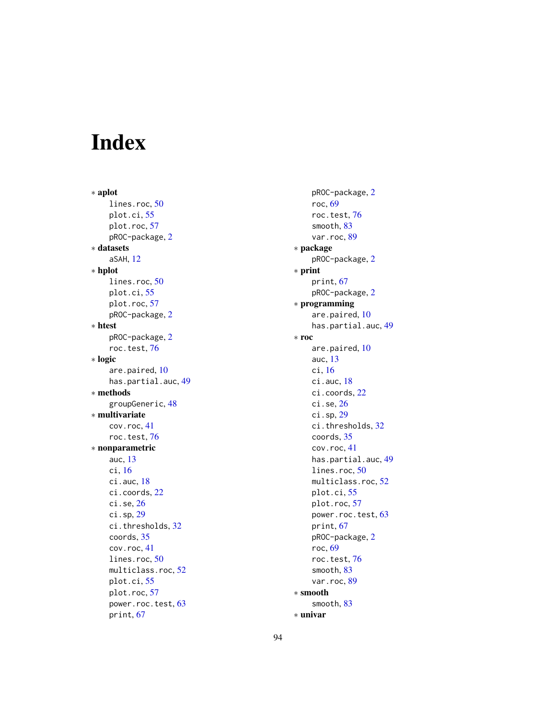# Index

∗ aplot lines.roc, [50](#page-49-0) plot.ci, [55](#page-54-0) plot.roc, [57](#page-56-1) pROC-package, [2](#page-1-1) ∗ datasets aSAH, [12](#page-11-0) ∗ hplot lines.roc, [50](#page-49-0) plot.ci, [55](#page-54-0) plot.roc, [57](#page-56-1) pROC-package, [2](#page-1-1) ∗ htest pROC-package, [2](#page-1-1) roc.test, [76](#page-75-1) ∗ logic are.paired, [10](#page-9-1) has.partial.auc, [49](#page-48-0) ∗ methods groupGeneric, [48](#page-47-0) ∗ multivariate cov.roc, [41](#page-40-1) roc.test, [76](#page-75-1) ∗ nonparametric auc, [13](#page-12-1) ci, [16](#page-15-1) ci.auc, [18](#page-17-0) ci.coords, [22](#page-21-0) ci.se, [26](#page-25-0) ci.sp, [29](#page-28-0) ci.thresholds, [32](#page-31-0) coords, [35](#page-34-1) cov.roc, [41](#page-40-1) lines.roc, [50](#page-49-0) multiclass.roc, [52](#page-51-0) plot.ci, [55](#page-54-0) plot.roc, [57](#page-56-1) power.roc.test, [63](#page-62-1) print, [67](#page-66-1)

pROC-package, [2](#page-1-1) roc, [69](#page-68-1) roc.test, [76](#page-75-1) smooth, [83](#page-82-2) var.roc, [89](#page-88-1) ∗ package pROC-package, [2](#page-1-1) ∗ print print, [67](#page-66-1) pROC-package, [2](#page-1-1) ∗ programming are.paired, [10](#page-9-1) has.partial.auc, [49](#page-48-0) ∗ roc are.paired, [10](#page-9-1) auc, [13](#page-12-1) ci, [16](#page-15-1) ci.auc, [18](#page-17-0) ci.coords, [22](#page-21-0) ci.se, [26](#page-25-0) ci.sp, [29](#page-28-0) ci.thresholds, [32](#page-31-0) coords, [35](#page-34-1) cov.roc, [41](#page-40-1) has.partial.auc, [49](#page-48-0) lines.roc, [50](#page-49-0) multiclass.roc, [52](#page-51-0) plot.ci, [55](#page-54-0) plot.roc, [57](#page-56-1) power.roc.test, [63](#page-62-1) print, [67](#page-66-1) pROC-package, [2](#page-1-1) roc, [69](#page-68-1) roc.test, [76](#page-75-1) smooth, [83](#page-82-2) var.roc, [89](#page-88-1) ∗ smooth smooth, [83](#page-82-2) ∗ univar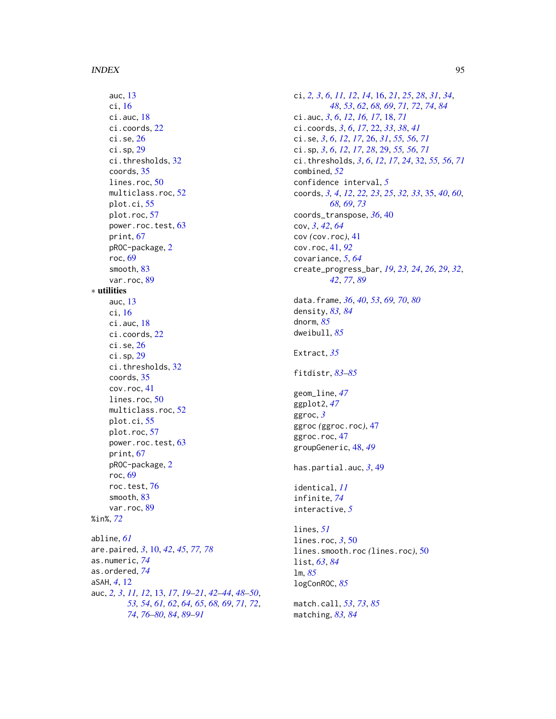auc, [13](#page-12-1) ci, [16](#page-15-1) ci.auc, [18](#page-17-0) ci.coords, [22](#page-21-0) ci.se, [26](#page-25-0) ci.sp, [29](#page-28-0) ci.thresholds, [32](#page-31-0) coords, [35](#page-34-1) lines.roc, [50](#page-49-0) multiclass.roc, [52](#page-51-0) plot.ci, [55](#page-54-0) plot.roc, [57](#page-56-1) power.roc.test, [63](#page-62-1) print, [67](#page-66-1) pROC-package, [2](#page-1-1) roc, [69](#page-68-1) smooth, [83](#page-82-2) var.roc, [89](#page-88-1) ∗ utilities auc, [13](#page-12-1) ci, [16](#page-15-1) ci.auc, [18](#page-17-0) ci.coords, [22](#page-21-0) ci.se, [26](#page-25-0) ci.sp, [29](#page-28-0) ci.thresholds, [32](#page-31-0) coords, [35](#page-34-1) cov.roc, [41](#page-40-1) lines.roc, [50](#page-49-0) multiclass.roc, [52](#page-51-0) plot.ci, [55](#page-54-0) plot.roc, [57](#page-56-1) power.roc.test, [63](#page-62-1) print, [67](#page-66-1) pROC-package, [2](#page-1-1) roc, [69](#page-68-1) roc.test, [76](#page-75-1) smooth, [83](#page-82-2) var.roc, [89](#page-88-1) %in%, *[72](#page-71-0)* abline, *[61](#page-60-0)* are.paired, *[3](#page-2-0)*, [10,](#page-9-1) *[42](#page-41-0)*, *[45](#page-44-0)*, *[77,](#page-76-0) [78](#page-77-0)* as.numeric, *[74](#page-73-0)* as.ordered, *[74](#page-73-0)* aSAH, *[4](#page-3-0)*, [12](#page-11-0) auc, *[2,](#page-1-1) [3](#page-2-0)*, *[11,](#page-10-0) [12](#page-11-0)*, [13,](#page-12-1) *[17](#page-16-0)*, *[19–](#page-18-0)[21](#page-20-0)*, *[42–](#page-41-0)[44](#page-43-0)*, *[48–](#page-47-0)[50](#page-49-0)*, *[53,](#page-52-0) [54](#page-53-0)*, *[61,](#page-60-0) [62](#page-61-0)*, *[64,](#page-63-0) [65](#page-64-0)*, *[68,](#page-67-0) [69](#page-68-1)*, *[71,](#page-70-0) [72](#page-71-0)*, *[74](#page-73-0)*, *[76](#page-75-1)[–80](#page-79-0)*, *[84](#page-83-0)*, *[89–](#page-88-1)[91](#page-90-0)*

ci, *[2,](#page-1-1) [3](#page-2-0)*, *[6](#page-5-0)*, *[11,](#page-10-0) [12](#page-11-0)*, *[14](#page-13-0)*, [16,](#page-15-1) *[21](#page-20-0)*, *[25](#page-24-0)*, *[28](#page-27-0)*, *[31](#page-30-0)*, *[34](#page-33-0)*, *[48](#page-47-0)*, *[53](#page-52-0)*, *[62](#page-61-0)*, *[68,](#page-67-0) [69](#page-68-1)*, *[71,](#page-70-0) [72](#page-71-0)*, *[74](#page-73-0)*, *[84](#page-83-0)* ci.auc, *[3](#page-2-0)*, *[6](#page-5-0)*, *[12](#page-11-0)*, *[16,](#page-15-1) [17](#page-16-0)*, [18,](#page-17-0) *[71](#page-70-0)* ci.coords, *[3](#page-2-0)*, *[6](#page-5-0)*, *[17](#page-16-0)*, [22,](#page-21-0) *[33](#page-32-0)*, *[38](#page-37-0)*, *[41](#page-40-1)* ci.se, *[3](#page-2-0)*, *[6](#page-5-0)*, *[12](#page-11-0)*, *[17](#page-16-0)*, [26,](#page-25-0) *[31](#page-30-0)*, *[55,](#page-54-0) [56](#page-55-0)*, *[71](#page-70-0)* ci.sp, *[3](#page-2-0)*, *[6](#page-5-0)*, *[12](#page-11-0)*, *[17](#page-16-0)*, *[28](#page-27-0)*, [29,](#page-28-0) *[55,](#page-54-0) [56](#page-55-0)*, *[71](#page-70-0)* ci.thresholds, *[3](#page-2-0)*, *[6](#page-5-0)*, *[12](#page-11-0)*, *[17](#page-16-0)*, *[24](#page-23-0)*, [32,](#page-31-0) *[55,](#page-54-0) [56](#page-55-0)*, *[71](#page-70-0)* combined, *[52](#page-51-0)* confidence interval, *[5](#page-4-0)* coords, *[3,](#page-2-0) [4](#page-3-0)*, *[12](#page-11-0)*, *[22,](#page-21-0) [23](#page-22-0)*, *[25](#page-24-0)*, *[32,](#page-31-0) [33](#page-32-0)*, [35,](#page-34-1) *[40](#page-39-0)*, *[60](#page-59-0)*, *[68,](#page-67-0) [69](#page-68-1)*, *[73](#page-72-0)* coords\_transpose, *[36](#page-35-0)*, [40](#page-39-0) cov, *[3](#page-2-0)*, *[42](#page-41-0)*, *[64](#page-63-0)* cov *(*cov.roc*)*, [41](#page-40-1) cov.roc, [41,](#page-40-1) *[92](#page-91-0)* covariance, *[5](#page-4-0)*, *[64](#page-63-0)* create\_progress\_bar, *[19](#page-18-0)*, *[23,](#page-22-0) [24](#page-23-0)*, *[26](#page-25-0)*, *[29](#page-28-0)*, *[32](#page-31-0)*, *[42](#page-41-0)*, *[77](#page-76-0)*, *[89](#page-88-1)* data.frame, *[36](#page-35-0)*, *[40](#page-39-0)*, *[53](#page-52-0)*, *[69,](#page-68-1) [70](#page-69-0)*, *[80](#page-79-0)* density, *[83,](#page-82-2) [84](#page-83-0)* dnorm, *[85](#page-84-0)* dweibull, *[85](#page-84-0)* Extract, *[35](#page-34-1)* fitdistr, *[83](#page-82-2)[–85](#page-84-0)* geom\_line, *[47](#page-46-0)* ggplot2, *[47](#page-46-0)* ggroc, *[3](#page-2-0)* ggroc *(*ggroc.roc*)*, [47](#page-46-0) ggroc.roc, [47](#page-46-0) groupGeneric, [48,](#page-47-0) *[49](#page-48-0)* has.partial.auc, *[3](#page-2-0)*, [49](#page-48-0) identical, *[11](#page-10-0)* infinite, *[74](#page-73-0)* interactive, *[5](#page-4-0)* lines, *[51](#page-50-0)* lines.roc, *[3](#page-2-0)*, [50](#page-49-0) lines.smooth.roc *(*lines.roc*)*, [50](#page-49-0) list, *[63](#page-62-1)*, *[84](#page-83-0)* lm, *[85](#page-84-0)* logConROC, *[85](#page-84-0)* match.call, *[53](#page-52-0)*, *[73](#page-72-0)*, *[85](#page-84-0)*

matching, *[83,](#page-82-2) [84](#page-83-0)*